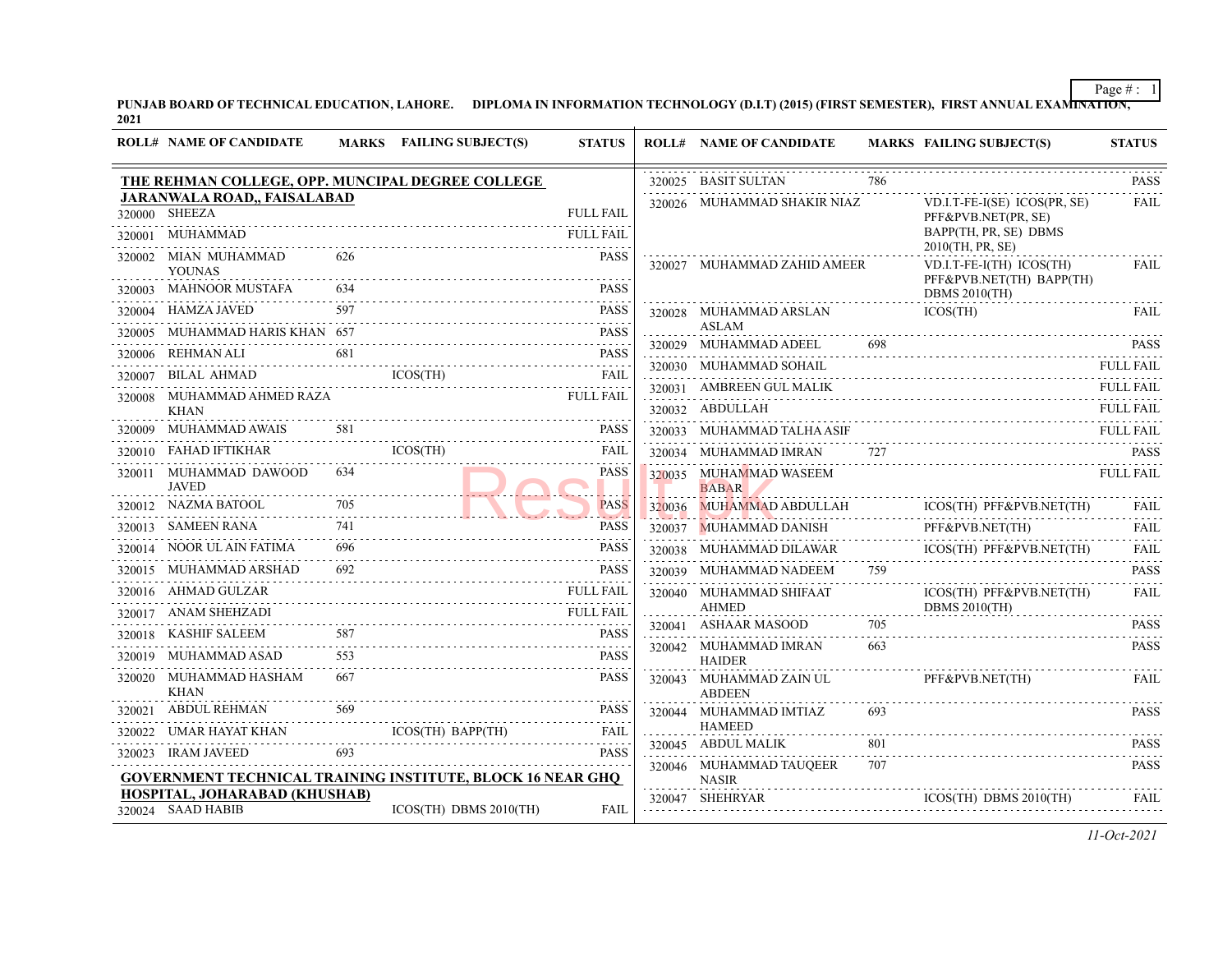PUNJAB BOARD OF TECHNICAL EDUCATION, LAHORE. DIPLOMA IN INFORMATION TECHNOLOGY (D.I.T) (2015) (FIRST SEMESTER), FIRST ANNUAL EXAMI<del>NATION,</del><br>2021

| <b>ROLL# NAME OF CANDIDATE</b>                                                                                                                   |     | MARKS FAILING SUBJECT(S) | <b>STATUS</b>    | <b>ROLL# NAME OF CANDIDATE</b>           |     | <b>MARKS FAILING SUBJECT(S)</b>                                                                               | <b>STATUS</b>                                                       |
|--------------------------------------------------------------------------------------------------------------------------------------------------|-----|--------------------------|------------------|------------------------------------------|-----|---------------------------------------------------------------------------------------------------------------|---------------------------------------------------------------------|
| THE REHMAN COLLEGE, OPP. MUNCIPAL DEGREE COLLEGE                                                                                                 |     |                          |                  | 320025 BASIT SULTAN                      | 786 |                                                                                                               | <b>PASS</b><br>$\alpha$ , $\alpha$ , $\alpha$ , $\alpha$ , $\alpha$ |
| <b>JARANWALA ROAD,, FAISALABAD</b><br>320000 SHEEZA                                                                                              |     |                          | <b>FULL FAIL</b> | 320026 MUHAMMAD SHAKIR NIAZ              |     | VD.I.T-FE-I(SE) ICOS(PR, SE)<br>PFF&PVB.NET(PR, SE)                                                           | <b>FAIL</b>                                                         |
| 320001 MUHAMMAD                                                                                                                                  |     |                          | <b>FULL FAIL</b> |                                          |     | BAPP(TH, PR, SE) DBMS<br>2010(TH, PR, SE)                                                                     |                                                                     |
| 320002 MIAN MUHAMMAD<br><b>YOUNAS</b>                                                                                                            | 626 |                          | <b>PASS</b>      | 320027 MUHAMMAD ZAHID AMEER              |     | VD.I.T-FE-I(TH) ICOS(TH)<br>PFF&PVB.NET(TH) BAPP(TH)                                                          | FAIL                                                                |
| 320003 MAHNOOR MUSTAFA                                                                                                                           | 634 |                          | <b>PASS</b>      |                                          |     | <b>DBMS 2010(TH)</b>                                                                                          |                                                                     |
| 320004 HAMZA JAVED                                                                                                                               |     |                          | <b>PASS</b>      | 320028 MUHAMMAD ARSLAN                   |     | ICOS(TH)                                                                                                      | <b>FAIL</b>                                                         |
| 320005 MUHAMMAD HARIS KHAN 657                                                                                                                   |     |                          | <b>PASS</b>      | ASLAM<br>320029 MUHAMMAD ADEEL           |     |                                                                                                               | <b>PASS</b>                                                         |
| 320006 REHMAN ALI                                                                                                                                |     |                          |                  | 320030 MUHAMMAD SOHAIL                   |     |                                                                                                               | <b>FULL FAIL</b>                                                    |
| $\begin{tabular}{llllllll} 320006 & REHMAN ALL & 681 & \textbf{PASS} \\ 320007 & BILAL AHMAD & ICOS(TH) & \textbf{FAIL} \\ \hline \end{tabular}$ |     |                          |                  | 320031 AMBREEN GUL MALIK                 |     |                                                                                                               | FULL FAIL                                                           |
| 320008 MUHAMMAD AHMED RAZA                                                                                                                       |     | <b>FULL FAIL</b>         |                  | 320032 ABDULLAH                          |     |                                                                                                               | <b>FULL FAIL</b>                                                    |
| <b>KHAN</b><br>320009 MUHAMMAD AWAIS                                                                                                             |     |                          | <b>PASS</b>      | 320033 MUHAMMAD TALHA ASIF               |     |                                                                                                               | <b>FULL FAIL</b>                                                    |
| $320010 \quad \text{FAHAD IFTIKHAR} \qquad \qquad \text{ICOS}(\text{TH})$                                                                        |     |                          | <b>FAIL</b>      | 320034 MUHAMMAD IMRAN                    | 727 |                                                                                                               |                                                                     |
| 320011 MUHAMMAD DAWOOD                                                                                                                           |     |                          | <b>PASS</b>      | 320035 MUHAMMAD WASEEM                   |     | 727 PASS                                                                                                      | <b>FULL FAIL</b>                                                    |
| <b>JAVED</b>                                                                                                                                     |     |                          |                  | <b>BABAR</b>                             |     |                                                                                                               |                                                                     |
| $\begin{tabular}{ll} \bf 320012 & \tt NAZMA BATOOL \\ \end{tabular}$                                                                             |     |                          | <b>PASS</b>      | 320036 MUHAMMAD ABDULLAH                 |     | ICOS(TH) PFF&PVB.NET(TH)                                                                                      | FAIL                                                                |
| 320013 SAMEEN RANA                                                                                                                               |     |                          | <b>PASS</b>      | 320037 MUHAMMAD DANISH                   |     | PFF&PVB.NET(TH)                                                                                               | FAIL                                                                |
| 320014 NOOR UL AIN FATIMA                                                                                                                        | 696 |                          | <b>PASS</b>      |                                          |     | ICOS(TH) PFF&PVB.NET(TH)<br>${\tt320038}\quad {\tt MUHAMMAD\,DILAWAR}\qquad {\tt ICOS(TH)\,PFF\&PVB.NET(TH)}$ | FAIL                                                                |
| 320015 MUHAMMAD ARSHAD                                                                                                                           |     |                          | <b>PASS</b>      | 320039 MUHAMMAD NADEEM                   |     |                                                                                                               | <b>PASS</b><br>.                                                    |
| 320016 AHMAD GULZAR                                                                                                                              |     |                          | <b>FULL FAIL</b> | 320040 MUHAMMAD SHIFAAT<br><b>AHMED</b>  |     | ICOS(TH) PFF&PVB.NET(TH)<br>DBMS $2010$ (TH)                                                                  | <b>FAIL</b>                                                         |
| 320017 ANAM SHEHZADI                                                                                                                             |     |                          | <b>FULL FAIL</b> | 320041 ASHAAR MASOOD                     | 705 |                                                                                                               | <b>PASS</b>                                                         |
| 320018 KASHIF SALEEM                                                                                                                             | 587 | 587 PASS                 | <b>PASS</b>      | 320042 MUHAMMAD IMRAN                    | 663 |                                                                                                               | <b>PASS</b>                                                         |
| 320019 MUHAMMAD ASAD                                                                                                                             |     |                          | <b>PASS</b>      | <b>HAIDER</b>                            |     |                                                                                                               |                                                                     |
| 320020 MUHAMMAD HASHAM<br><b>KHAN</b>                                                                                                            |     |                          | <b>PASS</b>      | 320043 MUHAMMAD ZAIN UL<br><b>ABDEEN</b> |     | PFF&PVB.NET(TH)                                                                                               | <b>FAIL</b>                                                         |
| 320021 ABDUL REHMAN                                                                                                                              | 569 |                          | <b>PASS</b>      | 320044 MUHAMMAD IMTIAZ                   |     |                                                                                                               | <b>PASS</b>                                                         |
| 320022 UMAR HAYAT KHAN                                                                                                                           |     | ICOS(TH) BAPP(TH) FAIL   | <b>FAIL</b>      | <b>HAMEED</b><br>320045 ABDUL MALIK      | 801 |                                                                                                               | <b>PASS</b>                                                         |
| 320023 IRAM JAVEED                                                                                                                               |     |                          | <b>PASS</b>      | 320046 MUHAMMAD TAUQEER                  | 707 |                                                                                                               | .<br><b>PASS</b>                                                    |
| <b>GOVERNMENT TECHNICAL TRAINING INSTITUTE, BLOCK 16 NEAR GHQ</b>                                                                                |     |                          |                  | <b>NASIR</b>                             |     |                                                                                                               |                                                                     |
| HOSPITAL, JOHARABAD (KHUSHAB)<br>320024 SAAD HABIB                                                                                               |     | ICOS(TH) DBMS 2010(TH)   | <b>FAIL</b>      | 320047 SHEHRYAR                          |     | $ICOS(TH)$ DBMS $2010(TH)$                                                                                    | FAIL                                                                |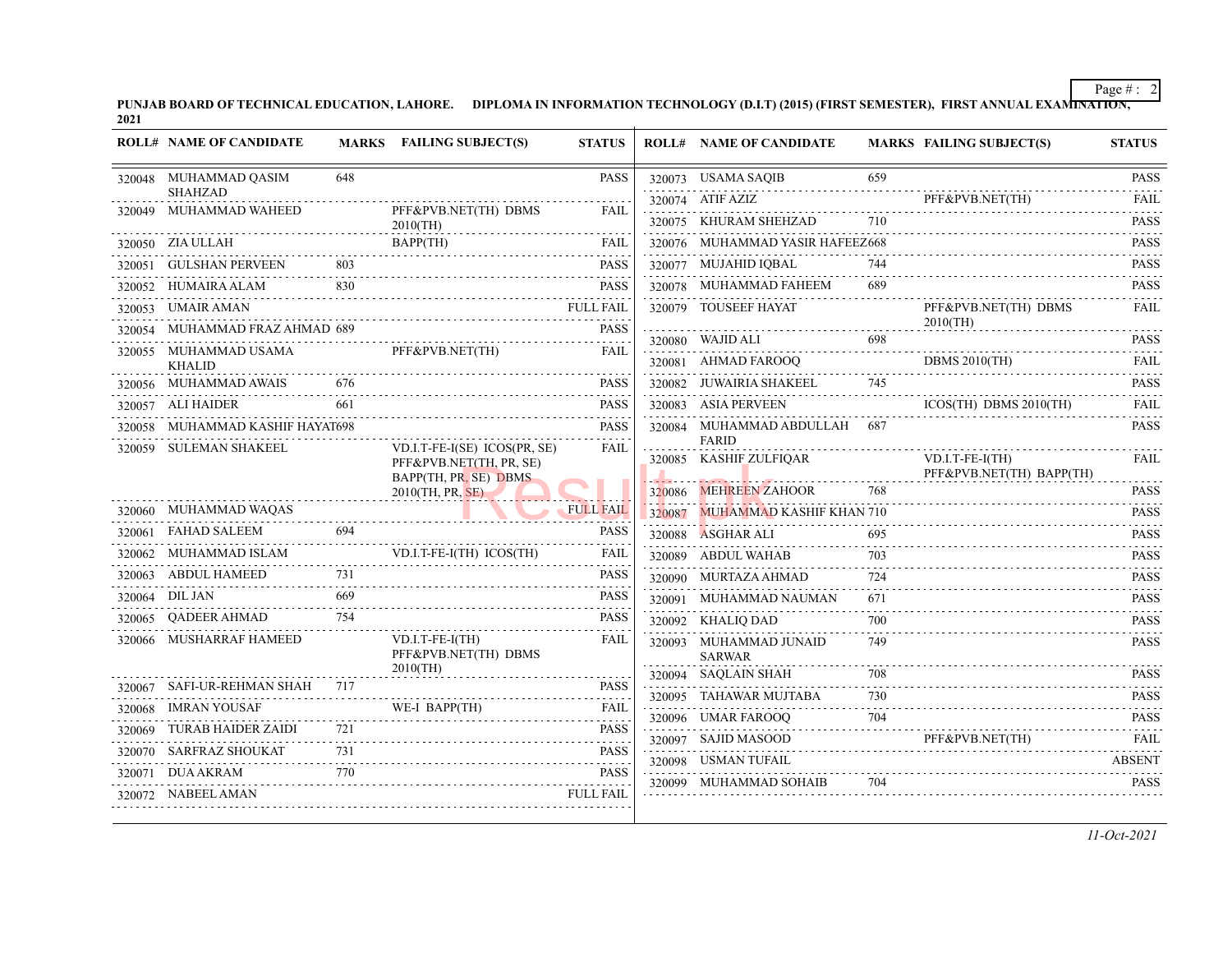PUNJAB BOARD OF TECHNICAL EDUCATION, LAHORE. DIPLOMA IN INFORMATION TECHNOLOGY (D.I.T) (2015) (FIRST SEMESTER), FIRST ANNUAL EXAMI<del>NATION,</del><br>2021

|        | <b>ROLL# NAME OF CANDIDATE</b>           |     | MARKS FAILING SUBJECT(S)                         | <b>STATUS</b> |        | <b>ROLL# NAME OF CANDIDATE</b>                                                                                                                          |          | <b>MARKS FAILING SUBJECT(S)</b>                 | <b>STATUS</b>    |
|--------|------------------------------------------|-----|--------------------------------------------------|---------------|--------|---------------------------------------------------------------------------------------------------------------------------------------------------------|----------|-------------------------------------------------|------------------|
|        | 320048 MUHAMMAD QASIM                    | 648 |                                                  | <b>PASS</b>   |        | 320073 USAMA SAQIB                                                                                                                                      | 659      |                                                 | <b>PASS</b>      |
|        | <b>SHAHZAD</b><br>320049 MUHAMMAD WAHEED |     |                                                  | <b>FAIL</b>   |        | 320074 ATIF AZIZ                                                                                                                                        |          | PFF&PVB.NET(TH)<br>$rrr\alpha r vD.NEL(1H)$     | <b>FAIL</b><br>. |
|        |                                          |     | PFF&PVB.NET(TH) DBMS<br>$2010$ (TH)<br>.         |               |        | 320075 KHURAM SHEHZAD                                                                                                                                   | 710      |                                                 | <b>PASS</b><br>. |
|        | 320050 ZIA ULLAH                         |     | BAPP(TH)                                         | FAIL          |        | 320076 MUHAMMAD YASIR HAFEEZ668                                                                                                                         |          |                                                 | <b>PASS</b><br>. |
| 320051 | GULSHAN PERVEEN                          | 803 |                                                  | <b>PASS</b>   |        | 320077 MUJAHID IQBAL                                                                                                                                    | 744      |                                                 | <b>PASS</b>      |
| 320052 |                                          |     | HUMAIRA ALAM 830                                 |               |        | 320078 MUHAMMAD FAHEEM                                                                                                                                  | 689      |                                                 | <b>PASS</b>      |
| 320053 | UMAIR AMAN                               |     | <b>FULL FAIL</b>                                 |               |        | 320079 TOUSEEF HAYAT                                                                                                                                    |          | PFF&PVB.NET(TH) DBMS<br>$2010$ (TH)             | .<br><b>FAIL</b> |
|        | 320054 MUHAMMAD FRAZ AHMAD 689           |     |                                                  | <b>PASS</b>   |        | 320080 WAJID ALI                                                                                                                                        | 698      |                                                 | .<br><b>PASS</b> |
|        | 320055 MUHAMMAD USAMA<br><b>KHALID</b>   |     | PFF&PVB.NET(TH)                                  | <b>FAIL</b>   |        | 320081 AHMAD FAROOQ                                                                                                                                     |          | DBMS 2010(TH)<br>$\frac{DBMS 2010(TH)}{2(1+1)}$ | <b>FAIL</b>      |
|        | 320056 MUHAMMAD AWAIS                    | 676 |                                                  | <b>PASS</b>   |        | 320082 JUWAIRIA SHAKEEL                                                                                                                                 | 745      |                                                 | .<br><b>PASS</b> |
|        | 320057 ALI HAIDER                        | 661 |                                                  | <b>PASS</b>   |        | 320083 ASIA PERVEEN                                                                                                                                     |          | $ICOS(TH)$ DBMS $2010(TH)$                      | <b>FAIL</b>      |
|        | 320058 MUHAMMAD KASHIF HAYAT698          |     |                                                  | <b>PASS</b>   |        | 320084 MUHAMMAD ABDULLAH 687                                                                                                                            |          |                                                 | <b>PASS</b>      |
|        | 320059 SULEMAN SHAKEEL                   |     | $VD.I.T-FE-I(SE) ICOS(PR, SE)$                   | FAIL          |        | <b>FARID</b><br>320085 KASHIF ZULFIQAR                                                                                                                  |          | $VD.I.T-FE-I(TH)$                               | FAIL             |
|        |                                          |     | PFF&PVB.NET(TH, PR, SE)<br>BAPP(TH, PR, SE) DBMS |               |        |                                                                                                                                                         |          | PFF&PVB.NET(TH) BAPP(TH)                        |                  |
|        |                                          |     | $2010$ (TH, PR, SE)                              |               |        | 320086 MEHREEN ZAHOOR                                                                                                                                   | 768      |                                                 | <b>PASS</b><br>. |
|        | 320060 MUHAMMAD WAQAS                    |     |                                                  | FULL FAIL     | 320087 | <b>MUHAMMAD KASHIF KHAN 710</b><br>the company of the company of the company of the company of the company of the company of the company of the company |          |                                                 | <b>PASS</b>      |
|        | 320061 FAHAD SALEEM                      | 694 |                                                  | <b>PASS</b>   |        | 320088 ASGHAR ALI                                                                                                                                       | 695      |                                                 | <b>PASS</b>      |
|        | 320062 MUHAMMAD ISLAM                    |     | VD.I.T-FE-I(TH) ICOS(TH)                         | <b>FAIL</b>   |        | 320089 ABDUL WAHAB                                                                                                                                      | 703<br>. |                                                 | <b>PASS</b><br>. |
|        | 320063 ABDUL HAMEED                      | 731 |                                                  | <b>PASS</b>   |        | 320090 MURTAZA AHMAD                                                                                                                                    | 724      |                                                 | <b>PASS</b>      |
| 320064 | DIL JAN                                  | 669 |                                                  | <b>PASS</b>   |        | 320091 MUHAMMAD NAUMAN                                                                                                                                  | 671      |                                                 | <b>PASS</b>      |
|        | 320065 QADEER AHMAD                      | 754 |                                                  | <b>PASS</b>   |        | 320092 KHALIQ DAD                                                                                                                                       | 700      |                                                 | <b>PASS</b><br>. |
|        | 320066 MUSHARRAF HAMEED                  |     | $VD.I.T-FE-I(TH)$<br>PFF&PVB.NET(TH) DBMS        | <b>FAIL</b>   |        | 320093 MUHAMMAD JUNAID<br><b>SARWAR</b>                                                                                                                 | 749      |                                                 | <b>PASS</b><br>. |
|        |                                          |     | $2010$ (TH)                                      |               |        | 320094 SAOLAIN SHAH                                                                                                                                     | 708      |                                                 | <b>PASS</b>      |
|        | 320067 SAFI-UR-REHMAN SHAH 717           |     |                                                  | <b>PASS</b>   |        | 320095 TAHAWAR MUJTABA                                                                                                                                  | 730      |                                                 | <b>PASS</b>      |
| 320068 | <b>IMRAN YOUSAF</b>                      |     | WE-I BAPP(TH)                                    | FAIL          |        | 320096 UMAR FAROOQ                                                                                                                                      | 704      | 320096 UMAR FAROOQ 704 PASS                     |                  |
| 320069 | TURAB HAIDER ZAIDI                       | 721 |                                                  | <b>PASS</b>   |        |                                                                                                                                                         |          | 320097 SAJID MASOOD PFF&PVB.NET(TH) FAIL        |                  |
|        |                                          |     | 320070 SARFRAZ SHOUKAT 731 PASS                  |               |        | 320098 USMAN TUFAIL                                                                                                                                     |          |                                                 | <b>ABSENT</b>    |
| 320071 | DUA AKRAM                                | 770 |                                                  | <b>PASS</b>   |        | 320099 MUHAMMAD SOHAIB                                                                                                                                  | 704      |                                                 | <b>PASS</b>      |
|        | 320072 NABEEL AMAN                       |     |                                                  | FULL FAIL     |        |                                                                                                                                                         |          |                                                 |                  |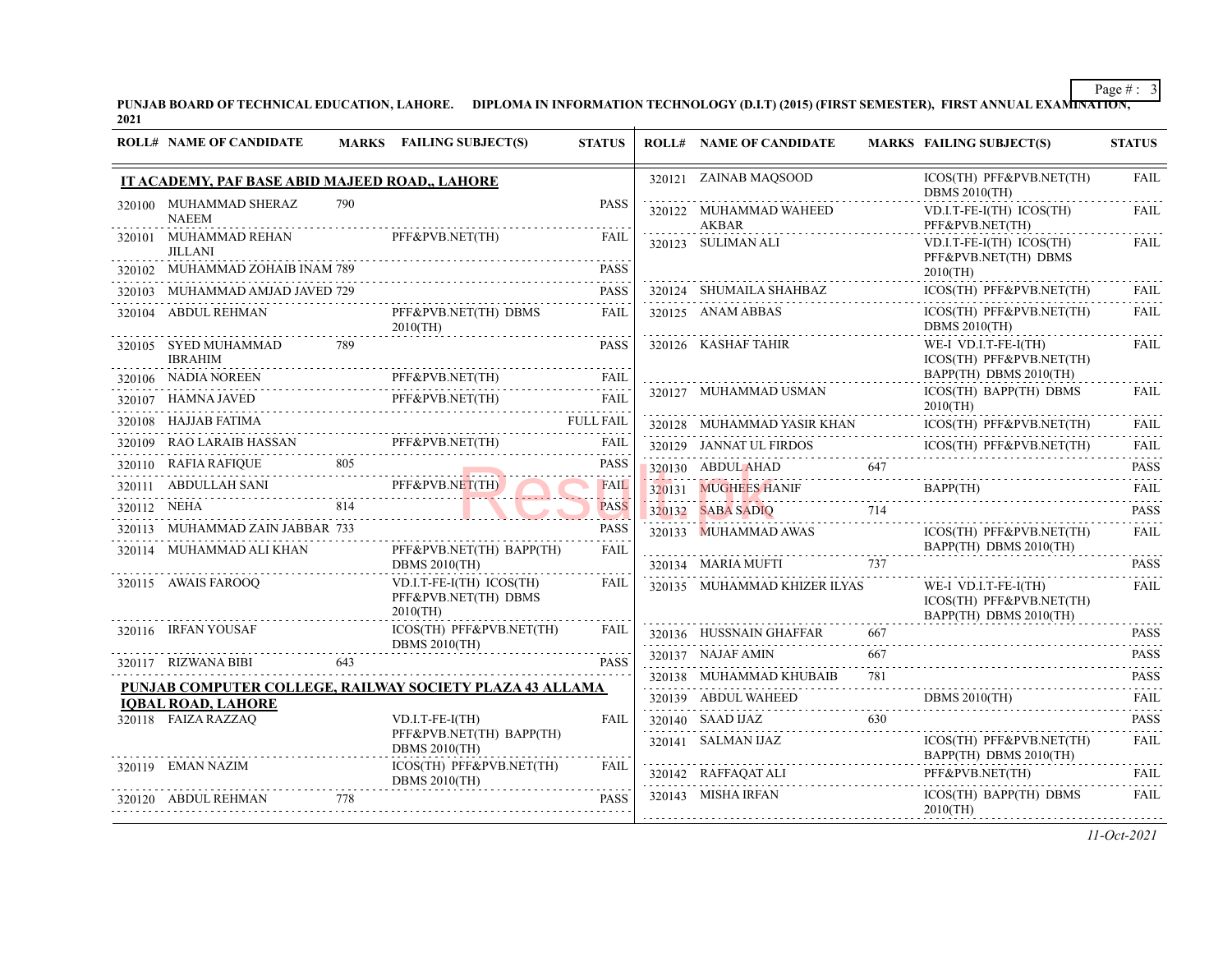PUNJAB BOARD OF TECHNICAL EDUCATION, LAHORE. DIPLOMA IN INFORMATION TECHNOLOGY (D.I.T) (2015) (FIRST SEMESTER), FIRST ANNUAL EXAMI<del>NATION,</del><br>2021

| <b>ROLL# NAME OF CANDIDATE</b>                              |     | MARKS FAILING SUBJECT(S)                                          | <b>STATUS</b>       | <b>ROLL# NAME OF CANDIDATE</b>         |     | <b>MARKS FAILING SUBJECT(S)</b>                                            | <b>STATUS</b>               |
|-------------------------------------------------------------|-----|-------------------------------------------------------------------|---------------------|----------------------------------------|-----|----------------------------------------------------------------------------|-----------------------------|
| IT ACADEMY, PAF BASE ABID MAJEED ROAD., LAHORE              |     |                                                                   |                     | 320121 ZAINAB MAQSOOD                  |     | ICOS(TH) PFF&PVB.NET(TH)<br><b>DBMS 2010(TH)</b>                           | <b>FAIL</b>                 |
| 320100 MUHAMMAD SHERAZ<br><b>NAEEM</b>                      | 790 |                                                                   | <b>PASS</b>         | 320122 MUHAMMAD WAHEED<br><b>AKBAR</b> |     | VD.I.T-FE-I(TH) ICOS(TH)<br>PFF&PVB.NET(TH)                                | <b>FAIL</b>                 |
| 320101 MUHAMMAD REHAN<br><b>JILLANI</b>                     |     | PFF&PVB.NET(TH)                                                   | FAIL                | 320123 SULIMAN ALI                     |     | VD.I.T-FE-I(TH) ICOS(TH)<br>PFF&PVB.NET(TH) DBMS                           | FAIL                        |
| 320102 MUHAMMAD ZOHAIB INAM 789                             |     |                                                                   | <b>PASS</b>         |                                        |     | $2010$ (TH)                                                                |                             |
| 320103 MUHAMMAD AMJAD JAVED 729                             |     |                                                                   | <b>PASS</b>         | 320124 SHUMAILA SHAHBAZ                |     | ICOS(TH) PFF&PVB.NET(TH)                                                   | <b>FAIL</b>                 |
| 320104 ABDUL REHMAN                                         |     | PFF&PVB.NET(TH) DBMS<br>$2010$ (TH)                               | FAIL                | 320125 ANAM ABBAS                      |     | ICOS(TH) PFF&PVB.NET(TH)<br><b>DBMS 2010(TH)</b>                           | <b>FAIL</b>                 |
| 320105 SYED MUHAMMAD<br><b>IBRAHIM</b>                      | 789 |                                                                   | <b>PASS</b>         | 320126 KASHAF TAHIR                    |     | WE-I VD.I.T-FE-I(TH)<br>ICOS(TH) PFF&PVB.NET(TH)                           | <b>FAIL</b>                 |
|                                                             |     | 320106 NADIA NOREEN PFF&PVB.NET(TH)                               | <b>FAIL</b>         | 320127 MUHAMMAD USMAN                  |     | BAPP(TH) DBMS 2010(TH)<br>ICOS(TH) BAPP(TH) DBMS                           | <b>FAIL</b>                 |
| 320107 HAMNA JAVED                                          |     | A JAVED PFF&PVB.NET(TH) FAIL                                      |                     |                                        |     | $2010$ (TH)                                                                |                             |
| 320108 HAJJAB FATIMA                                        |     | FULL FAIL                                                         |                     | 320128 MUHAMMAD YASIR KHAN             |     | ICOS(TH) PFF&PVB.NET(TH)                                                   | <b>FAIL</b>                 |
|                                                             |     | 320109 RAO LARAIB HASSAN PFF&PVB.NET(TH)                          | FAIL                |                                        |     | 320129 JANNAT UL FIRDOS ICOS(TH) PFF&PVB.NET(TH)                           | <b>FAIL</b><br>$-1 - 1 - 1$ |
| 320110 RAFIA RAFIQUE 805                                    |     |                                                                   | <b>PASS</b>         | 320130 ABDUL AHAD                      |     | DUL AHAD 647 PASS                                                          |                             |
| 320111 ABDULLAH SANI PFF&PVB.NET(TH)                        |     |                                                                   | <b>FAIL</b>         |                                        |     | 320131 MUGHEES HANIF BAPP(TH)                                              | FAII.                       |
| A 814<br>320112 NEHA                                        |     |                                                                   | <b>PASS</b>         | 320132 SABA SADIQ 714                  |     |                                                                            | <b>PASS</b>                 |
| 320113 MUHAMMAD ZAIN JABBAR 733<br>320114 MUHAMMAD ALI KHAN |     | PFF&PVB.NET(TH) BAPP(TH)                                          | <b>PASS</b><br>FAIL | 320133 MUHAMMAD AWAS                   |     | ICOS(TH) PFF&PVB.NET(TH)<br>BAPP(TH) DBMS 2010(TH)                         | FAIL                        |
|                                                             |     | DBMS $2010$ (TH)                                                  |                     | 320134 MARIA MUFTI 737                 |     |                                                                            | <b>PASS</b>                 |
| 320115 AWAIS FAROOQ                                         |     | $VD.I.T-FE-I(TH) ICOS(TH)$<br>PFF&PVB.NET(TH) DBMS<br>$2010$ (TH) | FAIL                | 320135 MUHAMMAD KHIZER ILYAS           |     | WE-I VD.I.T-FE-I(TH)<br>ICOS(TH) PFF&PVB.NET(TH)<br>BAPP(TH) DBMS 2010(TH) | <b>FAIL</b>                 |
| 320116 IRFAN YOUSAF                                         |     | ICOS(TH) PFF&PVB.NET(TH)                                          | FAIL                | 320136 HUSSNAIN GHAFFAR 667            |     |                                                                            | <b>PASS</b>                 |
| 320117 RIZWANA BIBI                                         | 643 | DBMS $2010$ (TH)                                                  | <b>PASS</b>         | 320137 NAJAF AMIN                      | 667 |                                                                            | <b>PASS</b>                 |
|                                                             |     |                                                                   |                     | 320138 MUHAMMAD KHUBAIB                | 781 |                                                                            | <b>PASS</b>                 |
| <b>IOBAL ROAD, LAHORE</b>                                   |     | PUNJAB COMPUTER COLLEGE, RAILWAY SOCIETY PLAZA 43 ALLAMA          |                     |                                        |     | 320139 ABDUL WAHEED DBMS 2010(TH) FAIL                                     |                             |
| 320118 FAIZA RAZZAQ                                         |     | $VD.I.T-FE-I(TH)$                                                 | <b>FAIL</b>         | 320140 SAAD IJAZ                       | 630 |                                                                            | <b>PASS</b>                 |
|                                                             |     | PFF&PVB.NET(TH) BAPP(TH)<br>DBMS $2010$ (TH)                      |                     | 320141 SALMAN IJAZ                     |     | ICOS(TH) PFF&PVB.NET(TH)<br>BAPP(TH) DBMS 2010(TH)                         | FAIL                        |
| 320119 EMAN NAZIM                                           |     | ICOS(TH) PFF&PVB.NET(TH)<br><b>DBMS 2010(TH)</b>                  | FAIL                | 320142 RAFFAQAT ALI                    |     | PFF&PVB.NET(TH)                                                            | <b>FAIL</b>                 |
| 320120 ABDUL REHMAN 778                                     |     |                                                                   | <b>PASS</b>         | 320143 MISHA IRFAN                     |     | ICOS(TH) BAPP(TH) DBMS<br>$2010$ (TH)                                      | FAIL                        |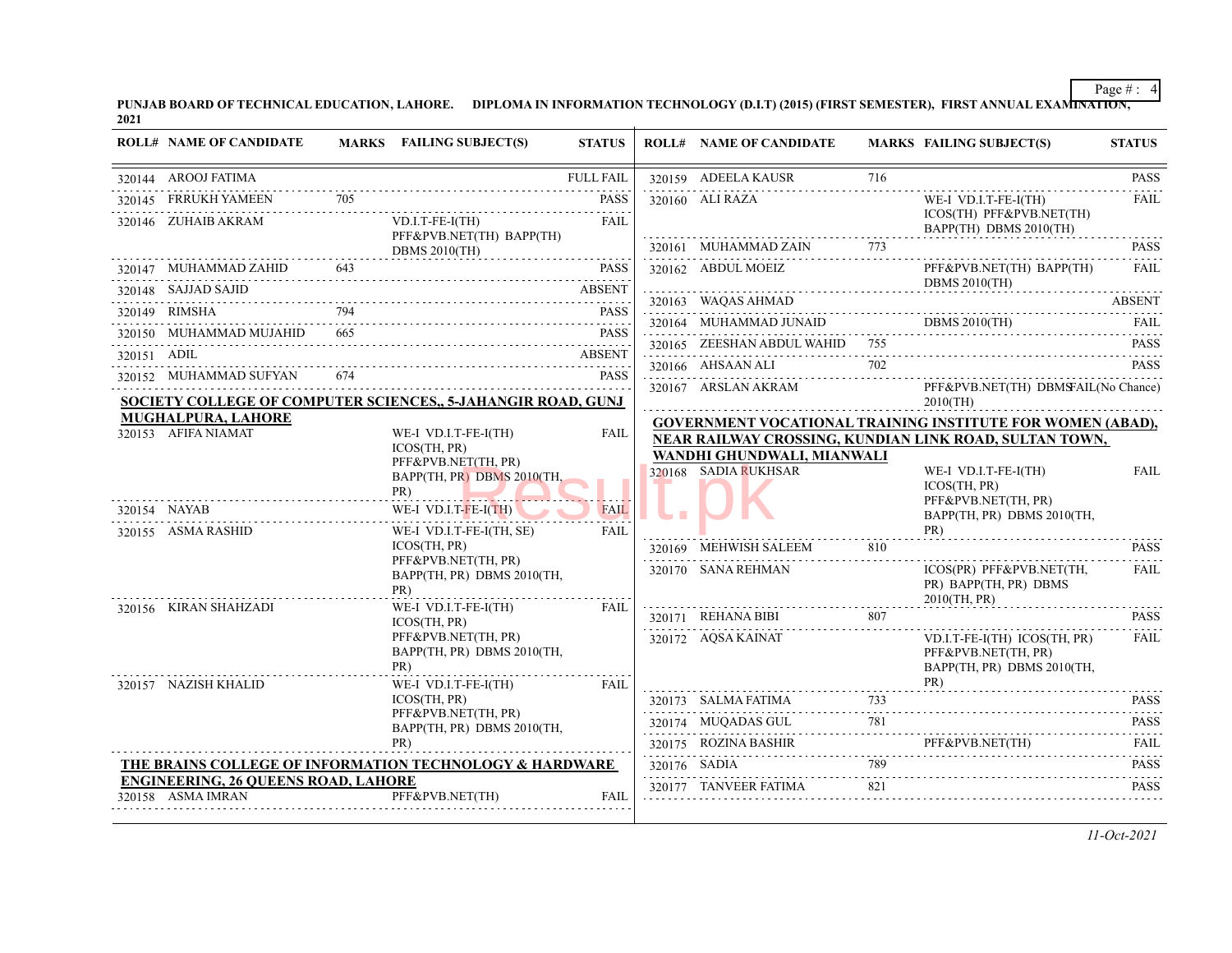PUNJAB BOARD OF TECHNICAL EDUCATION, LAHORE. DIPLOMA IN INFORMATION TECHNOLOGY (D.I.T) (2015) (FIRST SEMESTER), FIRST ANNUAL EXAMI<del>NATION,</del><br>2021

| <b>ROLL# NAME OF CANDIDATE</b>              |     | MARKS FAILING SUBJECT(S)                                                         | <b>STATUS</b>              | <b>ROLL# NAME OF CANDIDATE</b>                     |     | <b>MARKS FAILING SUBJECT(S)</b>                                                                                                                                                                                          | <b>STATUS</b>      |
|---------------------------------------------|-----|----------------------------------------------------------------------------------|----------------------------|----------------------------------------------------|-----|--------------------------------------------------------------------------------------------------------------------------------------------------------------------------------------------------------------------------|--------------------|
| 320144 AROOJ FATIMA                         |     |                                                                                  | <b>FULL FAIL</b>           | 320159 ADEELA KAUSR                                | 716 |                                                                                                                                                                                                                          | <b>PASS</b>        |
| 320145 FRRUKH YAMEEN<br>320146 ZUHAIB AKRAM | 705 | $VD.I.T-FE-I(TH)$                                                                | <b>PASS</b><br><b>FAIL</b> | 320160 ALI RAZA                                    |     | WE-I VD.I.T-FE-I(TH)<br>ICOS(TH) PFF&PVB.NET(TH)<br>BAPP(TH) DBMS 2010(TH)                                                                                                                                               | <b>FAIL</b>        |
|                                             |     | PFF&PVB.NET(TH) BAPP(TH)                                                         |                            | 320161 MUHAMMAD ZAIN                               | 773 |                                                                                                                                                                                                                          | <b>PASS</b>        |
|                                             |     | DBMS $2010$ (TH)<br>320147 MUHAMMAD ZAHID 643 PASS PASS                          |                            | 320101 MUTTAMINIAD ZAIIN 773<br>320162 ABDUL MOEIZ |     | PFF&PVB.NET(TH) BAPP(TH)                                                                                                                                                                                                 | FAII.              |
| 320148 SAJJAD SAJID                         |     |                                                                                  | <b>ABSENT</b>              |                                                    |     | DBMS $2010$ (TH)                                                                                                                                                                                                         |                    |
| 320149 RIMSHA                               | 794 |                                                                                  | <b>PASS</b>                | 320163 WAQAS AHMAD                                 |     |                                                                                                                                                                                                                          | <b>ABSENT</b>      |
| 320150 MUHAMMAD MUJAHID 665                 |     | 20150 MUHAMMAD MUJAHID 665 PASS                                                  | <b>PASS</b>                |                                                    |     | $\begin{tabular}{c} \multicolumn{2}{c}{\textbf{320164}} \quad \textbf{MUHAMMAD JUNAID} \quad \textbf{DBMS 2010(TH)} \quad \textbf{FAIL} \end{tabular} \begin{tabular}{c} \multicolumn{2}{c}{\textbf{FAL}} \end{tabular}$ |                    |
| 320151 ADIL                                 |     |                                                                                  | <b>ABSENT</b>              | 320165 ZEESHAN ABDUL WAHID 755                     |     | $2(110)$ LEEDITAR ADDUL WATHER (33) THE CONSTRUCTED TRANS                                                                                                                                                                | <b>PASS</b>        |
| 320152 MUHAMMAD SUFYAN                      | 674 | $1 \text{A} \text{D} \text{S} \text{O} \text{T} \text{A} \text{N}$               | <b>PASS</b>                | 320166 AHSAAN ALI                                  | 702 |                                                                                                                                                                                                                          | <b>PASS</b>        |
|                                             |     | SOCIETY COLLEGE OF COMPUTER SCIENCES,, 5-JAHANGIR ROAD, GUNJ                     |                            | 320167 ARSLAN AKRAM                                |     | PFF&PVB.NET(TH) DBMSFAIL(No Chance)<br>$2010$ (TH)                                                                                                                                                                       |                    |
| MUGHALPURA, LAHORE<br>320153 AFIFA NIAMAT   |     | WE-I VD.I.T-FE-I(TH)                                                             | FAIL                       |                                                    |     | GOVERNMENT VOCATIONAL TRAINING INSTITUTE FOR WOMEN (ABAD),<br>NEAR RAILWAY CROSSING, KUNDIAN LINK ROAD, SULTAN TOWN,                                                                                                     |                    |
|                                             |     | <b>ICOS(TH. PR)</b><br>PFF&PVB.NET(TH, PR)<br>BAPP(TH, PR) DBMS 2010(TH,<br>PR)  |                            | WANDHI GHUNDWALI, MIANWALI<br>320168 SADIA RUKHSAR |     | WE-I VD.I.T-FE-I(TH)<br>ICOS(TH, PR)                                                                                                                                                                                     | <b>FAIL</b>        |
| 320154 NAYAB<br>320155 ASMA RASHID          |     | WE-I VD.I.T- $FE-I(TH)$<br>WE-I VD.I.T-FE-I(TH, SE)                              | <b>FAIL</b><br><b>FAIL</b> |                                                    |     | PFF&PVB.NET(TH, PR)<br>BAPP(TH, PR) DBMS 2010(TH,<br>PR)                                                                                                                                                                 |                    |
|                                             |     | ICOS(TH, PR)                                                                     |                            | 320169 MEHWISH SALEEM                              | 810 |                                                                                                                                                                                                                          | <b>PASS</b>        |
|                                             |     | PFF&PVB.NET(TH, PR)<br>BAPP(TH, PR) DBMS 2010(TH,<br>PR)                         |                            | 320170 SANA REHMAN                                 |     | ICOS(PR) PFF&PVB.NET(TH,<br>PR) BAPP(TH, PR) DBMS<br>2010(TH, PR)                                                                                                                                                        | FAIL               |
| 320156 KIRAN SHAHZADI                       |     | WE-I VD.I.T-FE-I(TH)<br>ICOS(TH, PR)                                             | <b>FAIL</b>                | 320171 REHANA BIBI 807                             |     |                                                                                                                                                                                                                          | <b>PASS</b>        |
| 320157 NAZISH KHALID                        |     | PFF&PVB.NET(TH, PR)<br>BAPP(TH, PR) DBMS 2010(TH,<br>PR)<br>WE-I VD.I.T-FE-I(TH) | <b>FAIL</b>                | 320172 AQSA KAINAT                                 |     | VD.I.T-FE-I(TH) ICOS(TH, PR)<br>PFF&PVB.NET(TH, PR)<br>BAPP(TH, PR) DBMS 2010(TH,<br>PR)                                                                                                                                 | <b>FAIL</b>        |
|                                             |     | ICOS(TH, PR)                                                                     |                            |                                                    |     |                                                                                                                                                                                                                          | <b>PASS</b>        |
|                                             |     | PFF&PVB.NET(TH, PR)<br>BAPP(TH, PR) DBMS 2010(TH,                                |                            |                                                    | 781 | 320174 MUQADAS GUL 781 PASS                                                                                                                                                                                              | in de la caracterí |
|                                             |     | PR)                                                                              |                            |                                                    |     | $320175 \quad \text{ROZINA BASHIR} \qquad \qquad \text{PFF&PVB.NET(TH)} \qquad \qquad \text{FAIL}$                                                                                                                       |                    |
|                                             |     | THE BRAINS COLLEGE OF INFORMATION TECHNOLOGY & HARDWARE                          |                            | 320176 SADIA                                       | 789 |                                                                                                                                                                                                                          | <b>PASS</b>        |
| <b>ENGINEERING, 26 QUEENS ROAD, LAHORE</b>  |     |                                                                                  |                            |                                                    |     |                                                                                                                                                                                                                          |                    |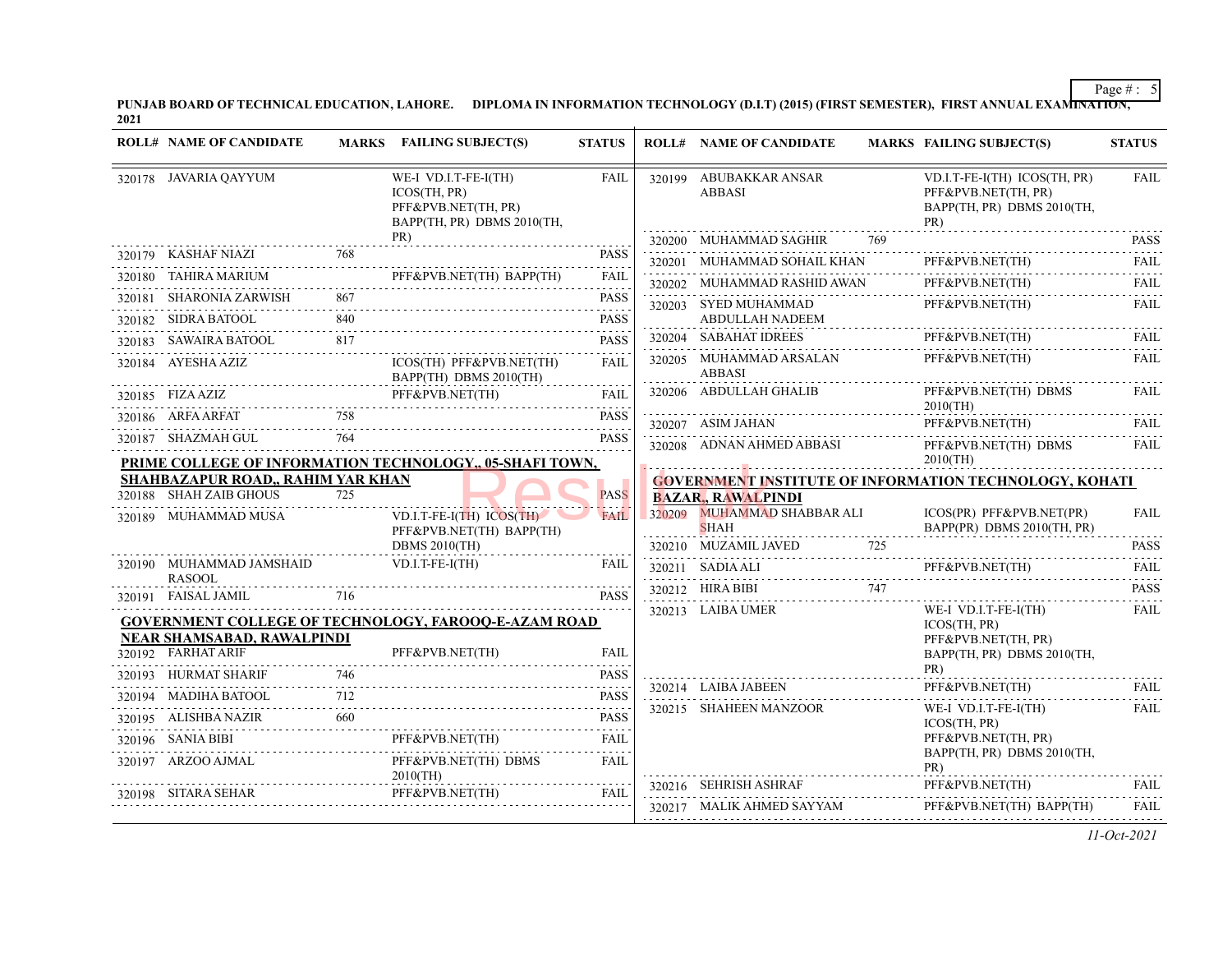PUNJAB BOARD OF TECHNICAL EDUCATION, LAHORE. DIPLOMA IN INFORMATION TECHNOLOGY (D.I.T) (2015) (FIRST SEMESTER), FIRST ANNUAL EXAMI<del>NATION,</del><br>2021

| <b>ROLL# NAME OF CANDIDATE</b>            |     | MARKS FAILING SUBJECT(S)                                                                  | <b>STATUS</b>        |        | <b>ROLL# NAME OF CANDIDATE</b>                                | <b>MARKS FAILING SUBJECT(S)</b>                                                          | <b>STATUS</b>    |
|-------------------------------------------|-----|-------------------------------------------------------------------------------------------|----------------------|--------|---------------------------------------------------------------|------------------------------------------------------------------------------------------|------------------|
| 320178 JAVARIA QAYYUM                     |     | WE-I VD.I.T-FE-I(TH)<br>ICOS(TH, PR)<br>PFF&PVB.NET(TH, PR)<br>BAPP(TH, PR) DBMS 2010(TH, | <b>FAIL</b>          |        | 320199 ABUBAKKAR ANSAR<br><b>ABBASI</b>                       | VD.I.T-FE-I(TH) ICOS(TH, PR)<br>PFF&PVB.NET(TH, PR)<br>BAPP(TH, PR) DBMS 2010(TH,<br>PR) | <b>FAIL</b>      |
|                                           |     | PR)                                                                                       |                      |        | 320200 MUHAMMAD SAGHIR<br>769                                 |                                                                                          | <b>PASS</b>      |
| 320179 KASHAF NIAZI                       |     |                                                                                           | <b>PASS</b>          | 320201 | MUHAMMAD SOHAIL KHAN                                          | PFF&PVB.NET(TH)                                                                          | .<br><b>FAIL</b> |
| 320180 TAHIRA MARIUM                      |     | PFF&PVB.NET(TH) BAPP(TH)                                                                  | <b>FAIL</b><br>.     |        | 320202 MUHAMMAD RASHID AWAN                                   | PFF&PVB.NET(TH)                                                                          | FAIL             |
| 320181 SHARONIA ZARWISH                   | 867 |                                                                                           | <b>PASS</b>          |        | 320203 SYED MUHAMMAD                                          | PFF&PVB.NET(TH)                                                                          | <b>FAIL</b>      |
| 320182 SIDRA BATOOL                       | 840 |                                                                                           | <b>PASS</b>          |        | ABDULLAH NADEEM                                               |                                                                                          |                  |
| 320183 SAWAIRA BATOOL                     | 817 |                                                                                           | <b>PASS</b>          |        | 320204 SABAHAT IDREES                                         | PFF&PVB.NET(TH)                                                                          | FAIL             |
| 320184 AYESHA AZIZ                        |     | ICOS(TH) PFF&PVB.NET(TH)<br>BAPP(TH) DBMS 2010(TH)                                        | <b>FAIL</b>          |        | 320205 MUHAMMAD ARSALAN<br><b>ABBASI</b>                      | PFF&PVB.NET(TH)                                                                          | FAIL             |
| 320185 FIZA AZIZ<br><u>z</u><br>          |     | PFF&PVB.NET(TH)                                                                           | FAIL                 |        | 320206 ABDULLAH GHALIB                                        | PFF&PVB.NET(TH) DBMS<br>$2010$ (TH)                                                      | <b>FAIL</b>      |
| 320186 ARFA ARFAT                         |     |                                                                                           | <b>PASS</b><br>.     |        | 320207 ASIM JAHAN                                             | PFF&PVB.NET(TH)                                                                          | FAIL             |
| 320187 SHAZMAH GUL                        | 764 | PRIME COLLEGE OF INFORMATION TECHNOLOGY, 05-SHAFI TOWN,                                   | <b>PASS</b>          |        | 320208 ADNAN AHMED ABBASI                                     | PFF&PVB.NET(TH) DBMS<br>$2010$ (TH)                                                      | <b>FAIL</b>      |
| SHAHBAZAPUR ROAD,, RAHIM YAR KHAN         |     |                                                                                           |                      |        | <b>GOVERNMENT INSTITUTE OF INFORMATION TECHNOLOGY, KOHATI</b> |                                                                                          |                  |
| 320188 SHAH ZAIB GHOUS                    | 725 |                                                                                           | <b>PASS</b>          |        | <b>BAZAR, RAWALPINDI</b>                                      |                                                                                          |                  |
| 320189 MUHAMMAD MUSA                      |     | VD.I.T-FE-I(TH) ICOS(TH)<br>PFF&PVB.NET(TH) BAPP(TH)                                      | <b>FAIL</b>          |        | 320209 MUHAMMAD SHABBAR ALI<br><b>SHAH</b>                    | ICOS(PR) PFF&PVB.NET(PR)<br>BAPP(PR) DBMS 2010(TH, PR)                                   | FAIL             |
|                                           |     | <b>DBMS 2010(TH)</b>                                                                      |                      |        | 320210 MUZAMIL JAVED<br>725                                   |                                                                                          | <b>PASS</b>      |
| 320190 MUHAMMAD JAMSHAID<br><b>RASOOL</b> |     | $VD.I.T-FE-I(TH)$                                                                         | FAIL                 |        | 320211 SADIA ALI                                              | PFF&PVB.NET(TH)                                                                          | FAIL             |
| 320191 FAISAL JAMIL                       | 716 |                                                                                           | <b>PASS</b>          |        | 320212 HIRA BIBI<br>747                                       |                                                                                          | <b>PASS</b>      |
|                                           |     | <b>GOVERNMENT COLLEGE OF TECHNOLOGY, FAROOQ-E-AZAM ROAD</b>                               |                      |        | 320213 LAIBA UMER                                             | WE-I VD.I.T-FE-I(TH)<br>ICOS(TH, PR)                                                     | <b>FAIL</b>      |
| <b>NEAR SHAMSABAD, RAWALPINDI</b>         |     |                                                                                           |                      |        |                                                               | PFF&PVB.NET(TH, PR)                                                                      |                  |
| 320192 FARHAT ARIF                        |     | PFF&PVB.NET(TH)                                                                           | <b>FAIL</b><br>.     |        |                                                               | BAPP(TH, PR) DBMS 2010(TH,                                                               |                  |
| 320193 HURMAT SHARIF                      | 746 |                                                                                           | <b>PASS</b><br>.     |        | 320214 LAIBA JABEEN                                           | PR)<br>PFF&PVB.NET(TH)                                                                   | FAIL             |
| 320194 MADIHA BATOOL                      | 712 |                                                                                           | <b>PASS</b>          |        | 320215 SHAHEEN MANZOOR                                        | WE-I VD.I.T-FE-I(TH)                                                                     | <b>FAIL</b>      |
| 320195 ALISHBA NAZIR                      | 660 |                                                                                           | <b>PASS</b>          |        |                                                               | ICOS(TH, PR)                                                                             |                  |
| 320196 SANIA BIBI                         |     | PFF&PVB.NET(TH)                                                                           | FAIL<br>$-1 - 1 - 1$ |        |                                                               | PFF&PVB.NET(TH, PR)<br>BAPP(TH, PR) DBMS 2010(TH,                                        |                  |
| 320197 ARZOO AJMAL                        |     | PFF&PVB.NET(TH) DBMS<br>$2010$ (TH)                                                       | <b>FAIL</b>          |        |                                                               | PR)                                                                                      |                  |
| 320198 SITARA SEHAR                       |     | PFF&PVB.NET(TH)                                                                           | FAIL                 |        | 320216 SEHRISH ASHRAF                                         | PFF&PVB.NET(TH)                                                                          | <b>FAIL</b>      |
|                                           |     |                                                                                           |                      |        | 320217 MALIK AHMED SAYYAM                                     | PFF&PVB.NET(TH) BAPP(TH)                                                                 | FAIL.            |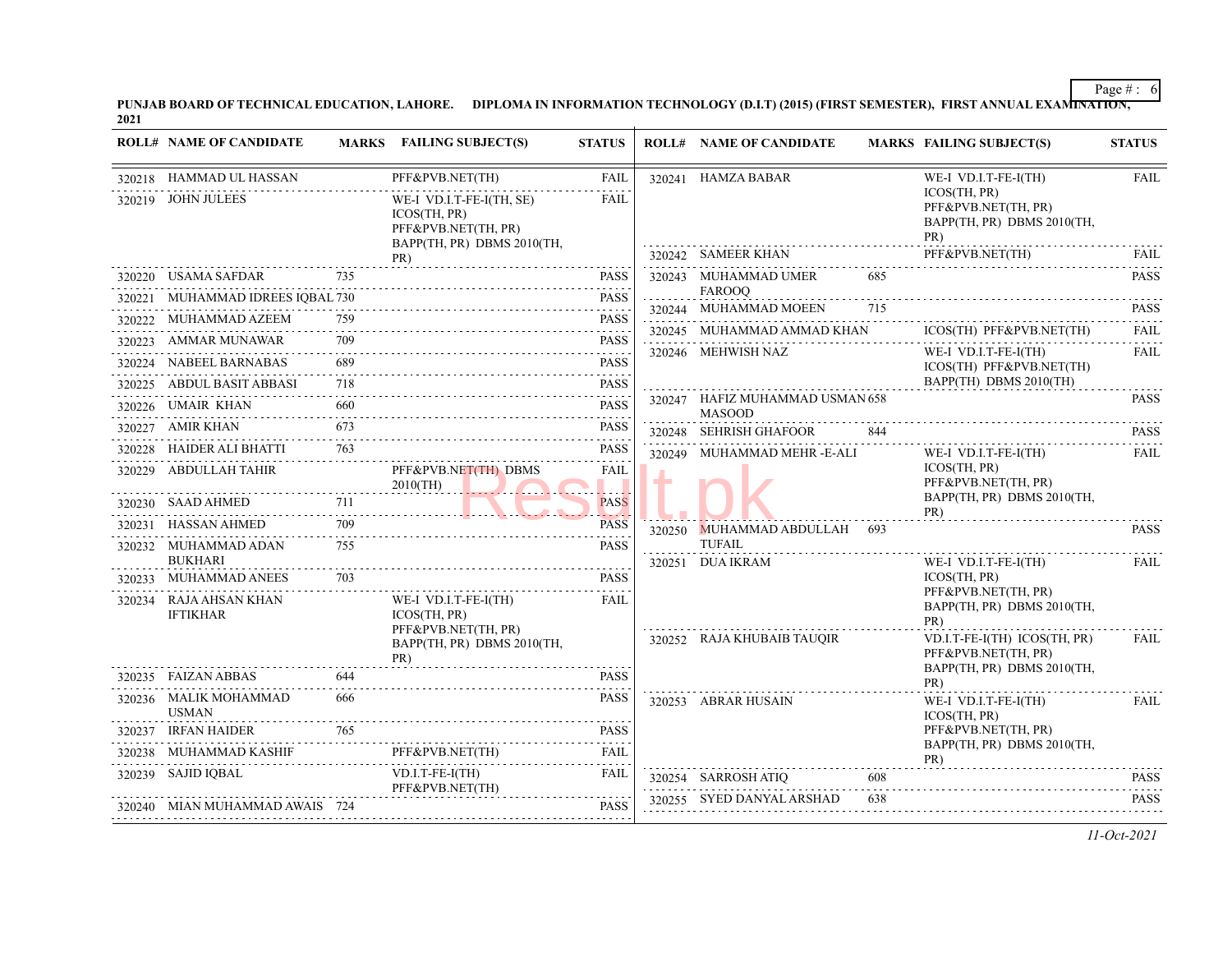PUNJAB BOARD OF TECHNICAL EDUCATION, LAHORE. DIPLOMA IN INFORMATION TECHNOLOGY (D.I.T) (2015) (FIRST SEMESTER), FIRST ANNUAL EXAMI<del>NATION,</del><br>2021

|        | <b>ROLL# NAME OF CANDIDATE</b>                |     | MARKS FAILING SUBJECT(S)                                          | <b>STATUS</b>                       |               | <b>ROLL# NAME OF CANDIDATE</b>                   |     | <b>MARKS FAILING SUBJECT(S)</b>                          | <b>STATUS</b>             |
|--------|-----------------------------------------------|-----|-------------------------------------------------------------------|-------------------------------------|---------------|--------------------------------------------------|-----|----------------------------------------------------------|---------------------------|
|        | 320218 HAMMAD UL HASSAN<br>320219 JOHN JULEES |     | PFF&PVB.NET(TH)<br>WE-I VD.I.T-FE-I(TH, SE)                       | FAIL<br><b>FAIL</b>                 |               | 320241 HAMZA BABAR                               |     | WE-I VD.I.T-FE-I(TH)<br>ICOS(TH, PR)                     | <b>FAIL</b>               |
|        |                                               |     | ICOS(TH, PR)<br>PFF&PVB.NET(TH, PR)<br>BAPP(TH, PR) DBMS 2010(TH, |                                     |               |                                                  |     | PFF&PVB.NET(TH, PR)<br>BAPP(TH, PR) DBMS 2010(TH,<br>PR) |                           |
|        |                                               |     | PR)                                                               |                                     |               | 320242 SAMEER KHAN                               |     | PFF&PVB.NET(TH)                                          | FAIL                      |
|        | 320220 USAMA SAFDAR 735                       |     |                                                                   | <b>PASS</b>                         |               | 320243 MUHAMMAD UMER                             | 685 |                                                          | <b>PASS</b>               |
| 320221 | MUHAMMAD IDREES IQBAL 730                     |     |                                                                   | <b>PASS</b>                         |               | <b>FAROOO</b><br>320244 MUHAMMAD MOEEN 715       |     |                                                          | <b>PASS</b>               |
|        | 320222 MUHAMMAD AZEEM                         | 759 |                                                                   | <b>PASS</b>                         |               | 320245 MUHAMMAD AMMAD KHAN                       |     | ICOS(TH) PFF&PVB.NET(TH)                                 | .<br><b>FAIL</b>          |
|        | 320223 AMMAR MUNAWAR                          | 709 |                                                                   | <b>PASS</b>                         |               | <br>320246 MEHWISH NAZ                           |     | WE-I VD.I.T-FE-I(TH)                                     | in dia ana<br><b>FAIL</b> |
|        | 320224 NABEEL BARNABAS                        | 689 |                                                                   | <b>PASS</b><br>$\omega$ is a second |               |                                                  |     | ICOS(TH) PFF&PVB.NET(TH)                                 |                           |
|        | 320225 ABDUL BASIT ABBASI                     | 718 |                                                                   | <b>PASS</b>                         |               |                                                  |     | BAPP(TH) DBMS 2010(TH)                                   |                           |
|        | 320226 UMAIR KHAN                             | 660 | AN 660 PASS                                                       | <b>PASS</b>                         |               | 320247 HAFIZ MUHAMMAD USMAN 658<br><b>MASOOD</b> |     |                                                          | <b>PASS</b>               |
|        | 320227 AMIR KHAN                              | 673 |                                                                   | <b>PASS</b>                         |               | 320248 SEHRISH GHAFOOR                           | 844 |                                                          | <b>PASS</b>               |
|        |                                               |     | 320228 HAIDER ALI BHATTI 763<br>320228 HAIDER ALI BHATTI 763      | <b>PASS</b>                         |               | 320249 MUHAMMAD MEHR -E-ALI                      |     | WE-I VD.I.T-FE-I(TH)                                     | and a state<br>FAIL       |
|        | 320229 ABDULLAH TAHIR                         |     | PFF&PVB.NET(TH) DBMS<br>$2010$ (TH)                               | FAIL                                | $\frac{1}{2}$ |                                                  |     | ICOS(TH, PR)<br>PFF&PVB.NET(TH, PR)                      |                           |
|        | 320230 SAAD AHMED                             |     | $\frac{711}{2}$                                                   | <b>PASS</b>                         |               |                                                  |     | BAPP(TH, PR) DBMS 2010(TH,<br>PR)                        |                           |
| 320231 | HASSAN AHMED                                  | 709 |                                                                   | <b>PASS</b>                         |               | 320250 MUHAMMAD ABDULLAH 693                     |     |                                                          | <b>PASS</b>               |
|        | 320232 MUHAMMAD ADAN<br><b>BUKHARI</b>        | 755 |                                                                   | <b>PASS</b>                         |               | TUFAIL<br>320251 DUA IKRAM                       |     | WE-I VD.I.T-FE-I(TH)                                     | FAIL                      |
|        | 320233 MUHAMMAD ANEES                         | 703 |                                                                   | <b>PASS</b>                         |               |                                                  |     | ICOS(TH, PR)                                             |                           |
|        | 320234 RAJA AHSAN KHAN<br><b>IFTIKHAR</b>     |     | WE-I VD.I.T-FE-I(TH)<br><b>ICOS(TH. PR)</b>                       | FAIL                                |               |                                                  |     | PFF&PVB.NET(TH, PR)<br>BAPP(TH, PR) DBMS 2010(TH,<br>PR) |                           |
|        |                                               |     | PFF&PVB.NET(TH, PR)<br>BAPP(TH, PR) DBMS 2010(TH,<br>PR)          |                                     |               | 320252 RAJA KHUBAIB TAUQIR                       |     | VD.I.T-FE-I(TH) ICOS(TH, PR)<br>PFF&PVB.NET(TH, PR)      | <b>FAIL</b>               |
|        | 320235 FAIZAN ABBAS                           | 644 |                                                                   | <b>PASS</b>                         |               |                                                  |     | BAPP(TH, PR) DBMS 2010(TH,<br>PR)                        |                           |
|        | 320236 MALIK MOHAMMAD<br><b>USMAN</b>         | 666 |                                                                   | <b>PASS</b>                         |               | 320253 ABRAR HUSAIN                              |     | WE-I VD.I.T-FE-I(TH)<br>ICOS(TH, PR)                     | FAIL                      |
|        | 320237 IRFAN HAIDER                           | 765 |                                                                   | <b>PASS</b>                         |               |                                                  |     | PFF&PVB.NET(TH, PR)                                      |                           |
|        | 320238 MUHAMMAD KASHIF                        |     | PFF&PVB.NET(TH)                                                   | FAIL                                |               |                                                  |     | BAPP(TH, PR) DBMS 2010(TH,<br>PR)                        |                           |
|        | 320239 SAJID IQBAL                            |     | $VD.I.T-FE-I(TH)$<br>PFF&PVB.NET(TH)                              | FAIL                                |               | 320254 SARROSH ATIQ                              | 608 |                                                          | <b>PASS</b>               |
|        | 320240 MIAN MUHAMMAD AWAIS 724                |     |                                                                   | <b>PASS</b>                         |               | 320255 SYED DANYAL ARSHAD                        | 638 |                                                          | <b>PASS</b>               |
|        |                                               |     |                                                                   |                                     |               |                                                  |     |                                                          |                           |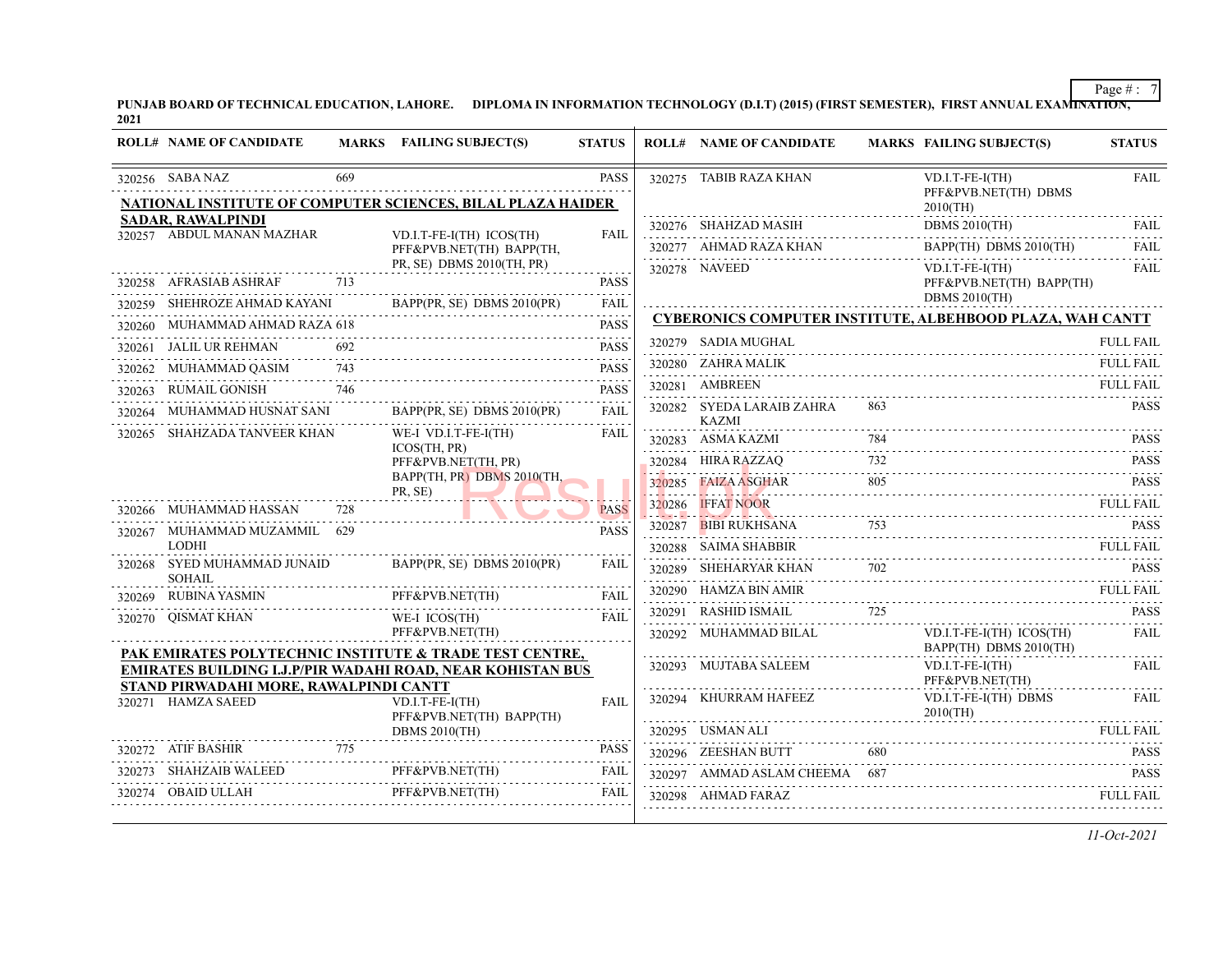PUNJAB BOARD OF TECHNICAL EDUCATION, LAHORE. DIPLOMA IN INFORMATION TECHNOLOGY (D.I.T) (2015) (FIRST SEMESTER), FIRST ANNUAL EXAMI<del>NATION,</del><br>2021

|        | <b>ROLL# NAME OF CANDIDATE</b>               |     | MARKS FAILING SUBJECT(S)                                                   | <b>STATUS</b> |             | <b>ROLL# NAME OF CANDIDATE</b>            |     | <b>MARKS FAILING SUBJECT(S)</b>                                                                                                                                                                                                                                                                                                                                                                                                                                                                                                                    | <b>STATUS</b>         |
|--------|----------------------------------------------|-----|----------------------------------------------------------------------------|---------------|-------------|-------------------------------------------|-----|----------------------------------------------------------------------------------------------------------------------------------------------------------------------------------------------------------------------------------------------------------------------------------------------------------------------------------------------------------------------------------------------------------------------------------------------------------------------------------------------------------------------------------------------------|-----------------------|
|        | 320256 SABA NAZ                              | 669 |                                                                            | <b>PASS</b>   |             | 320275 TABIB RAZA KHAN                    |     | $VD.I.T-FE-I(TH)$<br>PFF&PVB.NET(TH) DBMS                                                                                                                                                                                                                                                                                                                                                                                                                                                                                                          | <b>FAIL</b>           |
|        | <b>SADAR, RAWALPINDI</b>                     |     | NATIONAL INSTITUTE OF COMPUTER SCIENCES, BILAL PLAZA HAIDER                |               |             |                                           |     | $2010$ (TH)                                                                                                                                                                                                                                                                                                                                                                                                                                                                                                                                        |                       |
|        | 320257 ABDUL MANAN MAZHAR                    |     | VD.I.T-FE-I(TH) ICOS(TH)                                                   | <b>FAIL</b>   |             | $320276$ SHAHZAD MASIH                    |     | DBMS $2010$ (TH)                                                                                                                                                                                                                                                                                                                                                                                                                                                                                                                                   | FAIL.                 |
|        |                                              |     | PFF&PVB.NET(TH) BAPP(TH,<br>PR, SE) DBMS 2010(TH, PR)                      |               |             | $320277 \quad AHMAD RAZA KHAN$            |     | BAPP(TH) DBMS 2010(TH)                                                                                                                                                                                                                                                                                                                                                                                                                                                                                                                             | <b>FAIL</b><br>$\sim$ |
|        | 320258 AFRASIAB ASHRAF                       | 713 |                                                                            | <b>PASS</b>   |             | 320278 NAVEED                             |     | $VD.I.T-FE-I(TH)$<br>PFF&PVB.NET(TH) BAPP(TH)                                                                                                                                                                                                                                                                                                                                                                                                                                                                                                      | <b>FAIL</b>           |
|        | 320259 SHEHROZE AHMAD KAYANI                 |     | BAPP(PR, SE) DBMS 2010(PR)                                                 | <b>FAIL</b>   |             |                                           |     | <b>DBMS 2010(TH)</b>                                                                                                                                                                                                                                                                                                                                                                                                                                                                                                                               |                       |
|        | 320260 MUHAMMAD AHMAD RAZA 618               |     |                                                                            | <b>PASS</b>   |             |                                           |     | <b>CYBERONICS COMPUTER INSTITUTE, ALBEHBOOD PLAZA, WAH CANTT</b>                                                                                                                                                                                                                                                                                                                                                                                                                                                                                   |                       |
| 320261 | JALIL UR REHMAN                              |     |                                                                            | <b>PASS</b>   |             | 320279 SADIA MUGHAL                       |     |                                                                                                                                                                                                                                                                                                                                                                                                                                                                                                                                                    | <b>FULL FAIL</b>      |
| 320262 | MUHAMMAD QASIM                               | 743 |                                                                            | <b>PASS</b>   |             | 320280 ZAHRA MALIK                        |     |                                                                                                                                                                                                                                                                                                                                                                                                                                                                                                                                                    | <b>FULL FAIL</b>      |
|        | 320263 RUMAIL GONISH                         | 746 |                                                                            | <b>PASS</b>   |             | 320281 AMBREEN                            |     |                                                                                                                                                                                                                                                                                                                                                                                                                                                                                                                                                    | <b>FULL FAIL</b>      |
| 320264 | MUHAMMAD HUSNAT SANI                         |     | BAPP(PR, SE) DBMS 2010(PR)                                                 | <b>FAIL</b>   |             | 320282 SYEDA LARAIB ZAHRA<br><b>KAZMI</b> | 863 |                                                                                                                                                                                                                                                                                                                                                                                                                                                                                                                                                    | <b>PASS</b>           |
|        | 320265 SHAHZADA TANVEER KHAN                 |     | WE-I VD.I.T-FE-I(TH)                                                       | <b>FAIL</b>   |             | 320283 ASMA KAZMI                         |     |                                                                                                                                                                                                                                                                                                                                                                                                                                                                                                                                                    |                       |
|        |                                              |     | ICOS(TH, PR)<br>PFF&PVB.NET(TH, PR)                                        |               |             | 320284 HIRA RAZZAO                        |     | $\text{MAX}$<br>A KAZMI $\begin{array}{ccc}\n 784 \\  \text{MAX} \\  \text{MAX} \\  \text{MAX} \\  \text{MAX} \\  \text{MAX} \\  \text{MAX} \\  \text{MAX} \\  \text{MAX} \\  \text{MAX} \\  \text{MAX} \\  \text{MAX} \\  \text{MAX} \\  \text{MAX} \\  \text{MAX} \\  \text{MAX} \\  \text{MAX} \\  \text{MAX} \\  \text{MAX} \\  \text{MAX} \\  \text{MAX} \\  \text{MAX} \\  \text{MAX} \\  \text{MAX} \\  \text{MAX} \\  \text{MAX} \\  \text{MAX} \\  \text{MAX} \\  \text{MAX} \\  \text{MAX} \\  \text{MAX} \\  \text{MAX} \\  \text{MAX}$ | <b>PASS</b>           |
|        |                                              |     | BAPP(TH, PR) DBMS 2010(TH,                                                 |               | 320285      | <b>FAIZA ASGHAR</b>                       | 805 | $Q$ PASS PASS                                                                                                                                                                                                                                                                                                                                                                                                                                                                                                                                      |                       |
|        | 320266 MUHAMMAD HASSAN                       | 728 | PR, SE)                                                                    | <b>PASS</b>   | .<br>320286 | <b>IFFAT NOOR</b>                         |     | IFFAT NOOR FULL FAIL                                                                                                                                                                                                                                                                                                                                                                                                                                                                                                                               | <b>FULL FAIL</b>      |
|        | 320267 MUHAMMAD MUZAMMIL 629                 |     |                                                                            | <b>PASS</b>   | 320287      | BIBI RUKHSANA                             |     | SANA 753 PASS                                                                                                                                                                                                                                                                                                                                                                                                                                                                                                                                      | <b>PASS</b>           |
|        | <b>LODHI</b>                                 |     |                                                                            |               |             | 320288 SAIMA SHABBIR                      |     |                                                                                                                                                                                                                                                                                                                                                                                                                                                                                                                                                    | <b>FULL FAIL</b>      |
|        | 320268 SYED MUHAMMAD JUNAID<br><b>SOHAIL</b> |     | BAPP(PR, SE) DBMS 2010(PR)                                                 | <b>FAIL</b>   |             |                                           |     | 320289 SHEHARYAR KHAN 702 PASS                                                                                                                                                                                                                                                                                                                                                                                                                                                                                                                     |                       |
|        | 320269 RUBINA YASMIN<br>IN PFF               |     | PFF&PVB.NET(TH)                                                            | <b>FAIL</b>   |             | 320290 HAMZA BIN AMIR                     |     |                                                                                                                                                                                                                                                                                                                                                                                                                                                                                                                                                    | <b>FULL FAIL</b>      |
|        | 320270 OISMAT KHAN                           |     | WE-I ICOS(TH)                                                              | <b>FAIL</b>   |             | 320291 RASHID ISMAIL                      | 725 |                                                                                                                                                                                                                                                                                                                                                                                                                                                                                                                                                    | <b>PASS</b>           |
|        |                                              |     | PFF&PVB.NET(TH)<br>PAK EMIRATES POLYTECHNIC INSTITUTE & TRADE TEST CENTRE, |               |             | 320292 MUHAMMAD BILAL                     |     | VD.I.T-FE-I(TH) ICOS(TH)<br>BAPP(TH) DBMS 2010(TH)                                                                                                                                                                                                                                                                                                                                                                                                                                                                                                 | FAIL.<br>.            |
|        | STAND PIRWADAHI MORE, RAWALPINDI CANTT       |     | <b>EMIRATES BUILDING I.J.P/PIR WADAHI ROAD, NEAR KOHISTAN BUS</b>          |               |             | 320293 MUJTABA SALEEM                     |     | $VD.I.T-FE-I(TH)$<br>PFF&PVB.NET(TH)                                                                                                                                                                                                                                                                                                                                                                                                                                                                                                               | <b>FAIL</b>           |
|        | 320271 HAMZA SAEED                           |     | $VD.I.T-FE-I(TH)$<br>PFF&PVB.NET(TH) BAPP(TH)                              | <b>FAIL</b>   |             | 320294 KHURRAM HAFEEZ                     |     | VD.I.T-FE-I(TH) DBMS<br>$2010$ (TH)                                                                                                                                                                                                                                                                                                                                                                                                                                                                                                                | FAIL                  |
|        |                                              |     | <b>DBMS 2010(TH)</b>                                                       |               |             | 320295 USMAN ALI                          |     |                                                                                                                                                                                                                                                                                                                                                                                                                                                                                                                                                    | <b>FULL FAIL</b>      |
|        | 320272 ATIF BASHIR                           | 775 |                                                                            | <b>PASS</b>   |             | 320296 ZEESHAN BUTT                       | 680 |                                                                                                                                                                                                                                                                                                                                                                                                                                                                                                                                                    | <b>PASS</b>           |
|        | 320273 SHAHZAIB WALEED                       |     | 0273 SHAHZAIB WALEED PFF&PVB.NET(TH) FAIL                                  |               |             | 320297 AMMAD ASLAM CHEEMA 687             |     |                                                                                                                                                                                                                                                                                                                                                                                                                                                                                                                                                    | <b>PASS</b>           |
|        | 320274 OBAID ULLAH                           |     | PFF&PVB.NET(TH)                                                            | <b>FAIL</b>   |             | 320298 AHMAD FARAZ                        |     |                                                                                                                                                                                                                                                                                                                                                                                                                                                                                                                                                    | <b>FULL FAIL</b>      |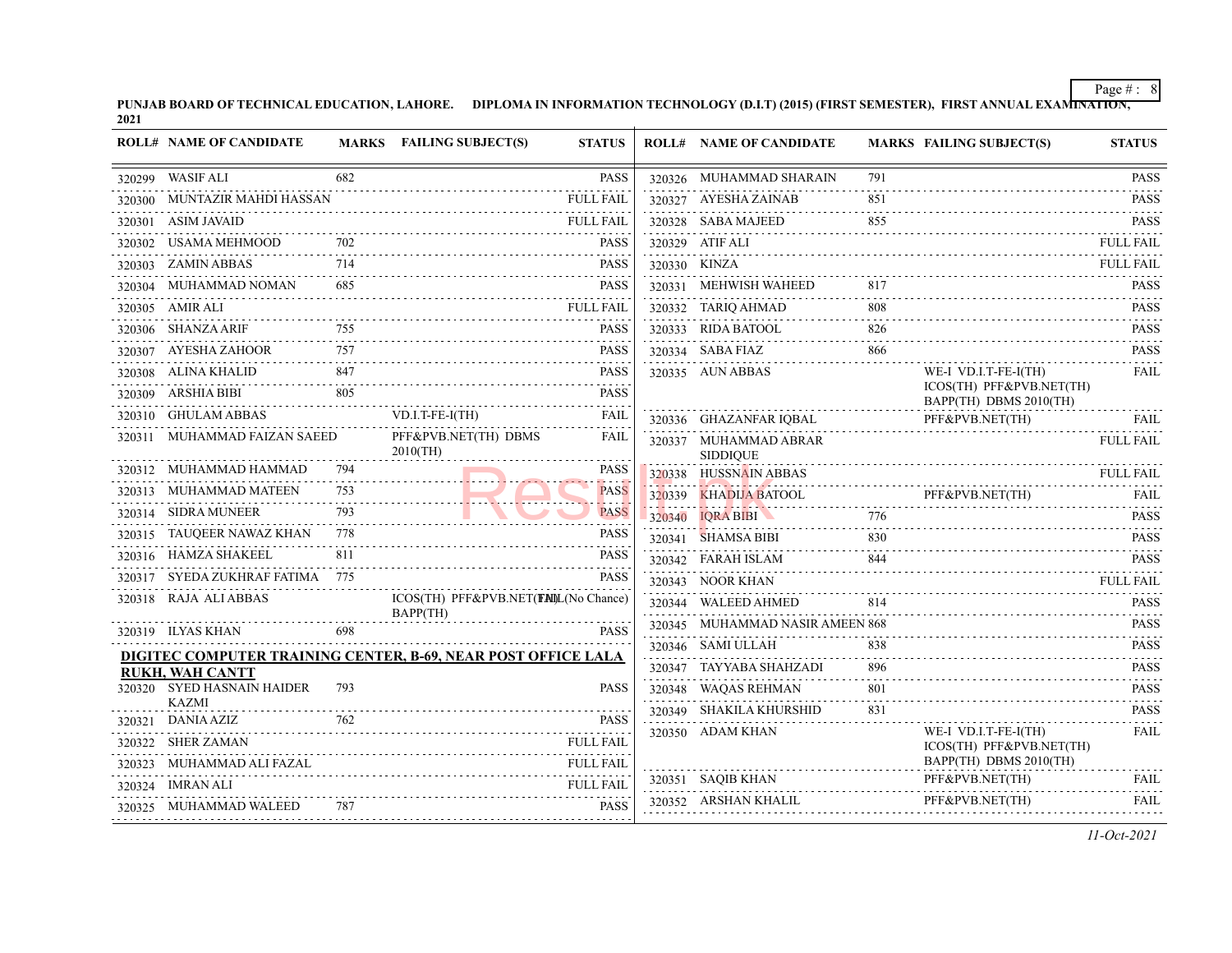PUNJAB BOARD OF TECHNICAL EDUCATION, LAHORE. DIPLOMA IN INFORMATION TECHNOLOGY (D.I.T) (2015) (FIRST SEMESTER), FIRST ANNUAL EXAMI<del>NATION,</del><br>2021

| <b>ROLL# NAME OF CANDIDATE</b>                                                            |     | MARKS FAILING SUBJECT(S)                         | <b>STATUS</b>    | <b>ROLL# NAME OF CANDIDATE</b>           |     | <b>MARKS FAILING SUBJECT(S)</b>                                                         | <b>STATUS</b>    |
|-------------------------------------------------------------------------------------------|-----|--------------------------------------------------|------------------|------------------------------------------|-----|-----------------------------------------------------------------------------------------|------------------|
| 320299 WASIF ALI                                                                          | 682 |                                                  | <b>PASS</b>      | 320326 MUHAMMAD SHARAIN                  | 791 |                                                                                         | <b>PASS</b>      |
| 320300 MUNTAZIR MAHDI HASSAN                                                              |     |                                                  | <b>FULL FAIL</b> | 320327 AYESHA ZAINAB                     | 851 |                                                                                         | <b>PASS</b>      |
| 320301 ASIM JAVAID                                                                        |     |                                                  | FULL FAIL        | 320328 SABA MAJEED                       | 855 |                                                                                         | <b>PASS</b>      |
| 320302 USAMA MEHMOOD                                                                      | 702 |                                                  | <b>PASS</b>      | 320329 ATIF ALI                          |     |                                                                                         | <b>FULL FAIL</b> |
| 320303 ZAMIN ABBAS                                                                        | 714 |                                                  | <b>PASS</b>      | 320330 KINZA                             |     |                                                                                         | <b>FULL FAIL</b> |
| 320304 MUHAMMAD NOMAN                                                                     | 685 |                                                  | <b>PASS</b>      | 320331 MEHWISH WAHEED                    |     |                                                                                         | <b>PASS</b>      |
| 320305 AMIR ALI                                                                           |     |                                                  | <b>FULL FAIL</b> | 320332 TARIQ AHMAD                       | 808 |                                                                                         | <b>PASS</b>      |
| 320306 SHANZA ARIF                                                                        |     |                                                  | <b>PASS</b>      | 320333 RIDA BATOOL                       | 826 |                                                                                         | <b>PASS</b>      |
| $\begin{minipage}{0.9\linewidth} \textbf{320307} & \textbf{AYESHA ZAHOOR} \end{minipage}$ |     |                                                  | <b>PASS</b>      | 320334 SABA FIAZ                         | 866 |                                                                                         | <b>PASS</b>      |
| 320308 ALINA KHALID                                                                       | 847 | HALID 847 PASS                                   | <b>PASS</b>      | 320335 AUN ABBAS                         |     | WE-I VD.I.T-FE-I(TH)                                                                    | <b>FAIL</b>      |
| 320309 ARSHIA BIBI                                                                        | 805 |                                                  | <b>PASS</b>      |                                          |     | ICOS(TH) PFF&PVB.NET(TH)<br>BAPP(TH) DBMS 2010(TH)                                      |                  |
| 320310 GHULAM ABBAS                                                                       |     | $VD.I.T-FE-I(TH)$                                | <b>FAIL</b>      | 320336 GHAZANFAR IQBAL                   |     | PFF&PVB.NET(TH)<br>PFF&PVB.NET(TH)                                                      | FAIL             |
| 320311 MUHAMMAD FAIZAN SAEED                                                              |     | PFF&PVB.NET(TH) DBMS<br>$2010$ (TH)              | <b>FAIL</b>      | 320337 MUHAMMAD ABRAR<br><b>SIDDIQUE</b> |     |                                                                                         | <b>FULL FAIL</b> |
| 320312 MUHAMMAD HAMMAD                                                                    | 794 |                                                  | <b>PASS</b>      | 320338 HUSSNAIN ABBAS                    |     | 20338 HUSSNAIN ABBAS FULL FAIL                                                          |                  |
| 320313 MUHAMMAD MATEEN                                                                    |     |                                                  | <b>PASS</b>      |                                          |     | 320339 KHADIJA BATOOL PFF&PVB.NET(TH)                                                   | FAIL             |
| 320314 SIDRA MUNEER                                                                       | 793 |                                                  | <b>PASS</b>      | 320340 IQRA BIBI                         | 776 |                                                                                         | <b>PASS</b>      |
| 320315 TAUQEER NAWAZ KHAN                                                                 | 778 |                                                  | <b>PASS</b>      | 320341 SHAMSA BIBI                       | 830 |                                                                                         | <b>PASS</b>      |
| 320316 HAMZA SHAKEEL                                                                      | 811 |                                                  | <b>PASS</b>      |                                          |     |                                                                                         | <b>PASS</b>      |
| 320317 SYEDA ZUKHRAF FATIMA 775                                                           |     |                                                  | <b>PASS</b>      | 320343 NOOR KHAN                         |     |                                                                                         | FULL FAIL        |
| 320318 RAJA ALIABBAS                                                                      |     | ICOS(TH) PFF&PVB.NET(FAIL(No Chance)<br>BAPP(TH) |                  | 320344 WALEED AHMED                      | 814 |                                                                                         | <b>PASS</b>      |
| 320319 ILYAS KHAN                                                                         | 698 |                                                  | <b>PASS</b>      | 320345 MUHAMMAD NASIR AMEEN 868          |     |                                                                                         | <b>PASS</b>      |
| DIGITEC COMPUTER TRAINING CENTER, B-69, NEAR POST OFFICE LALA                             |     |                                                  |                  | 320346 SAMI ULLAH                        | 838 |                                                                                         | <b>PASS</b>      |
| <b>RUKH, WAH CANTT</b>                                                                    |     |                                                  |                  | 320347 TAYYABA SHAHZADI                  |     |                                                                                         | <b>PASS</b>      |
| 320320 SYED HASNAIN HAIDER                                                                | 793 |                                                  | <b>PASS</b>      | 320348 WAQAS REHMAN                      | 801 |                                                                                         | <b>PASS</b><br>. |
| <b>KAZMI</b><br>320321 DANIA AZIZ                                                         | 762 |                                                  | <b>PASS</b>      | 320349 SHAKILA KHURSHID                  | 831 |                                                                                         | <b>PASS</b>      |
| 320322 SHER ZAMAN                                                                         |     |                                                  | <b>FULL FAIL</b> | 320350 ADAM KHAN                         |     | WE-I VD.I.T-FE-I(TH)                                                                    | FAIL             |
| 320323 MUHAMMAD ALI FAZAL                                                                 |     |                                                  | <b>FULL FAIL</b> |                                          |     | ICOS(TH) PFF&PVB.NET(TH)<br>BAPP(TH) DBMS 2010(TH)                                      |                  |
| 320324 IMRAN ALI                                                                          |     |                                                  | <b>FULL FAIL</b> | 320351 SAQIB KHAN                        |     | PFF&PVB.NET(TH)                                                                         | FAIL             |
| 320325 MUHAMMAD WALEED                                                                    |     |                                                  | <b>PASS</b>      |                                          |     | ${\bf 320352} \quad {\bf ARSHAN KHALL} \qquad {\bf PFF\&PVB.NET(TH)} \qquad {\bf FAIL}$ |                  |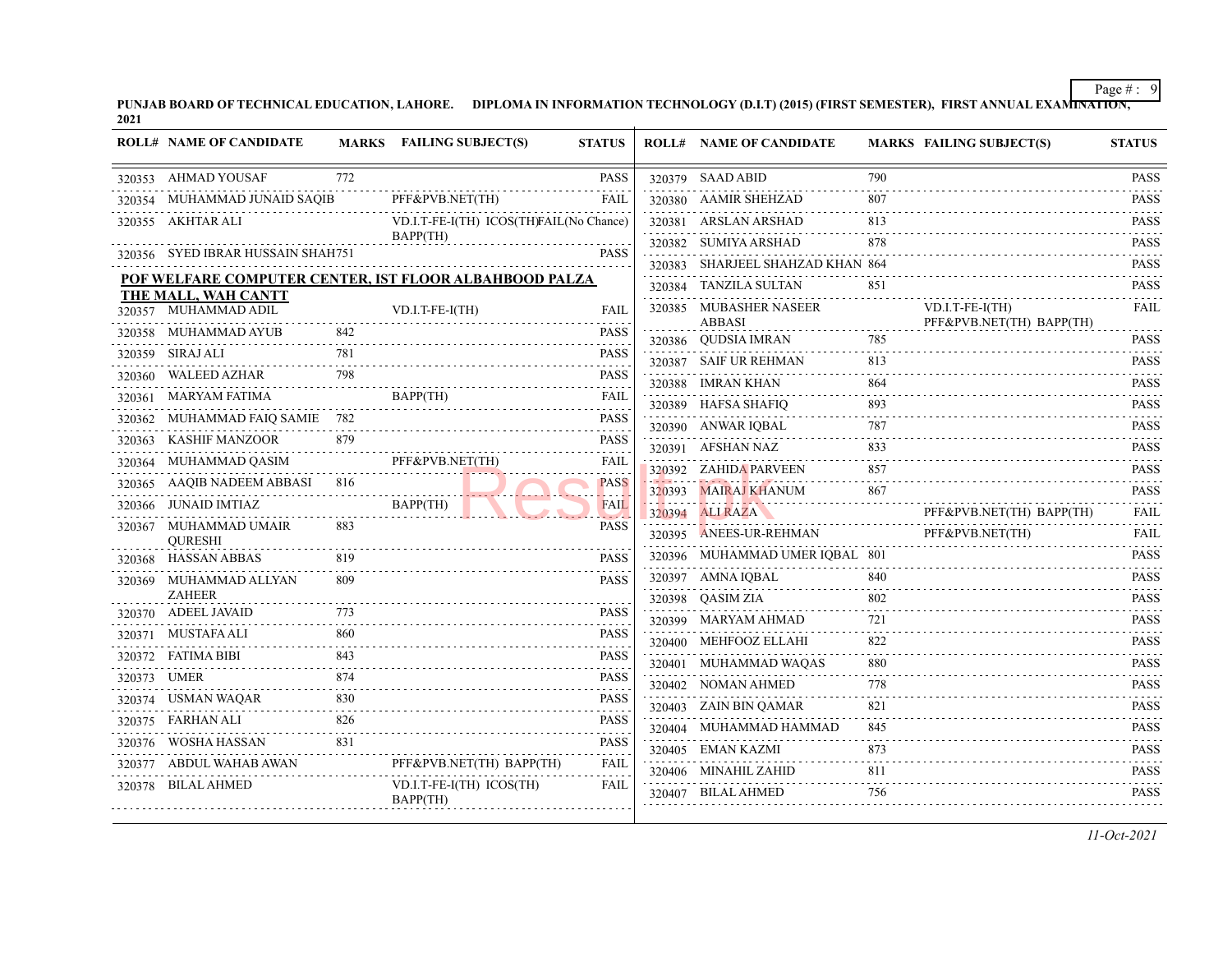PUNJAB BOARD OF TECHNICAL EDUCATION, LAHORE. DIPLOMA IN INFORMATION TECHNOLOGY (D.I.T) (2015) (FIRST SEMESTER), FIRST ANNUAL EXAMI<del>NATION,</del><br>2021

|        | <b>ROLL# NAME OF CANDIDATE</b>          |     | MARKS FAILING SUBJECT(S)                                           | <b>STATUS</b>           |        | <b>ROLL# NAME OF CANDIDATE</b>       |                          | <b>MARKS FAILING SUBJECT(S)</b> | <b>STATUS</b>                                                                                             |
|--------|-----------------------------------------|-----|--------------------------------------------------------------------|-------------------------|--------|--------------------------------------|--------------------------|---------------------------------|-----------------------------------------------------------------------------------------------------------|
|        | 320353 AHMAD YOUSAF                     | 772 |                                                                    | <b>PASS</b>             |        | 320379 SAAD ABID                     | 790                      |                                 | <b>PASS</b><br>$\begin{array}{cccccccccccccc} \bot & \bot & \bot & \bot & \bot & \bot & \bot \end{array}$ |
|        | 320354 MUHAMMAD JUNAID SAQIB            |     | PFF&PVB.NET(TH)                                                    | <b>FAIL</b>             |        | 320380 AAMIR SHEHZAD                 | 807                      |                                 | <b>PASS</b><br>.                                                                                          |
|        | 320355 AKHTAR ALI                       |     | VD.I.T-FE-I(TH) ICOS(TH)FAIL(No Chance)                            |                         |        | 320381 ARSLAN ARSHAD                 | 813                      |                                 | <b>PASS</b><br>.                                                                                          |
|        | 320356 SYED IBRAR HUSSAIN SHAH751       |     | BAPP(TH)                                                           | <b>PASS</b>             |        | 320382 SUMIYA ARSHAD                 | 878                      |                                 | <b>PASS</b><br>.                                                                                          |
|        |                                         |     |                                                                    |                         |        | 320383 SHARJEEL SHAHZAD KHAN 864     |                          |                                 | <b>PASS</b><br>$\omega$ is a second .                                                                     |
|        | THE MALL, WAH CANTT                     |     | POF WELFARE COMPUTER CENTER, IST FLOOR ALBAHBOOD PALZA             |                         |        | 320384 TANZILA SULTAN                | 851                      |                                 | <b>PASS</b>                                                                                               |
|        | 320357 MUHAMMAD ADIL                    |     | VD.I.T-FE-I(TH)                                                    | <b>FAIL</b>             |        | 320385 MUBASHER NASEER               |                          | $VD.I.T-FE-I(TH)$               | <b>FAIL</b>                                                                                               |
|        | 320358 MUHAMMAD AYUB                    | 842 |                                                                    | <b>PASS</b>             |        | <b>ABBASI</b><br>320386 QUDSIA IMRAN | 785                      | PFF&PVB.NET(TH) BAPP(TH)        | .<br><b>PASS</b>                                                                                          |
|        | 320359 SIRAJ ALI                        | 781 |                                                                    | <b>PASS</b>             |        | 320387 SAIF UR REHMAN                | 813                      |                                 | <b>PASS</b>                                                                                               |
| 320360 | WALEED AZHAR                            | 798 |                                                                    | <b>PASS</b>             |        | 320388 IMRAN KHAN                    | 864                      |                                 | $\alpha$ is a second order<br><b>PASS</b>                                                                 |
|        |                                         |     | BAPP(TH)                                                           | <b>FAIL</b>             |        | 320389 HAFSA SHAFIQ                  | 893                      |                                 | .<br><b>PASS</b>                                                                                          |
|        | 320362 MUHAMMAD FAIQ SAMIE 782          |     |                                                                    | <b>PASS</b><br>.        |        | 320390 ANWAR IQBAL                   | 787                      |                                 | .<br><b>PASS</b>                                                                                          |
|        | 320363 KASHIF MANZOOR                   | 879 |                                                                    | <b>PASS</b>             |        | 320391 AFSHAN NAZ                    | 833                      |                                 | د د د د د د<br><b>PASS</b>                                                                                |
|        | 320364 MUHAMMAD QASIM                   |     | PFF&PVB.NET(TH)<br>the contract of the contract of the contract of | FAIL                    |        | 320392 ZAHIDA PARVEEN                | 857                      |                                 | <b>PASS</b>                                                                                               |
|        | 320365 AAQIB NADEEM ABBASI 816          |     |                                                                    | <b>PASS</b>             |        | 320393 MAIRAJ KHANUM                 | 867                      |                                 | 2.2.2.2.2<br><b>PASS</b>                                                                                  |
|        | 320366 JUNAID IMTIAZ                    |     | BAPP(TH)<br>. <i>.</i>                                             | <b>FAIL</b><br>$-2 - 1$ |        | 320394 ALIRAZA                       |                          | PFF&PVB.NET(TH) BAPP(TH)        | .<br><b>FAIL</b>                                                                                          |
|        | 320367 MUHAMMAD UMAIR<br><b>OURESHI</b> | 883 |                                                                    | <b>PASS</b>             | 320395 | ANEES-UR-REHMAN                      |                          | PFF&PVB.NET(TH)                 | <b>FAIL</b>                                                                                               |
|        | 320368 HASSAN ABBAS                     | 819 |                                                                    | <b>PASS</b>             |        | 320396 MUHAMMAD UMER IQBAL 801       |                          |                                 | $- - - - -$<br><b>PASS</b>                                                                                |
|        | 320369 MUHAMMAD ALLYAN                  | 809 |                                                                    | <b>PASS</b>             |        | 320397 AMNA IQBAL                    | 840                      |                                 | $\alpha$ is a single<br><b>PASS</b>                                                                       |
|        | <b>ZAHEER</b>                           |     |                                                                    |                         |        | 320398 QASIM ZIA                     | 802                      |                                 | .<br><b>PASS</b>                                                                                          |
|        | 320370 ADEEL JAVAID                     |     |                                                                    | <b>PASS</b>             |        | 320399 MARYAM AHMAD                  | 721                      |                                 | <b>PASS</b>                                                                                               |
|        | 320371 MUSTAFA ALI                      | 860 |                                                                    | <b>PASS</b>             |        | 320400 MEHFOOZ ELLAHI                | .<br>822                 |                                 | .<br><b>PASS</b>                                                                                          |
|        | 320372 FATIMA BIBI                      | 843 |                                                                    | <b>PASS</b>             |        | 320401 MUHAMMAD WAQAS                | $\omega$ is a set<br>880 |                                 | <b>PASS</b>                                                                                               |
|        | 320373 UMER                             | 874 |                                                                    | <b>PASS</b><br>.        |        | 320402 NOMAN AHMED                   | 778                      |                                 | .<br><b>PASS</b>                                                                                          |
|        | 320374 USMAN WAQAR                      | 830 |                                                                    | <b>PASS</b>             |        | 320403 ZAIN BIN QAMAR                | 821                      |                                 | $\alpha$ is a second order<br><b>PASS</b>                                                                 |
|        | 320375 FARHAN ALI                       | 826 |                                                                    | <b>PASS</b>             |        | 320404 MUHAMMAD HAMMAD               | 845                      |                                 | <b>PASS</b>                                                                                               |
|        | 320376 WOSHA HASSAN                     | 831 |                                                                    | <b>PASS</b>             |        | 320405 EMAN KAZMI                    | 873                      |                                 | <b>PASS</b>                                                                                               |
|        | 320377 ABDUL WAHAB AWAN                 |     | PFF&PVB.NET(TH) BAPP(TH)                                           | <b>FAIL</b>             |        | 320406 MINAHIL ZAHID                 | 811                      |                                 | $\omega$ is a second<br><b>PASS</b>                                                                       |
|        | 320378 BILAL AHMED                      |     | VD.I.T-FE-I(TH) ICOS(TH)<br>BAPP(TH)                               | <b>FAIL</b>             |        | 320407 BILAL AHMED                   | 756                      |                                 | .<br><b>PASS</b>                                                                                          |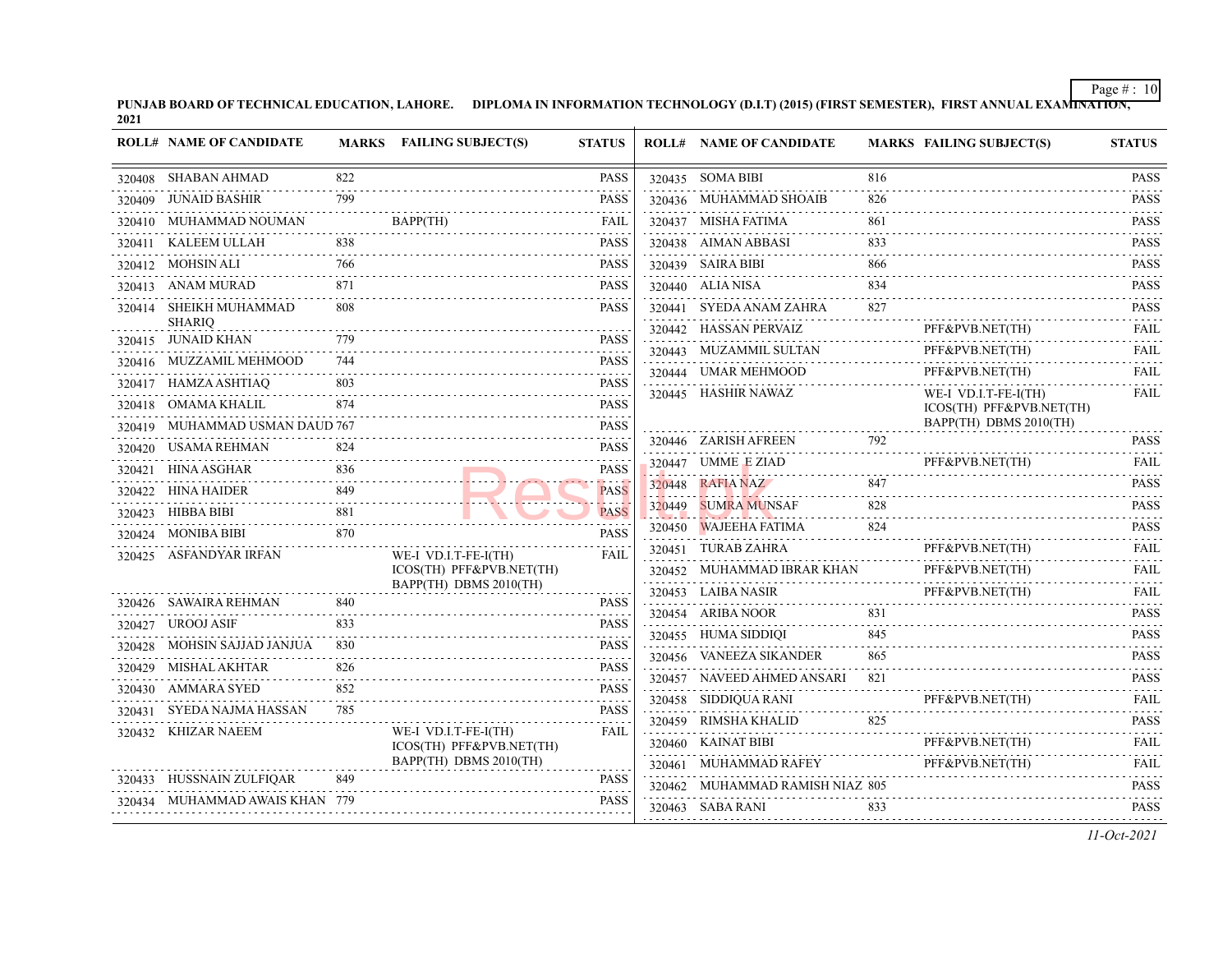PUNJAB BOARD OF TECHNICAL EDUCATION, LAHORE. DIPLOMA IN INFORMATION TECHNOLOGY (D.I.T) (2015) (FIRST SEMESTER), FIRST ANNUAL EXAMI<del>NATION,</del><br>2021

|        | <b>ROLL# NAME OF CANDIDATE</b>          |     | MARKS FAILING SUBJECT(S)                           | <b>STATUS</b>                                                                                                                                                                                  | <b>ROLL# NAME OF CANDIDATE</b>  |     | MARKS FAILING SUBJECT(S)                         | <b>STATUS</b>                                                                                                                                                                        |
|--------|-----------------------------------------|-----|----------------------------------------------------|------------------------------------------------------------------------------------------------------------------------------------------------------------------------------------------------|---------------------------------|-----|--------------------------------------------------|--------------------------------------------------------------------------------------------------------------------------------------------------------------------------------------|
|        | 320408 SHABAN AHMAD                     | 822 |                                                    | <b>PASS</b>                                                                                                                                                                                    | 320435 SOMA BIBI                | 816 |                                                  | <b>PASS</b>                                                                                                                                                                          |
|        | 320409 JUNAID BASHIR                    | 799 |                                                    | <b>PASS</b>                                                                                                                                                                                    | 320436 MUHAMMAD SHOAIB          | 826 |                                                  | <b>PASS</b><br>2.2.2.2.2.1                                                                                                                                                           |
|        | 320410 MUHAMMAD NOUMAN                  |     | BAPP(TH)                                           | FAIL                                                                                                                                                                                           | 320437 MISHA FATIMA             | 861 |                                                  | <b>PASS</b><br>.                                                                                                                                                                     |
|        | 320411 KALEEM ULLAH                     | 838 |                                                    | PASS                                                                                                                                                                                           | 320438 AIMAN ABBASI             | 833 |                                                  | <b>PASS</b>                                                                                                                                                                          |
|        | 320412 MOHSIN ALI                       | 766 |                                                    | <b>PASS</b>                                                                                                                                                                                    | 320439 SAIRA BIBI               | 866 |                                                  | <b>PASS</b><br>.                                                                                                                                                                     |
|        | 320413 ANAM MURAD                       | 871 |                                                    | PASS                                                                                                                                                                                           | 320440 ALIA NISA                | 834 |                                                  | <b>PASS</b>                                                                                                                                                                          |
|        | 320414 SHEIKH MUHAMMAD<br><b>SHARIQ</b> | 808 |                                                    | <b>PASS</b>                                                                                                                                                                                    | 320441 SYEDA ANAM ZAHRA         | 827 |                                                  | <b>PASS</b><br>.                                                                                                                                                                     |
|        | 320415 JUNAID KHAN                      | 779 |                                                    | PASS                                                                                                                                                                                           | 320442 HASSAN PERVAIZ           |     | PFF&PVB.NET(TH)                                  | FAIL<br>$-1 - 1 - 1 - 1$                                                                                                                                                             |
|        | 320416 MUZZAMIL MEHMOOD                 | 744 |                                                    | .<br><b>PASS</b>                                                                                                                                                                               | 320443 MUZAMMIL SULTAN          |     | PFF&PVB.NET(TH)                                  | <b>FAIL</b>                                                                                                                                                                          |
|        | 320417 HAMZA ASHTIAQ                    | 803 |                                                    | 2022 C<br>PASS                                                                                                                                                                                 | 320444 UMAR MEHMOOD             |     | PFF&PVB.NET(TH)                                  | <b>FAIL</b>                                                                                                                                                                          |
|        | 320418 OMAMA KHALIL                     | 874 |                                                    | <b>PASS</b>                                                                                                                                                                                    | 320445 HASHIR NAWAZ             |     | WE-I VD.I.T-FE-I(TH)<br>ICOS(TH) PFF&PVB.NET(TH) | <b>FAIL</b>                                                                                                                                                                          |
|        | 320419 MUHAMMAD USMAN DAUD 767          |     |                                                    | <b>PASS</b>                                                                                                                                                                                    |                                 |     | BAPP(TH) DBMS 2010(TH)                           |                                                                                                                                                                                      |
|        | 320420 USAMA REHMAN                     | 824 |                                                    | <b>PASS</b>                                                                                                                                                                                    | 320446 ZARISH AFREEN            | 792 |                                                  | <b>PASS</b><br>$-1 - 1 - 1 - 1$                                                                                                                                                      |
| 320421 | <b>HINA ASGHAR</b>                      | 836 |                                                    | <b>PASS</b>                                                                                                                                                                                    | 320447 UMME E ZIAD              |     | PFF&PVB.NET(TH)                                  | <b>FAIL</b><br>.                                                                                                                                                                     |
|        | 320422 HINA HAIDER                      | 849 |                                                    | <b>PASS</b>                                                                                                                                                                                    | 320448 RAFIA NAZ                | 847 |                                                  | <b>PASS</b><br>.                                                                                                                                                                     |
|        | 320423 HIBBA BIBI                       | 881 |                                                    | <b>PASS</b>                                                                                                                                                                                    | 320449 SUMRA MUNSAF             | 828 |                                                  | <b>PASS</b>                                                                                                                                                                          |
|        | 320424 MONIBA BIBI                      | 870 |                                                    | PASS                                                                                                                                                                                           | 320450 WAJEEHA FATIMA           | 824 |                                                  | <b>PASS</b><br>.                                                                                                                                                                     |
|        | 320425 ASFANDYAR IRFAN                  |     | WE-I VD.I.T-FE-I(TH)                               | FAIL                                                                                                                                                                                           | 320451 TURAB ZAHRA              |     | PFF&PVB.NET(TH)                                  | <b>FAIL</b>                                                                                                                                                                          |
|        |                                         |     | ICOS(TH) PFF&PVB.NET(TH)<br>BAPP(TH) DBMS 2010(TH) |                                                                                                                                                                                                | 320452 MUHAMMAD IBRAR KHAN      |     | PFF&PVB.NET(TH)                                  | FAIL<br>.                                                                                                                                                                            |
|        | 320426 SAWAIRA REHMAN                   | 840 |                                                    | <b>PASS</b>                                                                                                                                                                                    | 320453 LAIBA NASIR              |     | PFF&PVB.NET(TH)                                  | FAIL<br>$\mathcal{L}^{\mathcal{A}}\left( \mathcal{L}^{\mathcal{A}}\left( \mathcal{L}^{\mathcal{A}}\right) \right) =\mathcal{L}^{\mathcal{A}}\left( \mathcal{L}^{\mathcal{A}}\right)$ |
|        | 320427 UROOJ ASIF                       | 833 |                                                    | .<br><b>PASS</b>                                                                                                                                                                               | 320454 ARIBA NOOR               | 831 |                                                  | <b>PASS</b>                                                                                                                                                                          |
|        | 320428 MOHSIN SAJJAD JANJUA             | 830 |                                                    | $\frac{1}{2} \left( \frac{1}{2} \right) \left( \frac{1}{2} \right) \left( \frac{1}{2} \right) \left( \frac{1}{2} \right) \left( \frac{1}{2} \right) \left( \frac{1}{2} \right)$<br><b>PASS</b> | 320455 HUMA SIDDIQI             | 845 |                                                  | <b>PASS</b><br>.                                                                                                                                                                     |
|        | 320429 MISHAL AKHTAR                    | 826 |                                                    | <b>PASS</b>                                                                                                                                                                                    | 320456 VANEEZA SIKANDER         | 865 |                                                  | <b>PASS</b><br>.                                                                                                                                                                     |
|        | 320430 AMMARA SYED                      | 852 |                                                    | <b>PASS</b>                                                                                                                                                                                    | 320457 NAVEED AHMED ANSARI      | 821 |                                                  | <b>PASS</b><br>.                                                                                                                                                                     |
| 320431 | SYEDA NAJMA HASSAN                      | 785 |                                                    | <b>PASS</b>                                                                                                                                                                                    | 320458 SIDDIQUA RANI            |     | PFF&PVB.NET(TH)                                  | <b>FAIL</b><br>.                                                                                                                                                                     |
|        | 320432 KHIZAR NAEEM                     |     | WE-I VD.I.T-FE-I(TH)                               | <b>FAIL</b>                                                                                                                                                                                    | 320459 RIMSHA KHALID            | 825 |                                                  | <b>PASS</b>                                                                                                                                                                          |
|        |                                         |     | ICOS(TH) PFF&PVB.NET(TH)                           |                                                                                                                                                                                                | 320460 KAINAT BIBI              |     | PFF&PVB.NET(TH)                                  | FAIL                                                                                                                                                                                 |
|        |                                         |     | BAPP(TH) DBMS 2010(TH)                             |                                                                                                                                                                                                | 320461 MUHAMMAD RAFEY           |     | PFF&PVB.NET(TH)                                  | <b>FAIL</b><br>.                                                                                                                                                                     |
|        | 320433 HUSSNAIN ZULFIQAR                | 849 |                                                    | <b>PASS</b><br>.                                                                                                                                                                               | 320462 MUHAMMAD RAMISH NIAZ 805 |     |                                                  | <b>PASS</b><br>$-1 - 1 - 1 - 1$                                                                                                                                                      |
|        | 320434 MUHAMMAD AWAIS KHAN 779          |     |                                                    | <b>PASS</b>                                                                                                                                                                                    | 320463 SABA RANI                | 833 |                                                  | <b>PASS</b>                                                                                                                                                                          |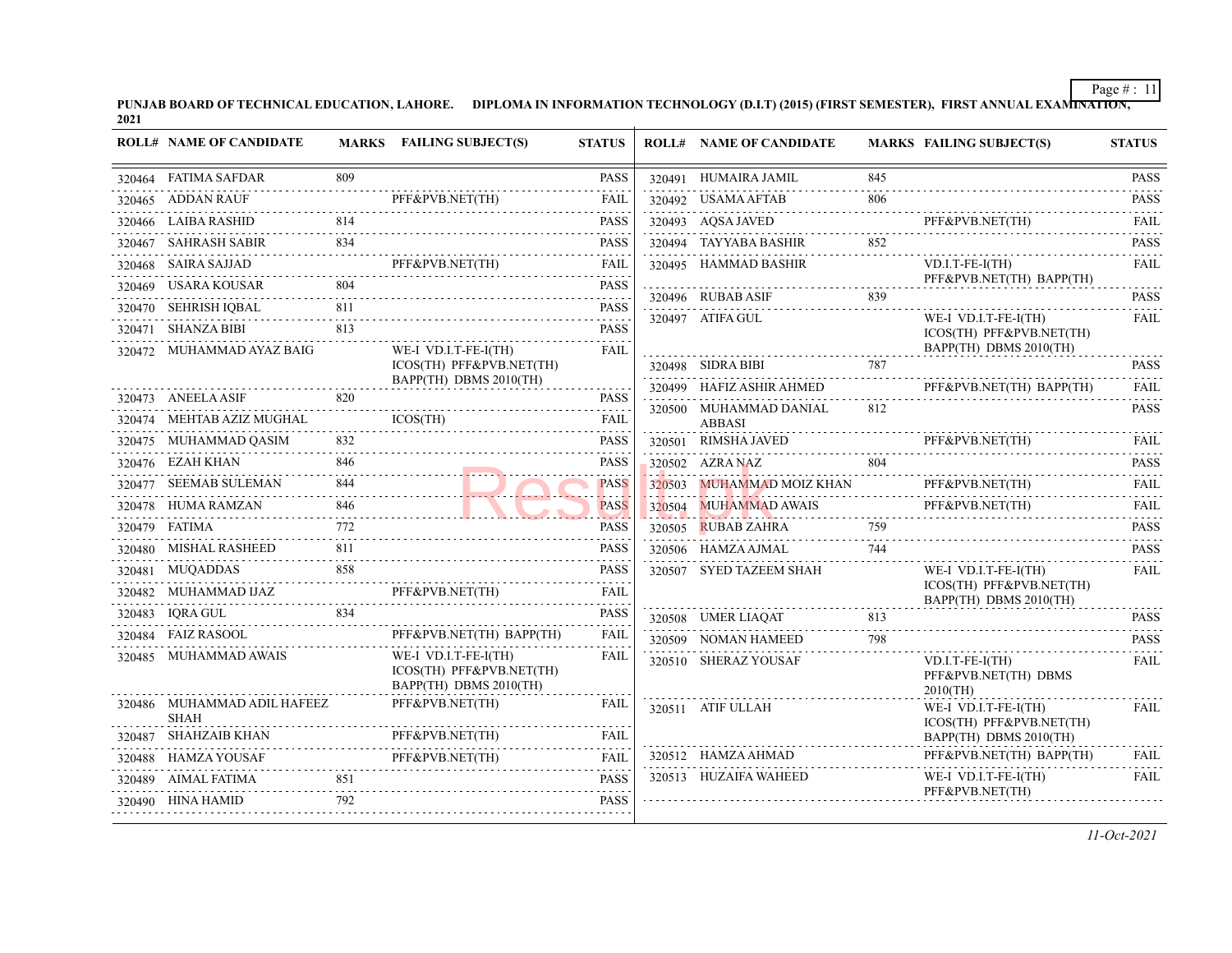PUNJAB BOARD OF TECHNICAL EDUCATION, LAHORE. DIPLOMA IN INFORMATION TECHNOLOGY (D.I.T) (2015) (FIRST SEMESTER), FIRST ANNUAL EXAMI<del>NATION,</del><br>2021

| <b>ROLL# NAME OF CANDIDATE</b>                          |     | MARKS FAILING SUBJECT(S)                                                   | <b>STATUS</b>        | <b>ROLL# NAME OF CANDIDATE</b> |     | MARKS FAILING SUBJECT(S)                                                                                               | <b>STATUS</b>    |
|---------------------------------------------------------|-----|----------------------------------------------------------------------------|----------------------|--------------------------------|-----|------------------------------------------------------------------------------------------------------------------------|------------------|
| 320464 FATIMA SAFDAR<br>******************************* | 809 |                                                                            | <b>PASS</b>          | 320491 HUMAIRA JAMIL           | 845 |                                                                                                                        | <b>PASS</b>      |
| 320465 ADDAN RAUF                                       |     | PFF&PVB.NET(TH)                                                            |                      | 320492 USAMA AFTAB             | 806 |                                                                                                                        | <b>PASS</b><br>. |
| 320466 LAIBA RASHID                                     | 814 |                                                                            | <b>PASS</b>          | 320493 AQSA JAVED              |     | PFF&PVB.NET(TH)<br>PFF&PVB.NET(TH) FAIL                                                                                | <b>FAIL</b>      |
| 320467 SAHRASH SABIR                                    | 834 |                                                                            | <b>PASS</b>          | 320494 TAYYABA BASHIR          | 852 |                                                                                                                        | <b>PASS</b>      |
|                                                         |     | 320468 SAIRA SAJJAD PFF&PVB.NET(TH)                                        | <b>FAIL</b><br>.     | 320495 HAMMAD BASHIR           |     | $VD.I.T-FE-I(TH)$                                                                                                      | <b>FAIL</b>      |
|                                                         |     | 320469 USARA KOUSAR 804<br>320469 USARA KOUSAR 804                         | <b>PASS</b>          | 320496 RUBAB ASIF              | 839 | PFF&PVB.NET(TH) BAPP(TH)                                                                                               | <b>PASS</b>      |
|                                                         |     | 320470 SEHRISH IQBAL PASS                                                  | <b>PASS</b>          | 320497 ATIFA GUL               |     | WE-I VD.I.T-FE-I(TH)                                                                                                   | FAIL             |
| 320471 SHANZA BIBI                                      | 813 |                                                                            | <b>PASS</b>          |                                |     | ICOS(TH) PFF&PVB.NET(TH)                                                                                               |                  |
| 320472 MUHAMMAD AYAZ BAIG                               |     | WE-I VD.I.T-FE-I(TH)<br>ICOS(TH) PFF&PVB.NET(TH)                           | <b>FAIL</b>          | 320498 SIDRA BIBI 787          |     | BAPP(TH) DBMS 2010(TH)                                                                                                 | <b>PASS</b>      |
|                                                         |     | BAPP(TH) DBMS 2010(TH)                                                     |                      |                                |     |                                                                                                                        | FAIL             |
| 320473 ANEELA ASIF                                      | 820 |                                                                            | <b>PASS</b>          | 320500 MUHAMMAD DANIAL         | 812 | $\begin{tabular}{c} \textbf{320499} \quad HAFIZ ASHIR AHMED \quad \quad PFF\&PVB.NET(TH) \quad BAPP(TH) \end{tabular}$ | <b>PASS</b>      |
| 320474 MEHTAB AZIZ MUGHAL                               |     | ICOS(TH)                                                                   | FAIL                 | <b>ABBASI</b>                  |     |                                                                                                                        |                  |
| 320475 MUHAMMAD QASIM                                   |     |                                                                            | <b>PASS</b>          |                                |     | 320501 RIMSHA JAVED PFF&PVB.NET(TH) FAIL                                                                               |                  |
| 320476 EZAH KHAN                                        | 846 |                                                                            | <b>PASS</b>          |                                |     | 320502 AZRA NAZ PASS                                                                                                   |                  |
| 320477 SEEMAB SULEMAN 844                               |     |                                                                            | <b>PASS</b>          |                                |     | 320503 MUHAMMAD MOIZ KHAN PFF&PVB.NET(TH)<br>320504 MUHAMMAD AWAIS PFF&PVB.NET(TH)                                     | <b>FAIL</b>      |
| 320478 HUMA RAMZAN 846                                  | 846 |                                                                            | <b>PASS</b>          |                                |     | 320504 MUHAMMAD AWAIS PFF&PVB.NET(TH)                                                                                  | FAIL<br>.        |
| 320479 FATIMA                                           | 772 |                                                                            | <b>PASS</b>          | 320505 RUBAB ZAHRA 759         |     |                                                                                                                        | <b>PASS</b>      |
|                                                         |     |                                                                            | <b>PASS</b>          | 320506 HAMZA AJMAL             | 744 |                                                                                                                        | <b>PASS</b>      |
| 320481 MUQADDAS                                         | 858 |                                                                            | <b>PASS</b>          | 320507 SYED TAZEEM SHAH        |     | WE-I VD.I.T-FE-I(TH)                                                                                                   | <b>FAIL</b>      |
|                                                         |     | 320482 MUHAMMAD IJAZ PFF&PVB.NET(TH)                                       | FAIL                 |                                |     | ICOS(TH) PFF&PVB.NET(TH)<br>BAPP(TH) DBMS 2010(TH)                                                                     |                  |
|                                                         |     |                                                                            | <b>PASS</b>          |                                |     | 320508 UMER LIAQAT 813                                                                                                 | <b>PASS</b>      |
| 320484 FAIZ RASOOL                                      |     | PFF&PVB.NET(TH) BAPP(TH)                                                   | <b>FAIL</b>          | 320509 NOMAN HAMEED            | 798 |                                                                                                                        | <b>PASS</b>      |
| 320485 MUHAMMAD AWAIS                                   |     | WE-I VD.I.T-FE-I(TH)<br>ICOS(TH) PFF&PVB.NET(TH)<br>BAPP(TH) DBMS 2010(TH) | <b>FAIL</b>          | 320510 SHERAZ YOUSAF           |     | $VD.I.T-FE-I(TH)$<br>PFF&PVB.NET(TH) DBMS<br>$2010$ (TH)                                                               | <b>FAIL</b>      |
| 320486 MUHAMMAD ADIL HAFEEZ<br><b>SHAH</b>              |     | PFF&PVB.NET(TH)                                                            | FAIL                 | 320511 ATIF ULLAH              |     | WE-I VD.I.T-FE-I(TH)                                                                                                   | FAIL             |
| 320487 SHAHZAIB KHAN                                    |     | PFF&PVB.NET(TH)                                                            |                      |                                |     | ICOS(TH) PFF&PVB.NET(TH)<br>BAPP(TH) DBMS 2010(TH)                                                                     |                  |
|                                                         |     | 320488 HAMZA YOUSAF PFF&PVB.NET(TH)                                        | <b>FAIL</b>          | 320512 HAMZA AHMAD             |     | PFF&PVB.NET(TH) BAPP(TH)                                                                                               | FAIL.            |
|                                                         | 851 |                                                                            | <b>PASS</b>          | 320513 HUZAIFA WAHEED          |     | WE-I VD.I.T-FE-I(TH)                                                                                                   | FAIL             |
| 320490 HINA HAMID                                       | 792 | 20490 HINA HAMID 792 PASS                                                  | $\alpha$ is a set of |                                |     | PFF&PVB.NET(TH)                                                                                                        |                  |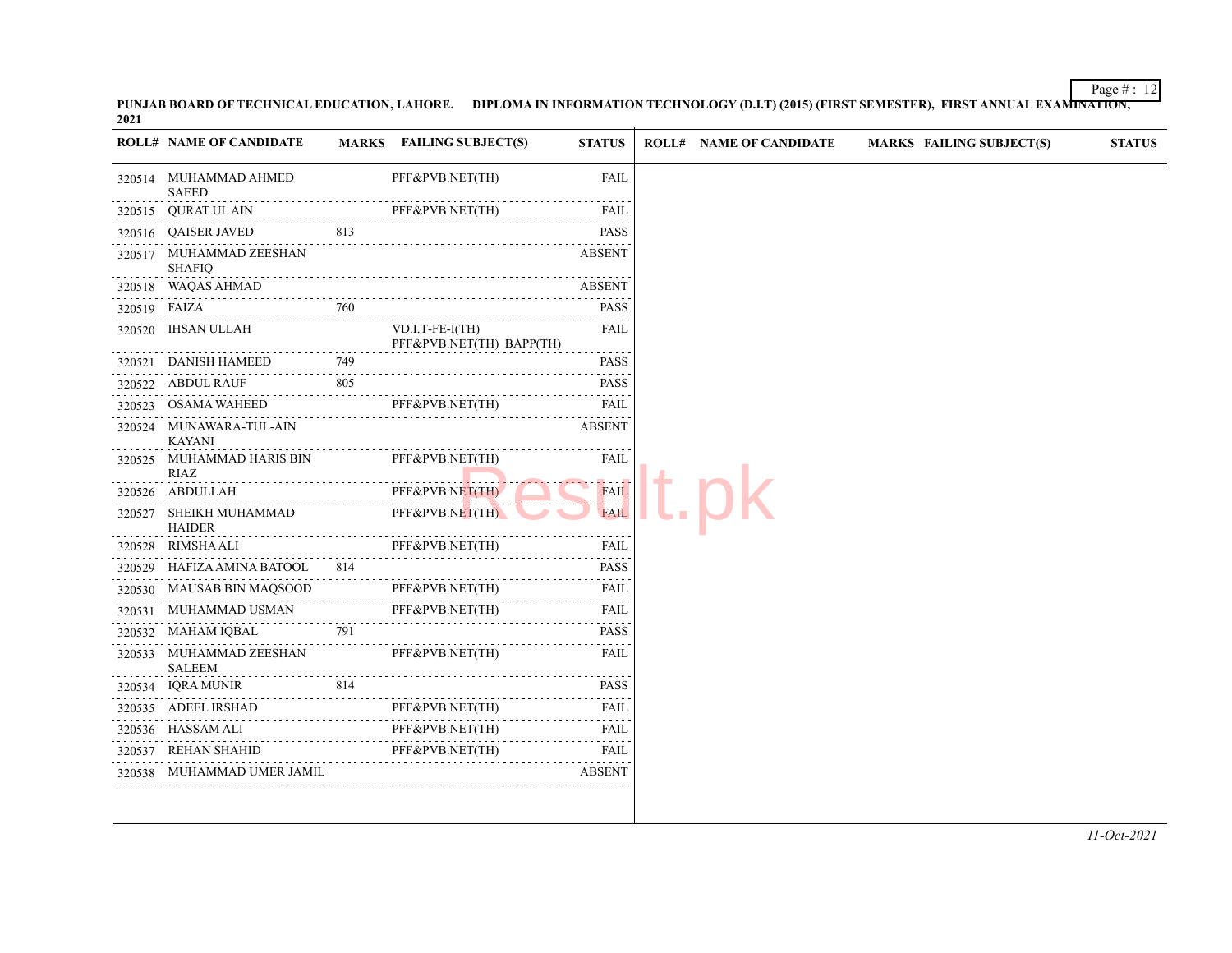PUNJAB BOARD OF TECHNICAL EDUCATION, LAHORE. DIPLOMA IN INFORMATION TECHNOLOGY (D.I.T) (2015) (FIRST SEMESTER), FIRST ANNUAL EXAMI<del>NATION,</del><br>2021

|              | <b>ROLL# NAME OF CANDIDATE</b>           |          | MARKS FAILING SUBJECT(S)                     | <b>STATUS</b>                                                                                                                            | <b>ROLL# NAME OF CANDIDATE</b> | <b>MARKS FAILING SUBJECT(S)</b> | <b>STATUS</b> |
|--------------|------------------------------------------|----------|----------------------------------------------|------------------------------------------------------------------------------------------------------------------------------------------|--------------------------------|---------------------------------|---------------|
|              | 320514 MUHAMMAD AHMED<br><b>SAEED</b>    |          | PFF&PVB.NET(TH)                              | FAIL                                                                                                                                     |                                |                                 |               |
|              | 320515 QURAT UL AIN                      |          | PFF&PVB.NET(TH)                              | FAIL                                                                                                                                     |                                |                                 |               |
|              | 320516 QAISER JAVED                      | 813<br>. |                                              | المناصبات<br><b>PASS</b>                                                                                                                 |                                |                                 |               |
|              | 320517 MUHAMMAD ZEESHAN<br><b>SHAFIQ</b> |          |                                              | <b>ABSENT</b>                                                                                                                            |                                |                                 |               |
| 320518       | WAQAS AHMAD                              |          |                                              | <b>ABSENT</b>                                                                                                                            |                                |                                 |               |
| 320519 FAIZA |                                          | 760      |                                              | <b>PASS</b>                                                                                                                              |                                |                                 |               |
| 320520       | IHSAN ULLAH<br>.                         |          | VD.I.T-FE-I(TH)<br>PFF&PVB.NET(TH) BAPP(TH)  | FAIL                                                                                                                                     |                                |                                 |               |
|              | 320521 DANISH HAMEED<br>EED 749          | 749      |                                              | <b>PASS</b><br>$\frac{1}{2} \left( \frac{1}{2} \right) \left( \frac{1}{2} \right) \left( \frac{1}{2} \right) \left( \frac{1}{2} \right)$ |                                |                                 |               |
|              | 320522 ABDUL RAUF                        | 805      |                                              | <b>PASS</b>                                                                                                                              |                                |                                 |               |
|              | 320523 OSAMA WAHEED                      |          | PFF&PVB.NET(TH)                              | FAIL                                                                                                                                     |                                |                                 |               |
|              | 320524 MUNAWARA-TUL-AIN<br>KAYANI        | .        |                                              | <b>ABSENT</b>                                                                                                                            |                                |                                 |               |
|              | 320525 MUHAMMAD HARIS BIN<br>RIAZ        |          | PFF&PVB.NET(TH)<br>. <mark>.</mark>          | FAIL                                                                                                                                     |                                |                                 |               |
|              | 320526 ABDULLAH                          |          | PFF&PVB.NET(TH)                              | <b>FAIL</b><br><b>.</b>                                                                                                                  |                                |                                 |               |
| 320527       | SHEIKH MUHAMMAD<br>HAIDER                |          | PFF&PVB.NET(TH)                              | <b>FAIL</b>                                                                                                                              |                                |                                 |               |
| 320528       | RIMSHA ALI                               |          | PFF&PVB.NET(TH)<br>$111 \times 10^{10} (11)$ | FAIL                                                                                                                                     |                                |                                 |               |
|              | 320529 HAFIZA AMINA BATOOL 814           |          |                                              | <b>PASS</b>                                                                                                                              |                                |                                 |               |
|              | 320530 MAUSAB BIN MAQSOOD                |          | PFF&PVB.NET(TH)                              | FAIL                                                                                                                                     |                                |                                 |               |
|              | 320531 MUHAMMAD USMAN                    |          | PFF&PVB.NET(TH)                              | FAIL<br>.                                                                                                                                |                                |                                 |               |
|              | 320532 MAHAM IQBAL                       | 791      |                                              | <b>PASS</b><br>$- - - - - - -$                                                                                                           |                                |                                 |               |
|              | 320533 MUHAMMAD ZEESHAN<br><b>SALEEM</b> |          | PFF&PVB.NET(TH)                              | FAIL                                                                                                                                     |                                |                                 |               |
|              | 320534 IQRA MUNIR<br>814                 | 814      |                                              | <b>PASS</b><br>$\omega$ is a second set of $\omega$                                                                                      |                                |                                 |               |
|              | 320535 ADEEL IRSHAD                      |          | PFF&PVB.NET(TH)                              | FAIL                                                                                                                                     |                                |                                 |               |
|              | 320536 HASSAM ALI                        | .        | PFF&PVB.NET(TH)                              | FAIL                                                                                                                                     |                                |                                 |               |
|              | 320537 REHAN SHAHID                      |          | PFF&PVB.NET(TH)                              | FAIL                                                                                                                                     |                                |                                 |               |
|              | 320538 MUHAMMAD UMER JAMIL               |          |                                              | <b>ABSENT</b>                                                                                                                            |                                |                                 |               |

*11-Oct-2021*

Page  $\# : 12$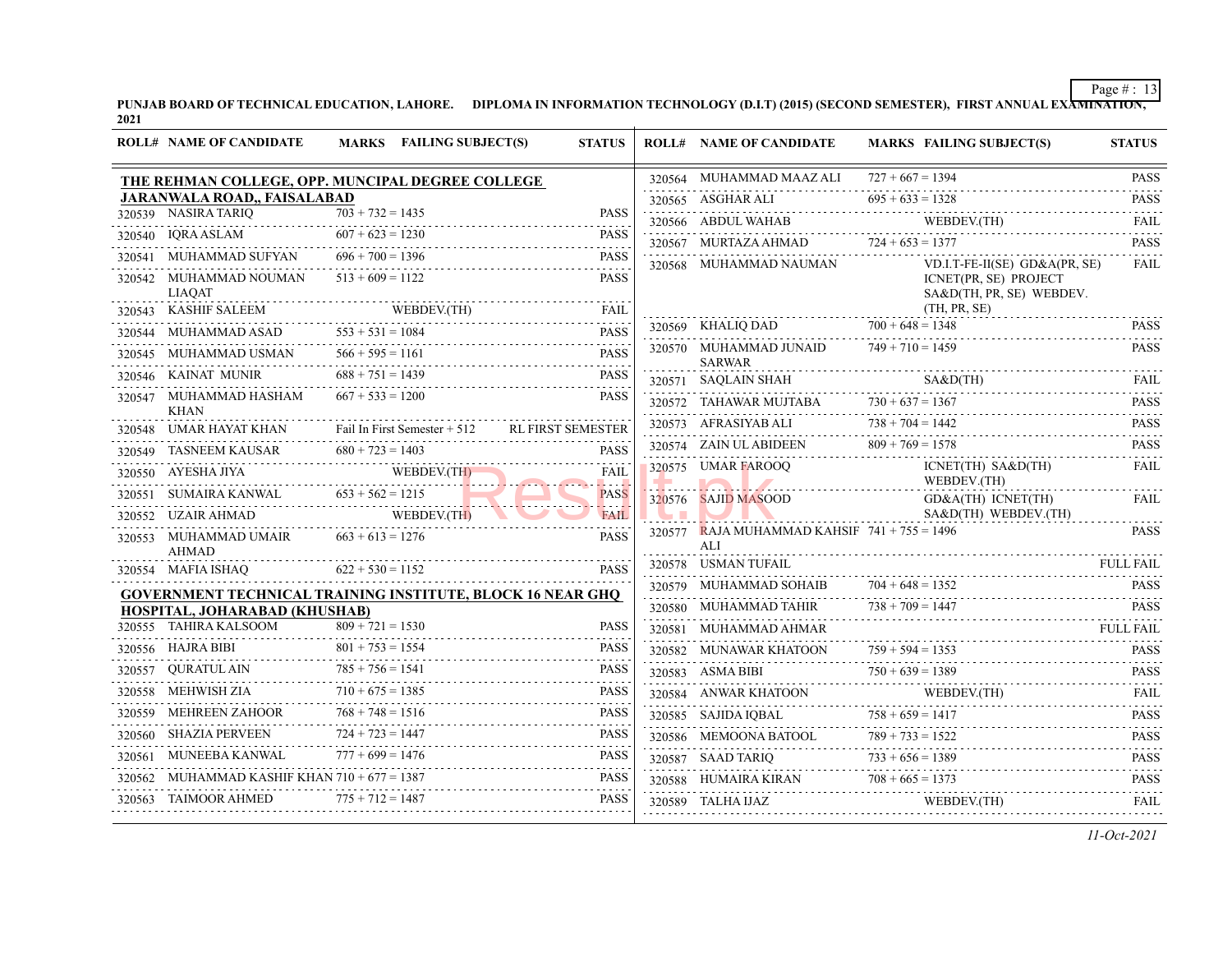PUNJAB BOARD OF TECHNICAL EDUCATION, LAHORE. DIPLOMA IN INFORMATION TECHNOLOGY (D.I.T) (2015) (SECOND SEMESTER), FIRST ANNUAL EXA<del>MINATION,</del><br>2021

|        | <b>ROLL# NAME OF CANDIDATE</b>                                        |                    | MARKS FAILING SUBJECT(S) | <b>STATUS</b>              | <b>ROLL# NAME OF CANDIDATE</b>                                    | <b>MARKS FAILING SUBJECT(S)</b>                                                                                                                                                                                                                                                                                                     | <b>STATUS</b>                                                                                                                                                                                                                                                                                                                                     |
|--------|-----------------------------------------------------------------------|--------------------|--------------------------|----------------------------|-------------------------------------------------------------------|-------------------------------------------------------------------------------------------------------------------------------------------------------------------------------------------------------------------------------------------------------------------------------------------------------------------------------------|---------------------------------------------------------------------------------------------------------------------------------------------------------------------------------------------------------------------------------------------------------------------------------------------------------------------------------------------------|
|        | THE REHMAN COLLEGE, OPP. MUNCIPAL DEGREE COLLEGE                      |                    |                          |                            | 320564 MUHAMMAD MAAZ ALI                                          | $727 + 667 = 1394$                                                                                                                                                                                                                                                                                                                  | <b>PASS</b>                                                                                                                                                                                                                                                                                                                                       |
|        | <b>JARANWALA ROAD,, FAISALABAD</b>                                    |                    |                          |                            | 320565 ASGHAR ALI                                                 | $695 + 633 = 1328$                                                                                                                                                                                                                                                                                                                  | .<br><b>PASS</b>                                                                                                                                                                                                                                                                                                                                  |
|        | 320539 NASIRA TARIQ                                                   | $703 + 732 = 1435$ |                          | <b>PASS</b>                | 320566 ABDUL WAHAB                                                | WEBDEV.(TH)<br>WEBDEV(TH)                                                                                                                                                                                                                                                                                                           | .<br><b>FAIL</b>                                                                                                                                                                                                                                                                                                                                  |
|        | 320540 IQRA ASLAM                                                     | $607 + 623 = 1230$ |                          | <b>PASS</b>                | 320567 MURTAZA AHMAD $724 + 653 = 1377$                           |                                                                                                                                                                                                                                                                                                                                     | <b>PASS</b>                                                                                                                                                                                                                                                                                                                                       |
|        | 320541 MUHAMMAD SUFYAN                                                | $696 + 700 = 1396$ |                          | <b>PASS</b><br>and a state | 320568 MUHAMMAD NAUMAN                                            | VD.I.T-FE-II(SE) GD&A(PR, SE)                                                                                                                                                                                                                                                                                                       | FAIL                                                                                                                                                                                                                                                                                                                                              |
|        | 320542 MUHAMMAD NOUMAN<br><b>LIAOAT</b>                               | $513 + 609 = 1122$ |                          | <b>PASS</b>                |                                                                   | ICNET(PR, SE) PROJECT<br>SA&D(TH, PR, SE) WEBDEV.                                                                                                                                                                                                                                                                                   |                                                                                                                                                                                                                                                                                                                                                   |
|        | 320543 KASHIF SALEEM                                                  |                    | WEBDEV.(TH)              | WEBDEV.(TH) FAIL           |                                                                   | (TH, PR, SE)                                                                                                                                                                                                                                                                                                                        |                                                                                                                                                                                                                                                                                                                                                   |
|        | 320544 MUHAMMAD ASAD                                                  | $553 + 531 = 1084$ |                          | <b>PASS</b>                | 320569 KHALIQ DAD $700 + 648 = 1348$                              |                                                                                                                                                                                                                                                                                                                                     | <b>PASS</b><br>$\frac{1}{2} \left( \begin{array}{ccc} 1 & 0 & 0 & 0 & 0 \\ 0 & 0 & 0 & 0 & 0 \\ 0 & 0 & 0 & 0 & 0 \\ 0 & 0 & 0 & 0 & 0 \\ 0 & 0 & 0 & 0 & 0 \\ 0 & 0 & 0 & 0 & 0 \\ 0 & 0 & 0 & 0 & 0 \\ 0 & 0 & 0 & 0 & 0 \\ 0 & 0 & 0 & 0 & 0 \\ 0 & 0 & 0 & 0 & 0 \\ 0 & 0 & 0 & 0 & 0 \\ 0 & 0 & 0 & 0 & 0 \\ 0 & 0 & 0 & 0 & 0 \\ 0 & 0 & 0$ |
|        | 320545     MUHAMMAD USMAN                                             | $566 + 595 = 1161$ |                          | <b>PASS</b>                | 320570 MUHAMMAD JUNAID $749 + 710 = 1459$<br><b>SARWAR</b>        |                                                                                                                                                                                                                                                                                                                                     | <b>PASS</b>                                                                                                                                                                                                                                                                                                                                       |
|        | 320546 KAINAT MUNIR                                                   | $688 + 751 = 1439$ |                          | <b>PASS</b>                |                                                                   | S A & D(TH)<br>320571 SAQLAIN SHAH SA&D(TH) FAIL SARE CHEER SARE CHEER AND SARE CHEER SARE CHEER AND SARE CHEER SARE CHEER SARE CHEER SARE CHEER SARE CHEER SARE CHEER SARE CHEER SARE CHEER SARE CHEER SARE CHEER SARE CHEER SARE CHEER SARE                                                                                       |                                                                                                                                                                                                                                                                                                                                                   |
|        | 320547 MUHAMMAD HASHAM<br><b>KHAN</b>                                 | $667 + 533 = 1200$ |                          | <b>PASS</b>                | 320572 TAHAWAR MUJTABA $730 + 637 = 1367$                         |                                                                                                                                                                                                                                                                                                                                     | <b>PASS</b><br>.                                                                                                                                                                                                                                                                                                                                  |
|        | 320548 UMAR HAYAT KHAN Fail In First Semester + 512 RL FIRST SEMESTER |                    |                          |                            |                                                                   | 320573 AFRASIYAB ALI $738 + 704 = 1442$                                                                                                                                                                                                                                                                                             | <b>PASS</b><br>$-1 - 1 - 1 - 1$                                                                                                                                                                                                                                                                                                                   |
|        | 320549 TASNEEM KAUSAR $680 + 723 = 1403$                              |                    |                          | <b>PASS</b>                |                                                                   | 320574 ZAIN ULABIDEEN $809 + 769 = 1578$ PASS                                                                                                                                                                                                                                                                                       |                                                                                                                                                                                                                                                                                                                                                   |
|        | 320550 AYESHA JIYA                                                    |                    | WEBDEV.(TH)              | FAIL<br><b>Salary Adam</b> | 320575 UMAR FAROOQ                                                | ICNET(TH) SA&D(TH)<br>WEBDEV.(TH)                                                                                                                                                                                                                                                                                                   | <b>FAIL</b>                                                                                                                                                                                                                                                                                                                                       |
|        | 320551 SUMAIRA KANWAL $653 + 562 = 1215$                              |                    |                          | <b>PASS</b>                | 320576 SAJID MASOOD                                               | GD&A(TH) ICNET(TH)                                                                                                                                                                                                                                                                                                                  | <b>FAIL</b>                                                                                                                                                                                                                                                                                                                                       |
|        | 320552 UZAIR AHMAD                                                    |                    | WEBDEV.(TH)              | <b>FAIL</b>                |                                                                   | SA&D(TH) WEBDEV.(TH)                                                                                                                                                                                                                                                                                                                |                                                                                                                                                                                                                                                                                                                                                   |
|        | 320553 MUHAMMAD UMAIR $663 + 613 = 1276$<br><b>AHMAD</b>              |                    |                          | <b>PASS</b>                | 320577 RAJA MUHAMMAD KAHSIF 741 + 755 = 1496<br>ALI               |                                                                                                                                                                                                                                                                                                                                     | <b>PASS</b>                                                                                                                                                                                                                                                                                                                                       |
|        | 320554 MAFIA ISHAQ                                                    | $622 + 530 = 1152$ |                          | <b>PASS</b>                | 320578 USMAN TUFAIL                                               |                                                                                                                                                                                                                                                                                                                                     | FULL FAIL                                                                                                                                                                                                                                                                                                                                         |
|        | <b>GOVERNMENT TECHNICAL TRAINING INSTITUTE, BLOCK 16 NEAR GHQ</b>     |                    |                          |                            | 320579 MUHAMMAD SOHAIB                                            | $704 + 648 = 1352$<br>AD TAHIR $738 + 709 = 1447$ PASS<br>AD TAHIR $738 + 709 = 1447$                                                                                                                                                                                                                                               | <b>PASS</b>                                                                                                                                                                                                                                                                                                                                       |
|        | HOSPITAL, JOHARABAD (KHUSHAB)                                         |                    |                          |                            | 320580 MUHAMMAD TAHIR                                             | 320580 MUHAMMAD TAHIR $738 + 709 = 1447$ PASS                                                                                                                                                                                                                                                                                       |                                                                                                                                                                                                                                                                                                                                                   |
|        | 320555 TAHIRA KALSOOM                                                 | $809 + 721 = 1530$ |                          | <b>PASS</b>                | 320581 MUHAMMAD AHMAR                                             |                                                                                                                                                                                                                                                                                                                                     | FULL FAIL                                                                                                                                                                                                                                                                                                                                         |
|        | 320556 HAJRA BIBI                                                     | $801 + 753 = 1554$ |                          | <b>PASS</b>                | 320582 MUNAWAR KHATOON $759 + 594 = 1353$                         | AWAR KHATOON 759 + 594 = 1353 PASS                                                                                                                                                                                                                                                                                                  |                                                                                                                                                                                                                                                                                                                                                   |
| 320557 | QURATUL AIN                                                           | $785 + 756 = 1541$ |                          | <b>PASS</b>                |                                                                   | 320583 ASMA BIBI $750 + 639 = 1389$ PASS                                                                                                                                                                                                                                                                                            |                                                                                                                                                                                                                                                                                                                                                   |
|        | 320558 MEHWISH ZIA                                                    |                    | $710 + 675 = 1385$       | <b>PASS</b>                | ${\tt320584} \quad {\tt ANWAR\:KHATOON} \qquad {\tt WEBDEV.(TH)}$ |                                                                                                                                                                                                                                                                                                                                     | FAII.                                                                                                                                                                                                                                                                                                                                             |
|        | 320559 MEHREEN ZAHOOR                                                 | $768 + 748 = 1516$ |                          | <b>PASS</b>                |                                                                   | $758 + 659 = 1417$<br>320585 SAJIDA IQBAL 758 + 659 = 1417                                                                                                                                                                                                                                                                          | <b>PASS</b>                                                                                                                                                                                                                                                                                                                                       |
|        | 320560 SHAZIA PERVEEN $724 + 723 = 1447$ PASS                         |                    |                          | <b>PASS</b>                |                                                                   |                                                                                                                                                                                                                                                                                                                                     | .                                                                                                                                                                                                                                                                                                                                                 |
|        | 320561 MUNEEBA KANWAL                                                 | $777 + 699 = 1476$ |                          | PASS                       |                                                                   | $\begin{tabular}{c} 320586 \hspace{0.2cm} \textbf{MEMOONA BATOOL} \hspace{0.3cm} \textbf{789 + 733 = 1522} \hspace{0.3cm} \textbf{PASS} \\ \textbf{320587 \hspace{0.2cm} SAAD TARIQ} \hspace{0.3cm} \textbf{733 + 656 = 1389} \hspace{0.3cm} \textbf{PASS} \\ \textbf{733 + 656 = 1389} \hspace{0.3cm} \textbf{PASS} \end{tabular}$ |                                                                                                                                                                                                                                                                                                                                                   |
|        | 320562 MUHAMMAD KASHIF KHAN $710 + 677 = 1387$                        |                    |                          | <b>PASS</b>                |                                                                   | $\begin{tabular}{llllllll} \textbf{320588} & HUMAIRA KIRAN & \textbf{708 + 665 = 1373} & \textbf{PASS} \\ \textbf{320589} & TALHA JIAZ & \textbf{WEBDEV.(TH)} & \textbf{FAIL} \end{tabular}$                                                                                                                                        |                                                                                                                                                                                                                                                                                                                                                   |
|        | 320563 TAIMOOR AHMED                                                  | $775 + 712 = 1487$ |                          | <b>PASS</b>                |                                                                   |                                                                                                                                                                                                                                                                                                                                     |                                                                                                                                                                                                                                                                                                                                                   |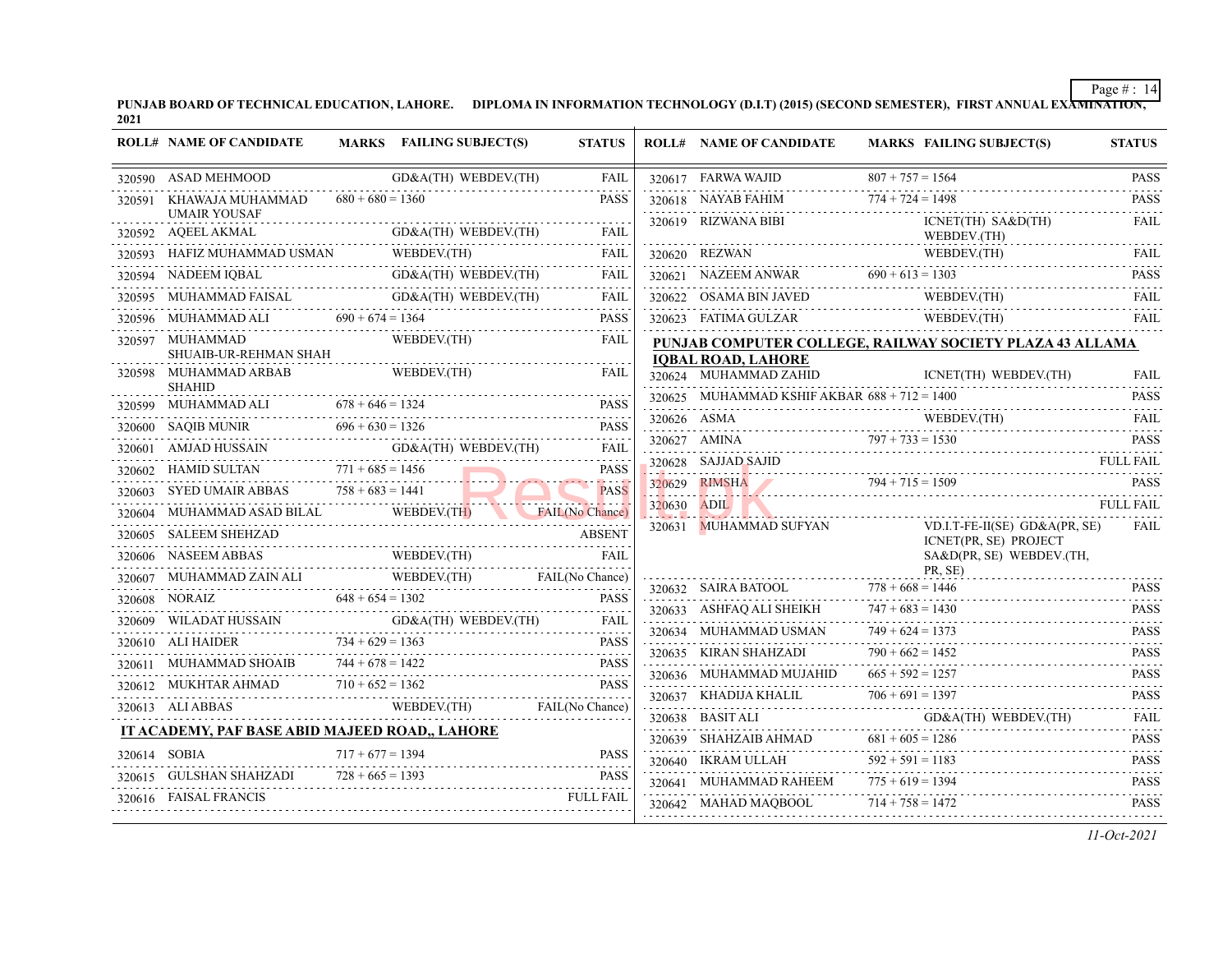PUNJAB BOARD OF TECHNICAL EDUCATION, LAHORE. DIPLOMA IN INFORMATION TECHNOLOGY (D.I.T) (2015) (SECOND SEMESTER), FIRST ANNUAL EXA<del>MINATION,</del><br>2021

|              | <b>ROLL# NAME OF CANDIDATE</b>                                                                                                                                                                                                                                                                                                                                                                                         |                    | MARKS FAILING SUBJECT(S)                                                                                                                                                                                               | <b>STATUS</b>                |             | <b>ROLL# NAME OF CANDIDATE</b>                                      | <b>MARKS FAILING SUBJECT(S)</b>                                                                                                                                                                                                                                                                                                                                                                                             | <b>STATUS</b>             |
|--------------|------------------------------------------------------------------------------------------------------------------------------------------------------------------------------------------------------------------------------------------------------------------------------------------------------------------------------------------------------------------------------------------------------------------------|--------------------|------------------------------------------------------------------------------------------------------------------------------------------------------------------------------------------------------------------------|------------------------------|-------------|---------------------------------------------------------------------|-----------------------------------------------------------------------------------------------------------------------------------------------------------------------------------------------------------------------------------------------------------------------------------------------------------------------------------------------------------------------------------------------------------------------------|---------------------------|
|              | 320590 ASAD MEHMOOD                                                                                                                                                                                                                                                                                                                                                                                                    |                    | GD&A(TH) WEBDEV.(TH)                                                                                                                                                                                                   | FAIL                         |             |                                                                     |                                                                                                                                                                                                                                                                                                                                                                                                                             |                           |
|              | 320591 KHAWAJA MUHAMMAD                                                                                                                                                                                                                                                                                                                                                                                                | $680 + 680 = 1360$ |                                                                                                                                                                                                                        | <b>PASS</b>                  |             |                                                                     | 320617 FARWA WAJID 807 + 757 = 1564 PASS<br>320618 NAYAB FAHIM 774 + 724 = 1498 PASS<br>720618 NAYAB FAHIM 774 + 724 = 1498 PASS                                                                                                                                                                                                                                                                                            |                           |
|              | <b>UMAIR YOUSAF</b><br>320592 AQEEL AKMAL                                                                                                                                                                                                                                                                                                                                                                              |                    | L GD&A(TH) WEBDEV(TH) FAIL                                                                                                                                                                                             |                              |             |                                                                     | ICNET(TH) SA&D(TH)<br>WEBDEV.(TH)                                                                                                                                                                                                                                                                                                                                                                                           | FAIL                      |
|              | 320593 HAFIZ MUHAMMAD USMAN W                                                                                                                                                                                                                                                                                                                                                                                          |                    | WEBDEV.(TH)                                                                                                                                                                                                            | FAIL                         |             |                                                                     |                                                                                                                                                                                                                                                                                                                                                                                                                             |                           |
|              | 320594 NADEEM IQBAL                                                                                                                                                                                                                                                                                                                                                                                                    |                    | GD&A(TH) WEBDEV.(TH) FAIL                                                                                                                                                                                              | FAIL                         |             |                                                                     | $\begin{tabular}{c} 320620 \quad REZWAN \qquad \qquad \text{WebDEC}(\text{TH}) \qquad \qquad \text{FAIL} \\ \hline 320621 \quad NAZEEM ANWAR \qquad \qquad 690 + 613 = 1303 \qquad \qquad \text{PASS} \\ \end{tabular}$                                                                                                                                                                                                     |                           |
|              | 320595 MUHAMMAD FAISAL GD&A(TH) WEBDEV.(TH) FAIL                                                                                                                                                                                                                                                                                                                                                                       |                    |                                                                                                                                                                                                                        |                              |             |                                                                     | 320622 OSAMA BIN JAVED WEBDEV.(TH) FAIL                                                                                                                                                                                                                                                                                                                                                                                     |                           |
|              | 320596 MUHAMMAD ALI $690 + 674 = 1364$                                                                                                                                                                                                                                                                                                                                                                                 |                    |                                                                                                                                                                                                                        | <b>PASS</b>                  |             |                                                                     | 320623 FATIMA GULZAR WEBDEV.(TH)                                                                                                                                                                                                                                                                                                                                                                                            | FAIL                      |
|              | 320597 MUHAMMAD                                                                                                                                                                                                                                                                                                                                                                                                        |                    | WEBDEV.(TH)                                                                                                                                                                                                            | FAIL                         |             |                                                                     | PUNJAB COMPUTER COLLEGE, RAILWAY SOCIETY PLAZA 43 ALLAMA                                                                                                                                                                                                                                                                                                                                                                    |                           |
|              | SHUAIB-UR-REHMAN SHAH<br>320598 MUHAMMAD ARBAB                                                                                                                                                                                                                                                                                                                                                                         |                    | WEBDEV.(TH)                                                                                                                                                                                                            | <b>FAIL</b>                  |             | <b>IQBAL ROAD, LAHORE</b><br>320624 MUHAMMAD ZAHID                  |                                                                                                                                                                                                                                                                                                                                                                                                                             |                           |
|              | <b>SHAHID</b>                                                                                                                                                                                                                                                                                                                                                                                                          |                    |                                                                                                                                                                                                                        |                              |             |                                                                     | ICNET(TH) WEBDEV.(TH)                                                                                                                                                                                                                                                                                                                                                                                                       | <b>FAIL</b>               |
|              | 320599 MUHAMMAD ALI $678 + 646 = 1324$ PASS                                                                                                                                                                                                                                                                                                                                                                            |                    |                                                                                                                                                                                                                        | <b>PASS</b>                  |             | 320625 MUHAMMAD KSHIF AKBAR $688 + 712 = 1400$                      |                                                                                                                                                                                                                                                                                                                                                                                                                             | <b>PASS</b>               |
|              | 320600 SAQIB MUNIR $696 + 630 = 1326$ PASS                                                                                                                                                                                                                                                                                                                                                                             |                    |                                                                                                                                                                                                                        |                              |             |                                                                     | $\begin{tabular}{c} 320626 & {\bf ASMA} & \hspace{0.1cm} {\bf WEBDEV(TH)} & \hspace{0.1cm} {\bf FAIL} \\ 320627 & {\bf AMINA} & \hspace{0.1cm} 797 + 733 = 1530 & \hspace{0.1cm} {\bf PASS} \\ \end{tabular}$                                                                                                                                                                                                               |                           |
|              | 320601 AMJAD HUSSAIN GD&A(TH) WEBDEV.(TH) FAIL                                                                                                                                                                                                                                                                                                                                                                         |                    |                                                                                                                                                                                                                        | FAIL                         |             |                                                                     |                                                                                                                                                                                                                                                                                                                                                                                                                             |                           |
|              | 320602 HAMID SULTAN $771 + 685 = 1456$                                                                                                                                                                                                                                                                                                                                                                                 |                    |                                                                                                                                                                                                                        | <b>PASS</b>                  |             |                                                                     | $320628$ SAJJAD SAJID<br>$320629$ NMSHA<br>$794 + 715 = 1509$ PASS<br>PASS                                                                                                                                                                                                                                                                                                                                                  |                           |
|              | 320603 SYED UMAIR ABBAS $758 + 683 = 1441$ PASS                                                                                                                                                                                                                                                                                                                                                                        |                    |                                                                                                                                                                                                                        | and the state<br><b>PASS</b> |             |                                                                     |                                                                                                                                                                                                                                                                                                                                                                                                                             |                           |
|              | 320604 MUHAMMAD ASAD BILAL WEBDEV. (TH) FAIL (No Chance)                                                                                                                                                                                                                                                                                                                                                               |                    |                                                                                                                                                                                                                        |                              | 320630 ADIL |                                                                     |                                                                                                                                                                                                                                                                                                                                                                                                                             |                           |
|              | 320605 SALEEM SHEHZAD                                                                                                                                                                                                                                                                                                                                                                                                  |                    | ل المستخدم العصد المستخدم المستخدم المستخدم المستخدم المستخدم المستخدم المستخدم المستخدم المستخدم ال<br>المستخدم المستخدم المستخدم المستخدم المستخدم المستخدم المستخدم المستخدم المستخدم المستخدم المستخدم المستخدم ال | <b>ABSENT</b>                |             | 320631 MUHAMMAD SUFYAN                                              | VD.I.T-FE-II(SE) $GD&A(PR, SE)$<br>ICNET(PR, SE) PROJECT                                                                                                                                                                                                                                                                                                                                                                    | FAIL                      |
|              | $\begin{tabular}{ll} \textbf{32060} & \textbf{NASEM ABBAS} & \textbf{WEBDEV(TH)} & \textbf{FAIL} \\ \textbf{132060} & \textbf{NASEM ABBAS} & \textbf{WEBDEV(TH)} \\ \end{tabular}$                                                                                                                                                                                                                                     |                    |                                                                                                                                                                                                                        |                              |             |                                                                     | SA&D(PR, SE) WEBDEV.(TH,                                                                                                                                                                                                                                                                                                                                                                                                    |                           |
|              | 320607 MUHAMMAD ZAIN ALI WEBDEV.(TH) FAIL (No Chance)                                                                                                                                                                                                                                                                                                                                                                  |                    |                                                                                                                                                                                                                        |                              |             |                                                                     | $PR, SE$<br>$320632$ SAIRA BATOOL $778 + 668 = 1446$ PASS<br>$778 + 668 = 1446$ PASS                                                                                                                                                                                                                                                                                                                                        |                           |
|              | $\begin{tabular}{c c c c c} \multicolumn{2}{c }{320608} \multicolumn{2}{c }{NORAIZ} & \multicolumn{2}{c }{648 + 654 = 1302} & \multicolumn{2}{c }{PASS} \\ \multicolumn{2}{c }{320609} \multicolumn{2}{c }{WILADAT HUSSAIN} & \multicolumn{2}{c }{GD&A(TH)} \multicolumn{2}{c }{WEBDEV(TH)} & \multicolumn{2}{c }{FAIL} \\ \multicolumn{2}{c }{320609} \multicolumn{2}{c }{WILADAT HUSSAIN} & \multicolumn{2}{c }{GD&$ |                    |                                                                                                                                                                                                                        |                              |             |                                                                     |                                                                                                                                                                                                                                                                                                                                                                                                                             | <b>PASS</b>               |
|              |                                                                                                                                                                                                                                                                                                                                                                                                                        |                    |                                                                                                                                                                                                                        |                              |             |                                                                     | 320633 ASHFAQ ALI SHEIKH $747 + 683 = 1430$                                                                                                                                                                                                                                                                                                                                                                                 |                           |
|              |                                                                                                                                                                                                                                                                                                                                                                                                                        |                    |                                                                                                                                                                                                                        | <b>PASS</b>                  |             |                                                                     | 320634 MUHAMMAD USMAN $749 + 624 = 1373$ PASS<br>$790 + 662 = 1452$                                                                                                                                                                                                                                                                                                                                                         |                           |
|              |                                                                                                                                                                                                                                                                                                                                                                                                                        |                    | SHOAIB $744 + 678 = 1422$ PASS                                                                                                                                                                                         | PASS                         |             | 320635 KIRAN SHAHZADI<br>320636 MUHAMMAD MUJAHID $665 + 592 = 1257$ | 320635 KIRAN SHAHZADI $790 + 662 = 1452$ PASS                                                                                                                                                                                                                                                                                                                                                                               |                           |
|              |                                                                                                                                                                                                                                                                                                                                                                                                                        |                    |                                                                                                                                                                                                                        |                              |             |                                                                     |                                                                                                                                                                                                                                                                                                                                                                                                                             | <b>PASS</b>               |
|              | $\begin{tabular}{c c c c c c c c c} \hline 320612 & MUKHTAR AHMAD & 710 + 652 = 1362 & \text{PASS} \\ 320613 & ALI ABBAS & \text{WEBDEV.(TH)} & \text{FAIL(No Chance)} \\ \hline \end{tabular}$                                                                                                                                                                                                                        |                    |                                                                                                                                                                                                                        |                              |             |                                                                     | $706 + 691 = 1397$<br>320637 KHADIJA KHALIL $706 + 691 = 1397$ PASS                                                                                                                                                                                                                                                                                                                                                         |                           |
|              | IT ACADEMY, PAF BASE ABID MAJEED ROAD,, LAHORE                                                                                                                                                                                                                                                                                                                                                                         |                    |                                                                                                                                                                                                                        |                              |             |                                                                     |                                                                                                                                                                                                                                                                                                                                                                                                                             | <b>FAIL</b><br>1.11111111 |
| 320614 SOBIA |                                                                                                                                                                                                                                                                                                                                                                                                                        |                    |                                                                                                                                                                                                                        | <b>PASS</b>                  |             |                                                                     | $\begin{tabular}{llllll} \multicolumn{2}{l}{{320638} } &{{BASIT ALL}} & $\multicolumn{2}{l}{GD&A(TH) WEBDEV(TH)}\\ & & $\multicolumn{2}{l}{320639} & $\multicolumn{2}{l}{SHAHZAIB AHMAD}$ & $\multicolumn{2}{l}{681+605=1286} \\ & & $\multicolumn{2}{l}{320639} & $\multicolumn{2}{l}{SHAHZAIB AHMAD}$ & $\multicolumn{2}{l}{681+605=1286} \\ & & $\multicolumn{2}{l}{320639} & $\multicolumn{2}{l}{HHAHZAIB AHMAD}$ & $\$ | <b>PASS</b>               |
|              | $320614$ SOBIA $717 + 677 = 1394$ PASS                                                                                                                                                                                                                                                                                                                                                                                 |                    |                                                                                                                                                                                                                        | <b>PASS</b>                  |             |                                                                     | 320640 IKRAM ULLAH $592 + 591 = 1183$                                                                                                                                                                                                                                                                                                                                                                                       | <b>PASS</b>               |
|              | 320615 GULSHAN SHAHZADI $728 + 665 = 1393$ PAS<br>320616 FAISAL FRANCIS                                                                                                                                                                                                                                                                                                                                                |                    |                                                                                                                                                                                                                        |                              |             | 320641 MUHAMMAD RAHEEM $775 + 619 = 1394$                           | 320641 MUHAMMAD RAHEEM 775 + 619 = 1394 PASS                                                                                                                                                                                                                                                                                                                                                                                |                           |
|              |                                                                                                                                                                                                                                                                                                                                                                                                                        |                    |                                                                                                                                                                                                                        |                              |             | 320642 MAHAD MAQBOOL $714 + 758 = 1472$                             |                                                                                                                                                                                                                                                                                                                                                                                                                             | <b>PASS</b>               |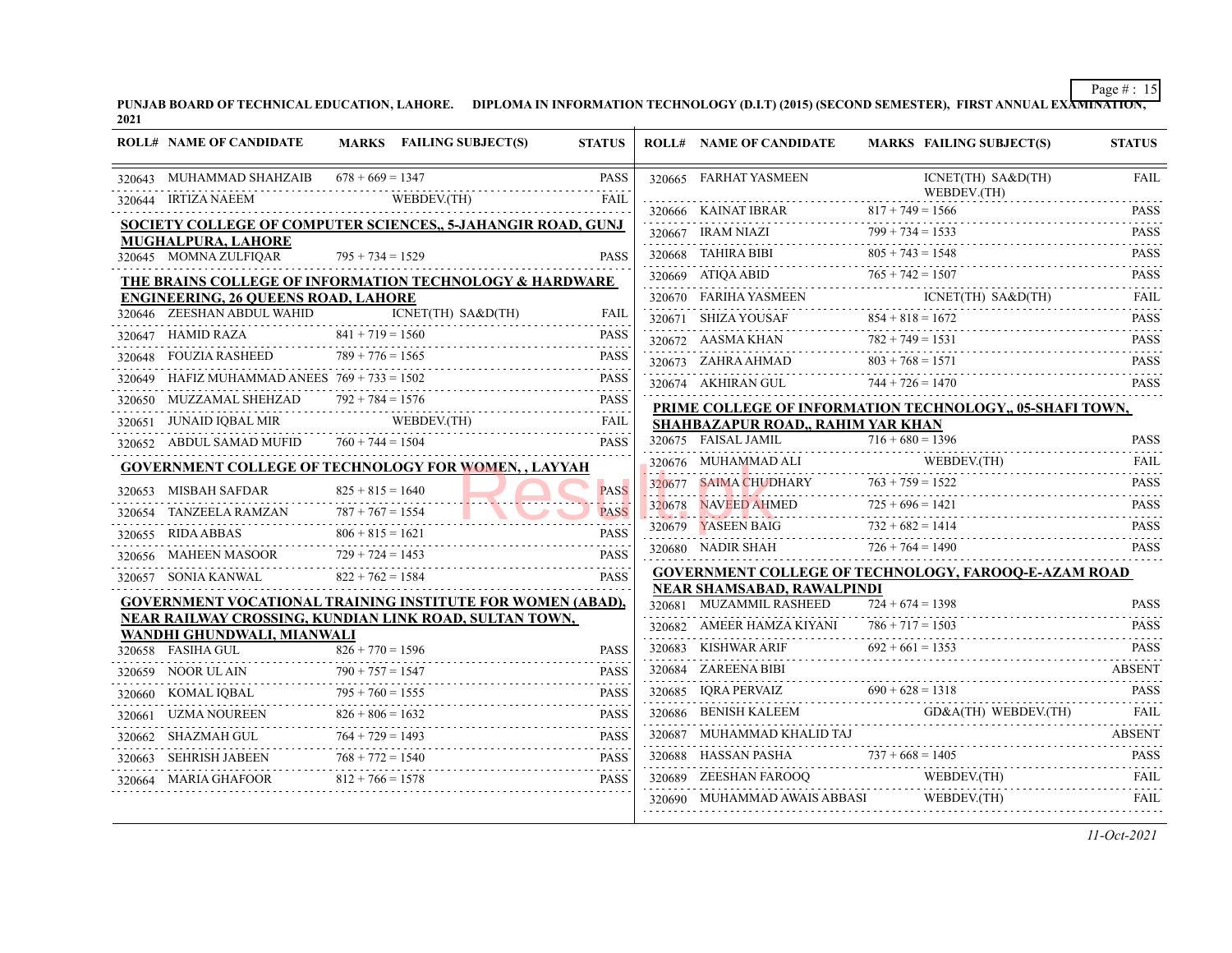PUNJAB BOARD OF TECHNICAL EDUCATION, LAHORE. DIPLOMA IN INFORMATION TECHNOLOGY (D.I.T) (2015) (SECOND SEMESTER), FIRST ANNUAL EXA<del>MINATION,</del><br>2021

|        | <b>ROLL# NAME OF CANDIDATE</b>                  |                         | MARKS FAILING SUBJECT(S)                                     | <b>STATUS</b>                                                                                                                                                                               |        | <b>ROLL# NAME OF CANDIDATE</b>                               | <b>MARKS FAILING SUBJECT(S)</b>                             | <b>STATUS</b>               |
|--------|-------------------------------------------------|-------------------------|--------------------------------------------------------------|---------------------------------------------------------------------------------------------------------------------------------------------------------------------------------------------|--------|--------------------------------------------------------------|-------------------------------------------------------------|-----------------------------|
|        | 320643 MUHAMMAD SHAHZAIB $678 + 669 = 1347$     |                         |                                                              | <b>PASS</b>                                                                                                                                                                                 |        | 320665 FARHAT YASMEEN                                        | ICNET(TH) SA&D(TH)<br>WEBDEV.(TH)                           | <b>FAIL</b>                 |
|        | 320644 IRTIZA NAEEM                             |                         | WEBDEV.(TH)                                                  | FAIL                                                                                                                                                                                        |        |                                                              | $817 + 749 = 1566$                                          | <b>PASS</b>                 |
|        |                                                 |                         | SOCIETY COLLEGE OF COMPUTER SCIENCES., 5-JAHANGIR ROAD, GUNJ |                                                                                                                                                                                             |        | 320667 IRAM NIAZI                                            | $799 + 734 = 1533$                                          | <b>PASS</b>                 |
|        | MUGHALPURA, LAHORE<br>320645 MOMNA ZULFIQAR     | $795 + 734 = 1529$      |                                                              | <b>PASS</b>                                                                                                                                                                                 |        | 320668 TAHIRA BIBI                                           | $805 + 743 = 1548$                                          | $-1 - 1 - 1$<br><b>PASS</b> |
|        |                                                 |                         | THE BRAINS COLLEGE OF INFORMATION TECHNOLOGY & HARDWARE      |                                                                                                                                                                                             |        | 320669 ATIOA ABID                                            | $765 + 742 = 1507$                                          | .<br><b>PASS</b>            |
|        | <b>ENGINEERING, 26 QUEENS ROAD, LAHORE</b>      |                         |                                                              |                                                                                                                                                                                             |        | 320670 FARIHA YASMEEN                                        | ICNET(TH) SA&D(TH)                                          | .<br><b>FAIL</b>            |
|        | 320646 ZEESHAN ABDUL WAHID                      |                         | ICNET(TH) SA&D(TH)                                           | <b>FAIL</b>                                                                                                                                                                                 |        | 320671 SHIZA YOUSAF                                          | $854 + 818 = 1672$                                          | <b>PASS</b>                 |
|        | 320647 HAMID RAZA                               | $841 + 719 = 1560$      |                                                              | <b>PASS</b><br>2.2.2.2.2                                                                                                                                                                    |        | 320672 AASMA KHAN                                            | $782 + 749 = 1531$                                          | <b>PASS</b>                 |
| 320648 | <b>FOUZIA RASHEED</b>                           | $789 + 776 = 1565$      |                                                              | <b>PASS</b><br>.                                                                                                                                                                            |        | 320673 ZAHRA AHMAD                                           | $803 + 768 = 1571$                                          | .<br><b>PASS</b>            |
|        | HAFIZ MUHAMMAD ANEES $769 + 733 = 1502$         |                         |                                                              | <b>PASS</b>                                                                                                                                                                                 |        | 320674 AKHIRAN GUL                                           | $744 + 726 = 1470$                                          | .<br><b>PASS</b>            |
|        | 320650 MUZZAMAL SHEHZAD                         | $792 + 784 = 1576$      |                                                              | <b>PASS</b>                                                                                                                                                                                 |        |                                                              | PRIME COLLEGE OF INFORMATION TECHNOLOGY,, 05-SHAFI TOWN,    |                             |
|        | 320651 JUNAID IQBAL MIR                         |                         | WEBDEV.(TH)                                                  | FAIL<br>.                                                                                                                                                                                   |        | SHAHBAZAPUR ROAD,, RAHIM YAR KHAN                            |                                                             |                             |
|        | 320652 ABDUL SAMAD MUFID                        | $760 + 744 = 1504$      |                                                              | <b>PASS</b>                                                                                                                                                                                 |        | 320675 FAISAL JAMIL                                          | $716 + 680 = 1396$                                          | <b>PASS</b>                 |
|        |                                                 |                         | <b>GOVERNMENT COLLEGE OF TECHNOLOGY FOR WOMEN,, LAYYAH</b>   |                                                                                                                                                                                             |        |                                                              |                                                             | FAIL<br>.                   |
|        | 320653 MISBAH SAFDAR                            | $825 + 815 = 1640$      |                                                              | <b>PASS</b>                                                                                                                                                                                 | 320677 | <b>SAIMA CHUDHARY</b>                                        | $763 + 759 = 1522$                                          | <b>PASS</b><br>.            |
|        | 320654 TANZEELA RAMZAN                          | $787 + 767 = 1554$      |                                                              | <b>PASS</b>                                                                                                                                                                                 | 320678 | <b>NAVEED AHMED</b>                                          | $725 + 696 = 1421$                                          | <b>PASS</b>                 |
| 320655 | RIDA ABBAS                                      | $806 + 815 = 1621$      |                                                              | <b>PASS</b>                                                                                                                                                                                 |        | 320679 YASEEN BAIG                                           | $732 + 682 = 1414$                                          | <b>PASS</b><br>.            |
|        | 320656 MAHEEN MASOOR                            | $729 + 724 = 1453$      |                                                              | .<br><b>PASS</b>                                                                                                                                                                            |        | 320680 NADIR SHAH                                            | $726 + 764 = 1490$                                          | <b>PASS</b>                 |
|        | 320657 SONIA KANWAL                             | $822 + 762 = 1584$      |                                                              | <b>PASS</b>                                                                                                                                                                                 |        |                                                              | <b>GOVERNMENT COLLEGE OF TECHNOLOGY, FAROOQ-E-AZAM ROAD</b> |                             |
|        |                                                 |                         | GOVERNMENT VOCATIONAL TRAINING INSTITUTE FOR WOMEN (ABAD),   |                                                                                                                                                                                             |        | <b>NEAR SHAMSABAD, RAWALPINDI</b><br>320681 MUZAMMIL RASHEED | $724 + 674 = 1398$                                          | <b>PASS</b>                 |
|        |                                                 |                         | NEAR RAILWAY CROSSING, KUNDIAN LINK ROAD, SULTAN TOWN,       |                                                                                                                                                                                             |        | 320682 AMEER HAMZA KIYANI                                    | $786 + 717 = 1503$                                          | <b>PASS</b>                 |
|        | WANDHI GHUNDWALI, MIANWALI<br>320658 FASIHA GUL | $826 + 770 = 1596$      |                                                              | <b>PASS</b>                                                                                                                                                                                 |        | 320683 KISHWAR ARIF                                          |                                                             | .<br><b>PASS</b>            |
|        | 320659 NOOR UL AIN                              | $790 + 757 = 1547$      |                                                              | <b>PASS</b>                                                                                                                                                                                 |        | 320684 ZAREENA BIBI                                          | $092 + 601 = 1353$                                          | <b>ABSENT</b>               |
| 320660 | KOMAL IOBAL                                     | $795 + 760 = 1555$      |                                                              | $\mathcal{L}^{\mathcal{A}}\left( \mathcal{L}^{\mathcal{A}}\left( \mathcal{L}^{\mathcal{A}}\right) \right) =\mathcal{L}^{\mathcal{A}}\left( \mathcal{L}^{\mathcal{A}}\right)$<br><b>PASS</b> |        | 320685 IQRA PERVAIZ $690 + 628 = 1318$                       |                                                             | <b>PASS</b>                 |
|        | 320661 UZMA NOUREEN                             | .<br>$826 + 806 = 1632$ |                                                              | <b>PASS</b>                                                                                                                                                                                 |        | 320686 BENISH KALEEM                                         | GD&A(TH) WEBDEV.(TH)                                        | <b>FAIL</b>                 |
|        | 320662 SHAZMAH GUL                              | $764 + 729 = 1493$      |                                                              | <b>PASS</b>                                                                                                                                                                                 | 320687 | MUHAMMAD KHALID TAJ                                          |                                                             | <b>ABSENT</b>               |
| 320663 | SEHRISH JABEEN                                  | $768 + 772 = 1540$      |                                                              | <b>PASS</b>                                                                                                                                                                                 |        | 320688 HASSAN PASHA                                          | $737 + 668 = 1405$                                          |                             |
|        | 320664 MARIA GHAFOOR                            | $812 + 766 = 1578$      |                                                              | <b>PASS</b>                                                                                                                                                                                 | 320689 | ZEESHAN FAROOQ                                               | HASSAN PASHA $737 + 668 = 1405$ PASS<br>WEBDEV.(TH)         | FAIL                        |
|        |                                                 |                         |                                                              |                                                                                                                                                                                             |        | 320690 MUHAMMAD AWAIS ABBASI                                 | WEBDEV.(TH)                                                 | <b>FAIL</b>                 |
|        |                                                 |                         |                                                              |                                                                                                                                                                                             |        |                                                              |                                                             |                             |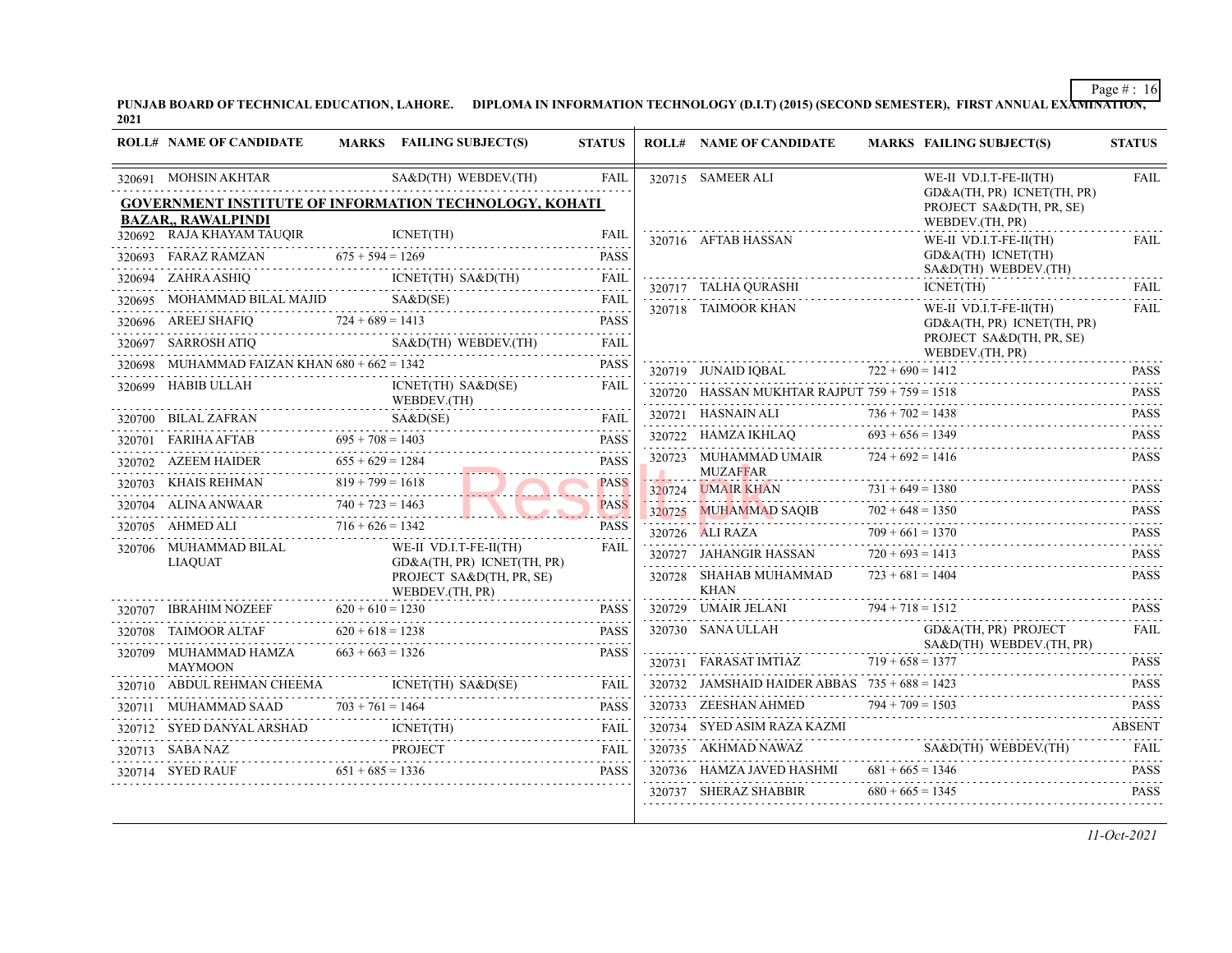PUNJAB BOARD OF TECHNICAL EDUCATION, LAHORE. DIPLOMA IN INFORMATION TECHNOLOGY (D.I.T) (2015) (SECOND SEMESTER), FIRST ANNUAL EXA<del>MINATION,</del><br>2021

| <b>ROLL# NAME OF CANDIDATE</b>                               |                    | MARKS FAILING SUBJECT(S)                                                  | <b>STATUS</b>              | <b>ROLL# NAME OF CANDIDATE</b>                  |                    | <b>MARKS FAILING SUBJECT(S)</b>                                 | <b>STATUS</b>    |
|--------------------------------------------------------------|--------------------|---------------------------------------------------------------------------|----------------------------|-------------------------------------------------|--------------------|-----------------------------------------------------------------|------------------|
| 320691 MOHSIN AKHTAR                                         |                    | SA&D(TH) WEBDEV.(TH)                                                      | <b>FAIL</b>                | 320715 SAMEER ALI                               |                    | WE-II VD.I.T-FE-II(TH)<br>GD&A(TH, PR) ICNET(TH, PR)            | <b>FAIL</b>      |
| <b>BAZAR,, RAWALPINDI</b>                                    |                    | GOVERNMENT INSTITUTE OF INFORMATION TECHNOLOGY, KOHATI                    |                            |                                                 |                    | PROJECT SA&D(TH, PR, SE)<br>WEBDEV.(TH, PR)                     |                  |
| 320692 RAJA KHAYAM TAUQIR                                    |                    | ICNET(TH)                                                                 | <b>FAIL</b>                | 320716 AFTAB HASSAN                             |                    | WE-II VD.I.T-FE-II(TH)                                          | FAIL             |
| AMZAN $675 + 594 = 1269$<br>320693 FARAZ RAMZAN              |                    |                                                                           | <b>PASS</b>                |                                                 |                    | GD&A(TH) ICNET(TH)                                              |                  |
| 320694 ZAHRA ASHIQ                                           |                    | $ICNET(TH)$ $SA&D(TH)$                                                    | <b>FAIL</b><br>2.2.2.2.2.1 | 320717 TALHA QURASHI                            |                    | SA&D(TH) WEBDEV.(TH)<br>ICNET(TH)                               | FAII.            |
| 320695 MOHAMMAD BILAL MAJID                                  |                    | S A & D(SE)                                                               | <b>FAIL</b><br>.           | 320718 TAIMOOR KHAN                             |                    | WE-II VD.I.T-FE-II(TH)                                          | <b>FAIL</b>      |
|                                                              |                    | 320696 AREEJ SHAFIQ $724 + 689 = 1413$                                    | <b>PASS</b>                |                                                 |                    | GD&A(TH, PR) ICNET(TH, PR)                                      |                  |
| 320697 SARROSH ATIQ                                          |                    | SA&D(TH) WEBDEV.(TH)                                                      | <b>FAIL</b><br>.           |                                                 |                    | PROJECT SA&D(TH, PR, SE)<br>WEBDEV.(TH, PR)                     |                  |
| 320698 MUHAMMAD FAIZAN KHAN $680 + 662 = 1342$               |                    |                                                                           | <b>PASS</b>                | 320719 JUNAID IQBAL $722 + 690 = 1412$          |                    |                                                                 | <b>PASS</b>      |
| 320699 HABIB ULLAH                                           |                    | $ICNET(TH)$ $SAgD(SE)$<br>WEBDEV.(TH)                                     | <b>FAIL</b>                | 320720 HASSAN MUKHTAR RAJPUT $759 + 759 = 1518$ |                    |                                                                 | PASS             |
|                                                              |                    | 320700 BILAL ZAFRAN SA&D(SE)                                              | <b>FAIL</b>                | 320721 HASNAIN ALI                              | $736 + 702 = 1438$ |                                                                 | <b>PASS</b><br>. |
| 320701 FARIHA AFTAB                                          |                    | 320701 FARIHA AFTAB 695 + 708 = 1403 PASS                                 | <b>PASS</b>                |                                                 |                    | 320722 HAMZA IKHLAQ $693 + 656 = 1349$                          | <b>PASS</b><br>. |
| 320702 AZEEM HAIDER                                          | $655 + 629 = 1284$ |                                                                           | <b>PASS</b>                | 320723 MUHAMMAD UMAIR                           | $724 + 692 = 1416$ |                                                                 | <b>PASS</b>      |
| 320703 KHAIS REHMAN $819 + 799 = 1618$                       |                    |                                                                           | <b>PASS</b>                | <b>MUZAFFAR</b><br>320724 UMAIR KHAN            | $731 + 649 = 1380$ |                                                                 | <b>PASS</b>      |
| 20704 ALINA ANWAAR $740 + 723 = 1463$<br>320704 ALINA ANWAAR |                    |                                                                           | .<br><b>PASS</b>           |                                                 |                    | $702 + 648 = 1350$                                              |                  |
| $\text{DALI}$ $716 + 626 = 1342$<br>320705 AHMED ALI         |                    |                                                                           | PASS                       | 320726 ALI RAZA                                 | $709 + 661 = 1370$ | 320725 MUHAMMAD SAQIB $702 + 648 = 1350$ PASS                   | <b>PASS</b>      |
| 320706 MUHAMMAD BILAL                                        |                    | WE-II VD.I.T-FE-II(TH)                                                    | FAIL                       | 320727 JAHANGIR HASSAN                          | $720 + 693 = 1413$ |                                                                 | <b>PASS</b>      |
| <b>LIAOUAT</b>                                               |                    | GD&A(TH, PR) ICNET(TH, PR)<br>PROJECT SA&D(TH, PR, SE)<br>WEBDEV.(TH, PR) |                            | 320728 SHAHAB MUHAMMAD<br><b>KHAN</b>           | $723 + 681 = 1404$ |                                                                 | <b>PASS</b>      |
|                                                              |                    | 320707 IBRAHIM NOZEEF $620 + 610 = 1230$ PASS                             | <b>PASS</b>                | 320729 UMAIR JELANI                             | $794 + 718 = 1512$ |                                                                 | <b>PASS</b>      |
| 320708 TAIMOOR ALTAF                                         | $620 + 618 = 1238$ |                                                                           | <b>PASS</b>                |                                                 |                    | 320730 SANA ULLAH GD&A(TH, PR) PROJECT SA&D(TH) WEBDEV.(TH, PR) | FAIL             |
| 320709 MUHAMMAD HAMZA<br><b>MAYMOON</b>                      | $663 + 663 = 1326$ |                                                                           | <b>PASS</b>                | 320731 FARASAT IMTIAZ $719 + 658 = 1377$        |                    |                                                                 | <b>PASS</b>      |
| 320710 ABDUL REHMAN CHEEMA ICNET(TH) SA&D(SE)                |                    | ICNEI(1H) SAGD(SE)                                                        | FAIL                       | 320732 JAMSHAID HAIDER ABBAS $735 + 688 = 1423$ |                    |                                                                 | <b>PASS</b>      |
| 320711 MUHAMMAD SAAD $703 + 761 = 1464$                      |                    |                                                                           | <b>PASS</b>                | 320733 ZEESHAN AHMED                            | $794 + 709 = 1503$ |                                                                 | <b>PASS</b>      |
| 320712 SYED DANYAL ARSHAD                                    |                    | 20712 SYED DANYAL ARSHAD ICNET(TH) FAIL FAIL                              | <b>FAIL</b>                | 320734 SYED ASIM RAZA KAZMI                     |                    |                                                                 | <b>ABSENT</b>    |
| 320713 SABA NAZ                                              |                    | PROJECT                                                                   | <b>FAIL</b>                |                                                 |                    | 320735 AKHMAD NAWAZ SA&D(TH) WEBDEV.(TH)                        | FAII.            |
|                                                              |                    | 320714 SYED RAUF $651 + 685 = 1336$                                       | <b>PASS</b>                | 320736 HAMZA JAVED HASHMI                       | $681 + 665 = 1346$ |                                                                 | <b>PASS</b>      |
|                                                              |                    |                                                                           |                            | 320737 SHERAZ SHABBIR                           | $680 + 665 = 1345$ |                                                                 | <b>PASS</b>      |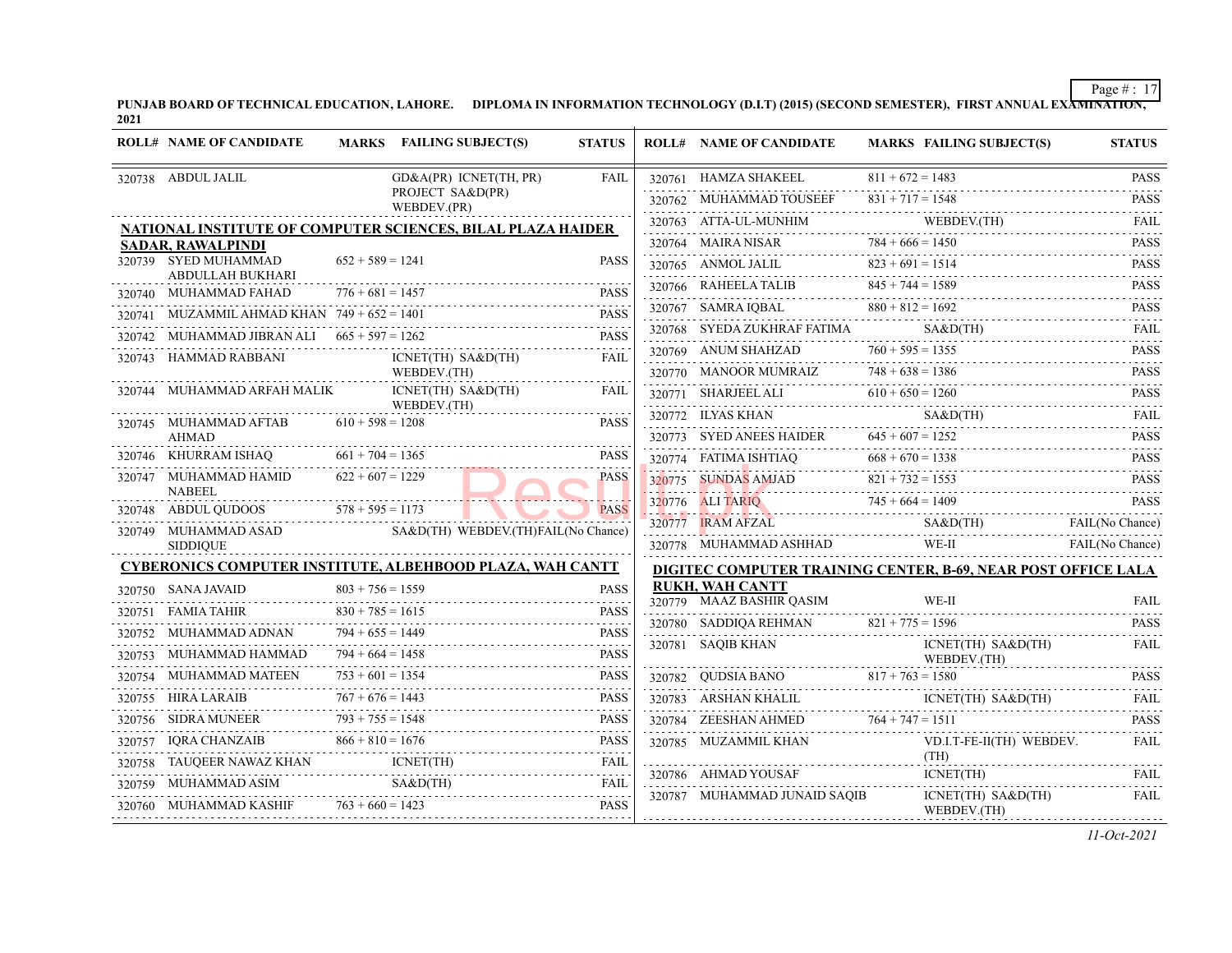PUNJAB BOARD OF TECHNICAL EDUCATION, LAHORE. DIPLOMA IN INFORMATION TECHNOLOGY (D.I.T) (2015) (SECOND SEMESTER), FIRST ANNUAL EXA<del>MINATION,</del><br>2021

| <b>ROLL# NAME OF CANDIDATE</b>                          |                    | MARKS FAILING SUBJECT(S)                                                          | <b>STATUS</b> | <b>ROLL# NAME OF CANDIDATE</b>       | <b>MARKS FAILING SUBJECT(S)</b>                                         | <b>STATUS</b> |
|---------------------------------------------------------|--------------------|-----------------------------------------------------------------------------------|---------------|--------------------------------------|-------------------------------------------------------------------------|---------------|
| 320738 ABDUL JALIL                                      |                    | GD&A(PR) ICNET(TH, PR)                                                            | <b>FAIL</b>   | 320761 HAMZA SHAKEEL                 | $811 + 672 = 1483$                                                      | <b>PASS</b>   |
|                                                         |                    | PROJECT SA&D(PR)                                                                  |               | 320762 MUHAMMAD TOUSEEF              | $831 + 717 = 1548$<br>IMAD TOUSEEF 831 + 717 = 1548 PASS                |               |
|                                                         |                    | WEBDEV.(PR)<br><b>NATIONAL INSTITUTE OF COMPUTER SCIENCES, BILAL PLAZA HAIDER</b> |               |                                      |                                                                         | FAIL          |
| <b>SADAR, RAWALPINDI</b>                                |                    |                                                                                   |               |                                      | 320763 ATTA-UL-MUNHIM WEBDEV(TH)<br>320764 MAIRA NISAR 784 + 666 = 1450 | <b>PASS</b>   |
| 320739 SYED MUHAMMAD                                    | $652 + 589 = 1241$ |                                                                                   | <b>PASS</b>   |                                      | 320765 ANMOLJALIL $823 + 691 = 1514$                                    | <b>PASS</b>   |
| ABDULLAH BUKHARI<br>320740 MUHAMMAD FAHAD               | $776 + 681 = 1457$ |                                                                                   | <b>PASS</b>   |                                      | $320766$ RAHEELA TALIB $845 + 744 = 1589$ PASS PASS                     |               |
| 320741 MUZAMMIL AHMAD KHAN $749 + 652 = 1401$           |                    |                                                                                   | PASS          |                                      | 320767 SAMRA IQBAL 880 + 812 = 1692 PASS                                |               |
| 320742 MUHAMMAD JIBRAN ALI $665 + 597 = 1262$           |                    |                                                                                   | <b>PASS</b>   | 320768 SYEDA ZUKHRAF FATIMA SA&D(TH) |                                                                         |               |
| 320743 HAMMAD RABBANI                                   |                    | $ICNET(TH)$ $SAB$ $(TH)$                                                          | FAIL          |                                      | 320769 ANUM SHAHZAD $760 + 595 = 1355$ PASS                             |               |
|                                                         |                    | WEBDEV.(TH)<br>.                                                                  |               |                                      | 320770 MANOOR MUMRAIZ $748 + 638 = 1386$ PASS                           |               |
| 320744 MUHAMMAD ARFAH MALIK                             |                    | ICNET(TH) SA&D(TH)                                                                | FAIL          |                                      | 320771 SHARJEEL ALI $610 + 650 = 1260$                                  | <b>PASS</b>   |
| 320745 MUHAMMAD AFTAB $610 + 598 = 1208$                |                    | WEBDEV.(TH)                                                                       | <b>PASS</b>   |                                      | 320772 ILYAS KHAN SA&D(TH) FAIL FAIL                                    |               |
| <b>AHMAD</b>                                            |                    |                                                                                   |               |                                      | 320773 SYED ANEES HAIDER $645 + 607 = 1252$ PASS                        |               |
| 320746 KHURRAM ISHAQ $661 + 704 = 1365$                 |                    |                                                                                   | <b>PASS</b>   |                                      | 320774 FATIMA ISHTIAQ $668 + 670 = 1338$ PASS PASS                      |               |
| 320747 MUHAMMAD HAMID                                   | $622 + 607 = 1229$ |                                                                                   | <b>PASS</b>   |                                      | 320775 SUNDAS AMJAD $821 + 732 = 1553$ PASS                             |               |
| <b>NABEEL</b><br>320748 ABDUL QUDOOS $578 + 595 = 1173$ |                    |                                                                                   | <b>PASS</b>   |                                      | $320776$ ALI TARIQ $745 + 664 = 1409$                                   | <b>PASS</b>   |
| 320749 MUHAMMAD ASAD                                    |                    | SA&D(TH) WEBDEV.(TH)FAIL(No Chance)                                               |               |                                      | 320777 IRAM AFZAL SA&D(TH) FAIL (No Chance)                             |               |
| <b>SIDDIQUE</b>                                         |                    |                                                                                   |               |                                      | 320778 MUHAMMAD ASHHAD WE-II FAIL (No Chance)                           |               |
|                                                         |                    | <b>CYBERONICS COMPUTER INSTITUTE, ALBEHBOOD PLAZA, WAH CANTT</b>                  |               |                                      | DIGITEC COMPUTER TRAINING CENTER, B-69, NEAR POST OFFICE LALA           |               |
| 320750 SANA JAVAID                                      | $803 + 756 = 1559$ |                                                                                   | <b>PASS</b>   | <b>RUKH, WAH CANTT</b>               |                                                                         |               |
| 320751 FAMIA TAHIR                                      | $830 + 785 = 1615$ | $330 + 785 = 1615$ PASS                                                           | <b>PASS</b>   | 320779 MAAZ BASHIR QASIM             | WE-II                                                                   | FAII.         |
| 320752 MUHAMMAD ADNAN                                   | $794 + 655 = 1449$ | $794 + 655 = 1449$ PASS                                                           | <b>PASS</b>   |                                      | 320780 SADDIQA REHMAN $821 + 775 = 1596$                                |               |
| 320753 MUHAMMAD HAMMAD                                  | $794 + 664 = 1458$ |                                                                                   | PASS          | 320781 SAQIB KHAN                    | $ICNET(TH)$ $SABD(TH)$<br>WEBDEV.(TH)                                   | <b>FAIL</b>   |
| 320754 MUHAMMAD MATEEN                                  | $753 + 601 = 1354$ |                                                                                   | PASS          |                                      | 320782 QUDSIA BANO $817 + 763 = 1580$ PASS                              |               |
|                                                         |                    | $320755$ HIRA LARAIB $767 + 676 = 1443$ PASS<br>$320755$ HIRA LARAIB              | <b>PASS</b>   |                                      | $320783 ARSHAN KHALL ICNET(TH) SABO(TH) \cdots$                         | FAIL          |
| 320756 SIDRA MUNEER $\overline{793} + 755 = 1548$       |                    | R $793 + 755 = 1548$ PASS                                                         | <b>PASS</b>   |                                      | 320784 ZEESHAN AHMED 764 + 747 = 1511                                   | <b>PASS</b>   |
|                                                         |                    | 320757 IQRA CHANZAIB $866 + 810 = 1676$                                           | <b>PASS</b>   |                                      | VD.I.T-FE-II(TH) WEBDEV.                                                | FAIL          |
| 320758 TAUQEER NAWAZ KHAN ICNET(TH)                     |                    |                                                                                   | FAIL          | 320786 AHMAD YOUSAF                  | (TH)                                                                    | FAII.         |
| 320760 MUHAMMAD KASHIF $763 + 660 = 1423$               |                    | 320759 MUHAMMAD ASIM SA&D(TH) FAIL FAIL                                           | FAIL          | 320787 MUHAMMAD JUNAID SAQIB         | ICNET(TH)<br>ICNET(TH) SA&D(TH)                                         | FAIL          |
|                                                         |                    | 0760 MUHAMMAD KASHIF $763 + 660 = 1423$ PASS                                      |               |                                      | WEBDEV.(TH)                                                             |               |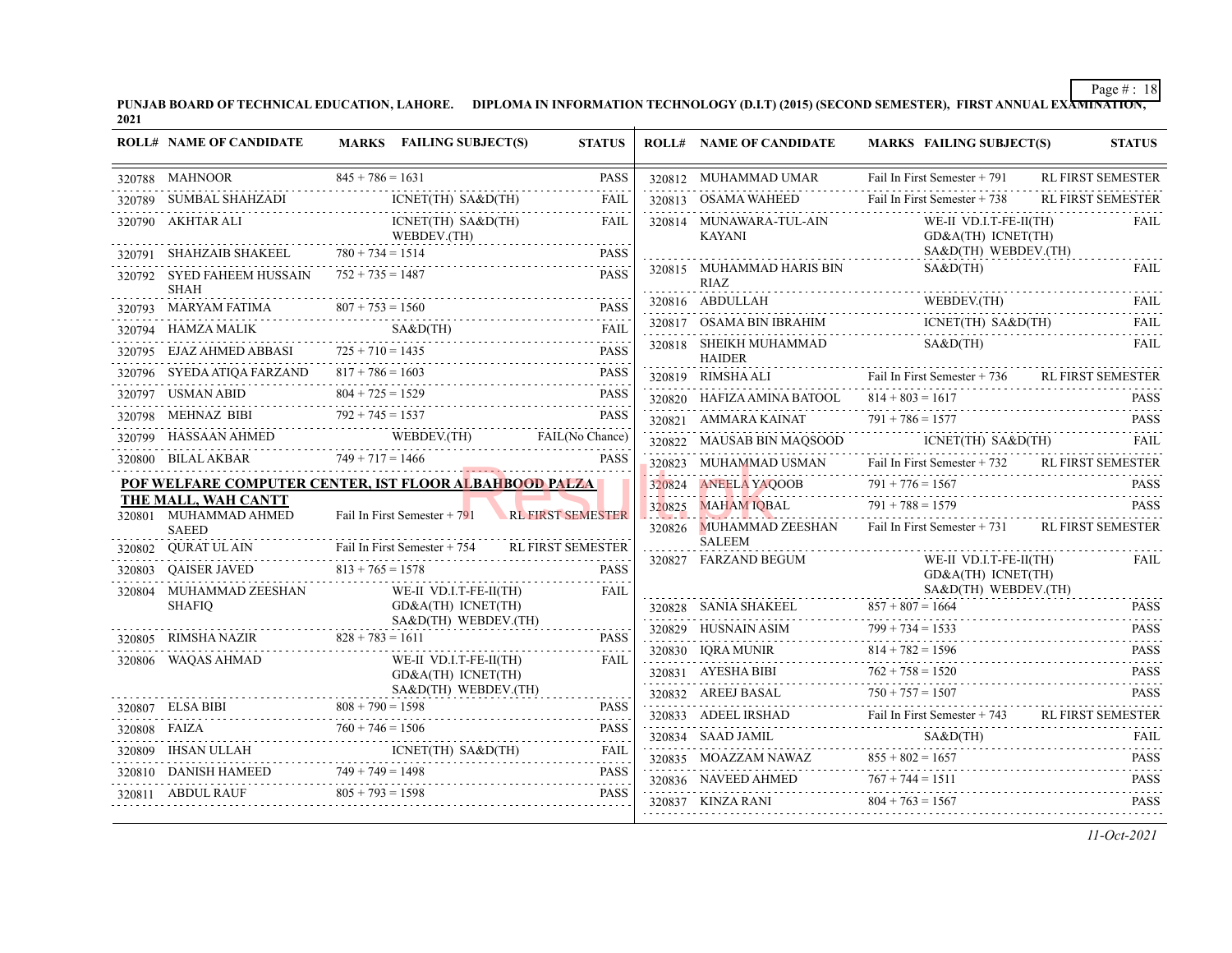PUNJAB BOARD OF TECHNICAL EDUCATION, LAHORE. DIPLOMA IN INFORMATION TECHNOLOGY (D.I.T) (2015) (SECOND SEMESTER), FIRST ANNUAL EXA<del>MINATION,</del><br>2021

|        | <b>ROLL# NAME OF CANDIDATE</b>                                               | MARKS FAILING SUBJECT(S)                                                                                                                                                                                                                                                                                                                                                                                                                                                               | <b>STATUS</b> | <b>ROLL# NAME OF CANDIDATE</b>           | MARKS FAILING SUBJECT(S)                                                                                                                                                                                                                                                                                                                                                                                                | <b>STATUS</b>            |
|--------|------------------------------------------------------------------------------|----------------------------------------------------------------------------------------------------------------------------------------------------------------------------------------------------------------------------------------------------------------------------------------------------------------------------------------------------------------------------------------------------------------------------------------------------------------------------------------|---------------|------------------------------------------|-------------------------------------------------------------------------------------------------------------------------------------------------------------------------------------------------------------------------------------------------------------------------------------------------------------------------------------------------------------------------------------------------------------------------|--------------------------|
|        | 320788 MAHNOOR<br>$845 + 786 = 1$                                            | $845 + 786 = 1631$                                                                                                                                                                                                                                                                                                                                                                                                                                                                     | <b>PASS</b>   | 320812 MUHAMMAD UMAR                     | Fail In First Semester + 791                                                                                                                                                                                                                                                                                                                                                                                            | <b>RL FIRST SEMESTER</b> |
|        | 320789 SUMBAL SHAHZADI IO                                                    | ICNET(TH) SA&D(TH)                                                                                                                                                                                                                                                                                                                                                                                                                                                                     | FAIL          | 320813 OSAMA WAHEED                      | Fail In First Semester + 738                                                                                                                                                                                                                                                                                                                                                                                            | <b>RL FIRST SEMESTER</b> |
|        | 320790 AKHTAR ALI<br>WEBDEV.(TH)<br>320791 SHAHZAIB SHAKEEL 780 + 734 = 1514 | ICNET(TH) SA&D(TH)                                                                                                                                                                                                                                                                                                                                                                                                                                                                     | FAIL          | 320814 MUNAWARA-TUL-AIN<br>KAYANI        | WE-II VD.I.T-FE-II(TH)<br>GD&A(TH) ICNET(TH)                                                                                                                                                                                                                                                                                                                                                                            | FAIL                     |
|        |                                                                              | IZAIB SHAKEEL 780 + 734 = 1514 PASS                                                                                                                                                                                                                                                                                                                                                                                                                                                    | <b>PASS</b>   |                                          | SA&D(TH) WEBDEV.(TH)                                                                                                                                                                                                                                                                                                                                                                                                    |                          |
|        | 320792 SYED FAHEEM HUSSAIN $752 + 735 = 1487$<br><b>SHAH</b>                 |                                                                                                                                                                                                                                                                                                                                                                                                                                                                                        | <b>PASS</b>   | 320815 MUHAMMAD HARIS BIN<br>RIAZ        | SAB(TH)                                                                                                                                                                                                                                                                                                                                                                                                                 | FAIL                     |
|        |                                                                              | 320793 MARYAM FATIMA $807 + 753 = 1560$ PASS                                                                                                                                                                                                                                                                                                                                                                                                                                           | <b>PASS</b>   | 320816 ABDULLAH                          | ABDULLAH WEBDEV.(TH) FAIL                                                                                                                                                                                                                                                                                                                                                                                               |                          |
|        | 320794 HAMZA MALIK                                                           | S A & D (TH)                                                                                                                                                                                                                                                                                                                                                                                                                                                                           |               | 320817 OSAMA BIN IBRAHIM                 | ICNET(TH) SA&D(TH)                                                                                                                                                                                                                                                                                                                                                                                                      | FAIL                     |
|        | EJAZ AHMED ABBASI $725 + 710 = 1435$                                         |                                                                                                                                                                                                                                                                                                                                                                                                                                                                                        | PASS          | 320818 SHEIKH MUHAMMAD<br><b>HAIDER</b>  | S A & D (TH)                                                                                                                                                                                                                                                                                                                                                                                                            | <b>FAIL</b>              |
|        |                                                                              | $\begin{tabular}{lllllll} \multicolumn{2}{l}{{\textbf{320796}}}&{\textbf{SYEDA ATIQA FARZAND}}&817+786=1603\\ &817+786=1603\\ &320797&{\textbf{USMAN ABD}}&804+725=1529 \end{tabular} \begin{tabular}{lllllll} \multicolumn{2}{l}{{\textbf{25.5}}}\\ \multicolumn{2}{l}{{\textbf{25.5}}}\\ \multicolumn{2}{l}{{\textbf{25.5}}}\\ \multicolumn{2}{l}{{\textbf{25.5}}}\\ \multicolumn{2}{l}{{\textbf{25.$                                                                                |               | 320819 RIMSHA ALI                        | Fail In First Semester + 736 RL FIRST SEMESTER                                                                                                                                                                                                                                                                                                                                                                          |                          |
|        |                                                                              | USMAN ABID $804 + 725 = 1529$ PASS                                                                                                                                                                                                                                                                                                                                                                                                                                                     | <b>PASS</b>   | 320820 HAFIZA AMINA BATOOL               | $814 + 803 = 1617$                                                                                                                                                                                                                                                                                                                                                                                                      | <b>PASS</b>              |
|        | 320798 MEHNAZ BIBI                                                           | IBI $792 + 745 = 1537$                                                                                                                                                                                                                                                                                                                                                                                                                                                                 | <b>PASS</b>   |                                          | 320821 AMMARA KAINAT 791 + 786 = 1577 PASS                                                                                                                                                                                                                                                                                                                                                                              |                          |
|        |                                                                              |                                                                                                                                                                                                                                                                                                                                                                                                                                                                                        |               |                                          | 320822 MAUSAB BIN MAQSOOD ICNET(TH) SA&D(TH)                                                                                                                                                                                                                                                                                                                                                                            | FAIL                     |
|        |                                                                              | $\begin{tabular}{c} 320799 \text{ HASSAAN AHMED} \end{tabular} \begin{tabular}{c} \textbf{WEBDEV(TH)} \end{tabular} \begin{tabular}{c} \textbf{XAL} (No Chance) \end{tabular} \end{tabular}$                                                                                                                                                                                                                                                                                           |               | 320823 MUHAMMAD USMAN                    | Fail In First Semester + 732 RL FIRST SEMESTER                                                                                                                                                                                                                                                                                                                                                                          |                          |
|        |                                                                              | POF WELFARE COMPUTER CENTER, IST FLOOR ALBAHBOOD PALZA                                                                                                                                                                                                                                                                                                                                                                                                                                 |               | 320824 ANEELA YAQOOB                     | $791 + 776 = 1567$ PASS                                                                                                                                                                                                                                                                                                                                                                                                 |                          |
|        | THE MALL, WAH CANTT<br>320801 MUHAMMAD AHMED                                 | Fail In First Semester + 791 RL FIRST SEMESTER                                                                                                                                                                                                                                                                                                                                                                                                                                         |               | 320825 MAHAM IQBAL                       | $791 + 788 = 1579$                                                                                                                                                                                                                                                                                                                                                                                                      | <b>PASS</b>              |
|        | <b>SAEED</b>                                                                 |                                                                                                                                                                                                                                                                                                                                                                                                                                                                                        |               | 320826 MUHAMMAD ZEESHAN<br><b>SALEEM</b> | <u> 1997 - La Varden de Barbard, establista espainiar espainiar espainiar espainiar espainiar espainiar espainiar</u><br>Fail In First Semester + 731 RL FIRST SEMESTER                                                                                                                                                                                                                                                 |                          |
|        | 320802 QURAT UL AIN                                                          | Fail In First Semester + 754 RL FIRST SEMESTER                                                                                                                                                                                                                                                                                                                                                                                                                                         |               | 320827 FARZAND BEGUM                     | WE-II VD.I.T-FE-II(TH)                                                                                                                                                                                                                                                                                                                                                                                                  | FAIL                     |
|        | 320803 QAISER JAVED                                                          | $813 + 765 = 1578$                                                                                                                                                                                                                                                                                                                                                                                                                                                                     | <b>PASS</b>   |                                          | GD&A(TH) ICNET(TH)<br>SA&D(TH) WEBDEV.(TH)                                                                                                                                                                                                                                                                                                                                                                              |                          |
|        | 320804 MUHAMMAD ZEESHAN<br><b>SHAFIO</b>                                     | WE-II VD.I.T-FE-II(TH)<br>GD&A(TH) ICNET(TH)                                                                                                                                                                                                                                                                                                                                                                                                                                           | FAIL          |                                          | $\begin{array}{c c}\n & \text{SA&D(TH)} \text{WEBDEV.(TH)} \\ 320828 & \text{SANIA SHAKEEL} \text{RSS} \text{RSS} \text{RSS} \text{RSS} \text{RSS} \text{RSS} \text{RSS} \text{RSS} \text{RSS} \text{RSS} \text{RSS} \text{RSS} \text{RSS} \text{RSS} \text{RSS} \text{RSS} \text{RSS} \text{RSS} \text{RSS} \text{RSS} \text{RSS} \text{RSS} \text{RSS} \text{RSS} \text{RSS} \text{RSS} \text{RSS} \text{RSS} \text{$ |                          |
|        |                                                                              | SA&D(TH) WEBDEV.(TH)                                                                                                                                                                                                                                                                                                                                                                                                                                                                   |               |                                          |                                                                                                                                                                                                                                                                                                                                                                                                                         |                          |
| 320805 | RIMSHA NAZIR $828 + 783 = 1611$                                              |                                                                                                                                                                                                                                                                                                                                                                                                                                                                                        | <b>PASS</b>   |                                          |                                                                                                                                                                                                                                                                                                                                                                                                                         |                          |
| 320806 | WAQAS AHMAD                                                                  | WE-II VD.I.T-FE-II(TH)<br>GD&A(TH) ICNET(TH)                                                                                                                                                                                                                                                                                                                                                                                                                                           | FAIL          | 320831 AYESHA BIBI                       | 320830 IQRA MUNIR 814 + 782 = 1596 PASS<br>$750 + 757 = 1520$<br>$750 + 757 = 1507$                                                                                                                                                                                                                                                                                                                                     | <b>PASS</b>              |
|        |                                                                              | SA&D(TH) WEBDEV.(TH)                                                                                                                                                                                                                                                                                                                                                                                                                                                                   |               | 320832 AREEJ BASAL                       |                                                                                                                                                                                                                                                                                                                                                                                                                         | <b>PASS</b>              |
|        |                                                                              | 320807 ELSA BIBI $808 + 790 = 1598$ PASS                                                                                                                                                                                                                                                                                                                                                                                                                                               |               |                                          | Fail In First Semester + 743 RL FIRST SEMESTER<br>320833 ADEEL IRSHAD Fail In First Semester + 743 RL FIRST SEMES                                                                                                                                                                                                                                                                                                       |                          |
|        |                                                                              |                                                                                                                                                                                                                                                                                                                                                                                                                                                                                        |               |                                          |                                                                                                                                                                                                                                                                                                                                                                                                                         |                          |
|        |                                                                              | $\begin{tabular}{c} 320808 \end{tabular} \begin{tabular}{l} \hline \textbf{A1C}} \end{tabular} \begin{tabular}{l} \hline \textbf{A2D}} \end{tabular} \begin{tabular}{l} \hline \textbf{A3D} \end{tabular} \begin{tabular}{l} \hline \textbf{A1D} \end{tabular} \end{tabular} \begin{tabular}{l} \hline \textbf{A2D} \end{tabular} \begin{tabular}{l} \hline \textbf{A3D} \end{tabular} \begin{tabular}{l} \hline \textbf{A1D} \end{tabular} \end{tabular} \begin{tabular}{l} \hline \$ |               | 320835 MOAZZAM NAWAZ                     | $\begin{tabular}{c c c} \hline 320834 & SAAD JAMIL & SA&D(TH) & FAIL \\ \hline 320835 & MOAZZAM NAWAZ & 855 + 802 = 1657 & PASS \\ \hline \end{tabular}$<br>320835 MOAZZAM NAWAZ $855 + 802 = 1657$ PASS                                                                                                                                                                                                                |                          |
|        |                                                                              | 320810 DANISH HAMEED 749 + 749 = 1498 PASS                                                                                                                                                                                                                                                                                                                                                                                                                                             |               | $320836 \quad \text{NAVEED AHMED}$       | $767 + 744 = 1511$                                                                                                                                                                                                                                                                                                                                                                                                      | PASS                     |
|        | 320811 ABDUL RAUF                                                            | $805 + 793 = 1598$                                                                                                                                                                                                                                                                                                                                                                                                                                                                     | <b>PASS</b>   | 320837 KINZA RANI                        | $804 + 763 = 1567$                                                                                                                                                                                                                                                                                                                                                                                                      | <b>PASS</b>              |